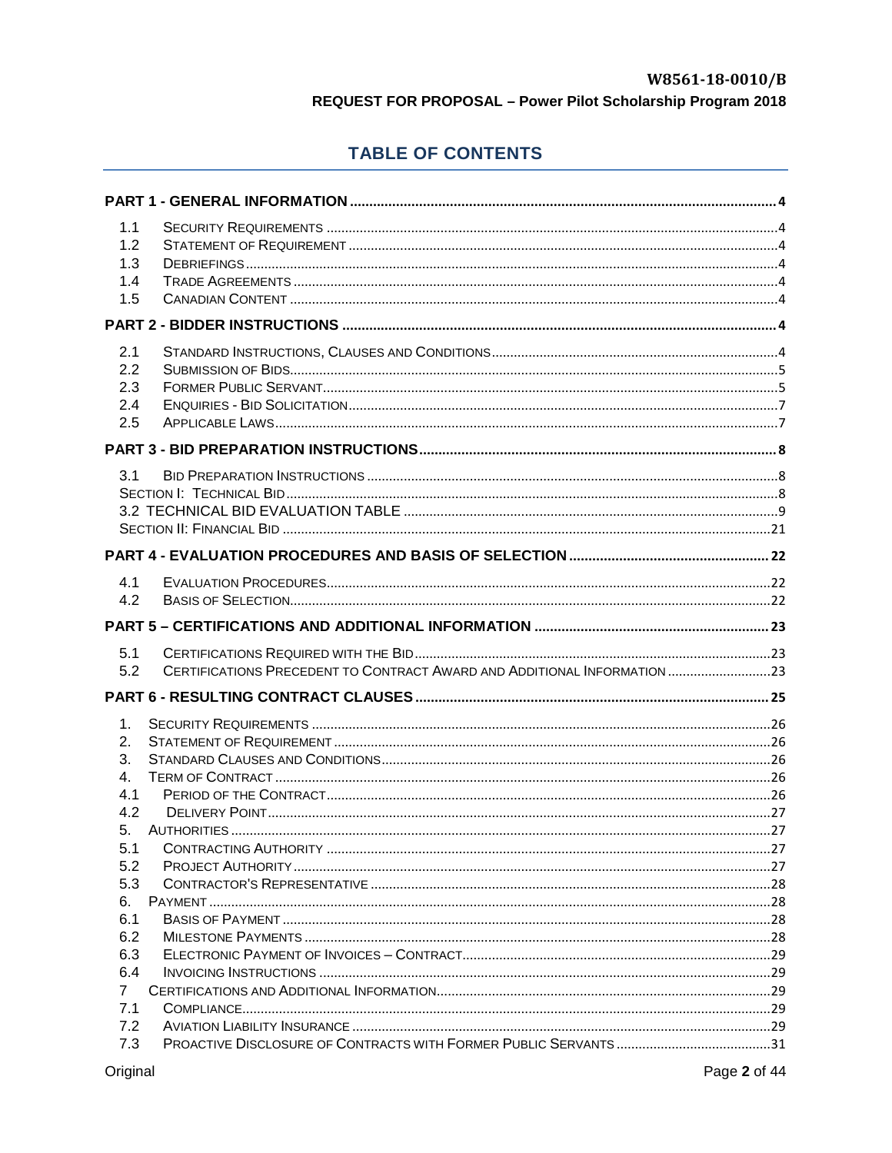# **TABLE OF CONTENTS**

| 1.1            |                                                                           |  |
|----------------|---------------------------------------------------------------------------|--|
| 1.2            |                                                                           |  |
| 1.3            |                                                                           |  |
| 1.4            |                                                                           |  |
| 1.5            |                                                                           |  |
|                |                                                                           |  |
| 2.1            |                                                                           |  |
| 2.2            |                                                                           |  |
| 2.3            |                                                                           |  |
| 2.4            |                                                                           |  |
| 2.5            |                                                                           |  |
|                |                                                                           |  |
| 3.1            |                                                                           |  |
|                |                                                                           |  |
|                |                                                                           |  |
|                |                                                                           |  |
|                |                                                                           |  |
| 4.1            |                                                                           |  |
| 4.2            |                                                                           |  |
|                |                                                                           |  |
|                |                                                                           |  |
| 5.1            |                                                                           |  |
| 5.2            | CERTIFICATIONS PRECEDENT TO CONTRACT AWARD AND ADDITIONAL INFORMATION  23 |  |
|                |                                                                           |  |
| 1.             |                                                                           |  |
| 2.             |                                                                           |  |
| 3.             |                                                                           |  |
| 4.             |                                                                           |  |
| 4.1            |                                                                           |  |
| 4.2            |                                                                           |  |
| 5.             |                                                                           |  |
| 5.1            |                                                                           |  |
| 5.2            |                                                                           |  |
| 5.3            |                                                                           |  |
| 6.             |                                                                           |  |
| 6.1            |                                                                           |  |
| 6.2            |                                                                           |  |
| 6.3<br>6.4     |                                                                           |  |
| $\overline{7}$ |                                                                           |  |
| 7.1            |                                                                           |  |
| 7.2<br>7.3     |                                                                           |  |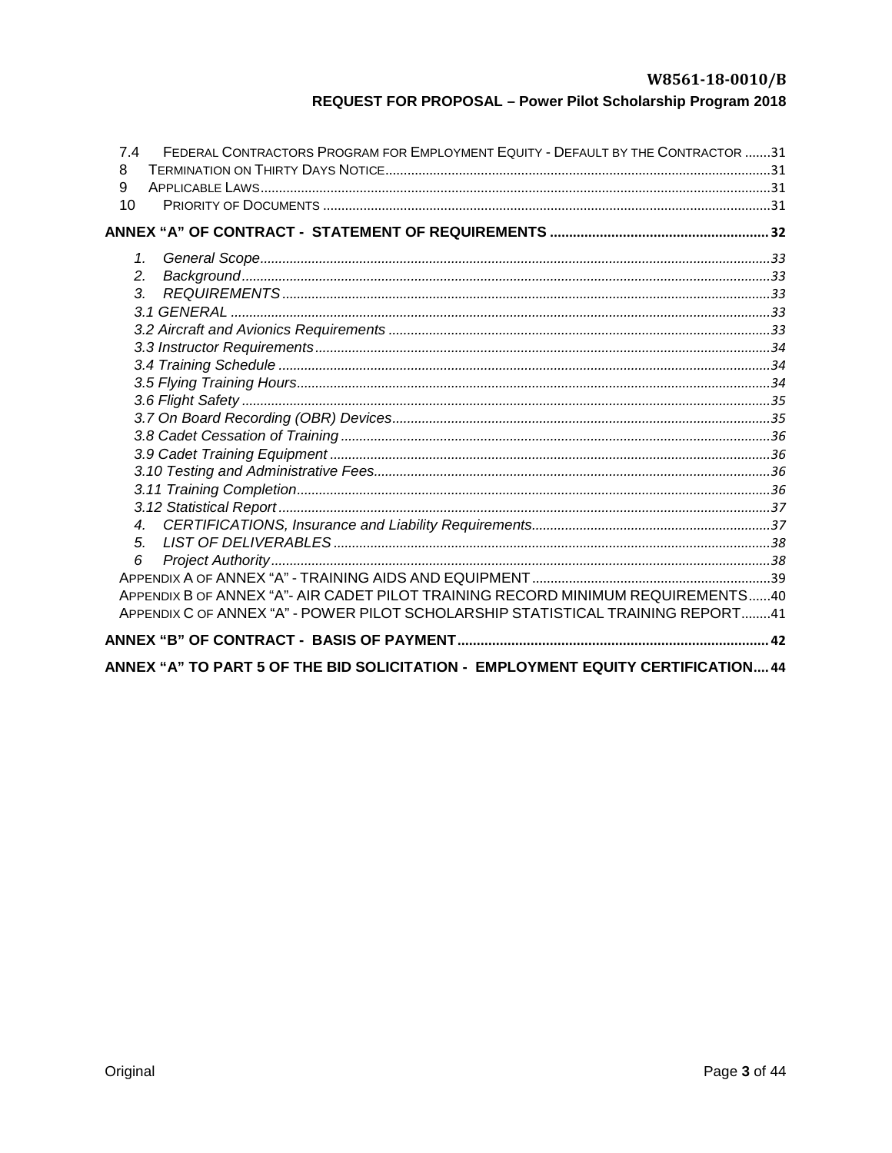| FEDERAL CONTRACTORS PROGRAM FOR EMPLOYMENT EQUITY - DEFAULT BY THE CONTRACTOR 31<br>74<br>8<br>9<br>10 |  |
|--------------------------------------------------------------------------------------------------------|--|
|                                                                                                        |  |
| 1.                                                                                                     |  |
| 2.                                                                                                     |  |
| 3.                                                                                                     |  |
|                                                                                                        |  |
|                                                                                                        |  |
|                                                                                                        |  |
|                                                                                                        |  |
|                                                                                                        |  |
|                                                                                                        |  |
|                                                                                                        |  |
|                                                                                                        |  |
|                                                                                                        |  |
|                                                                                                        |  |
|                                                                                                        |  |
|                                                                                                        |  |
| 4.                                                                                                     |  |
| 5.                                                                                                     |  |
| 6                                                                                                      |  |
|                                                                                                        |  |
| APPENDIX B OF ANNEX "A"- AIR CADET PILOT TRAINING RECORD MINIMUM REQUIREMENTS40                        |  |
| APPENDIX C OF ANNEX "A" - POWER PILOT SCHOLARSHIP STATISTICAL TRAINING REPORT41                        |  |
|                                                                                                        |  |
| ANNEX "A" TO PART 5 OF THE BID SOLICITATION - EMPLOYMENT EQUITY CERTIFICATION 44                       |  |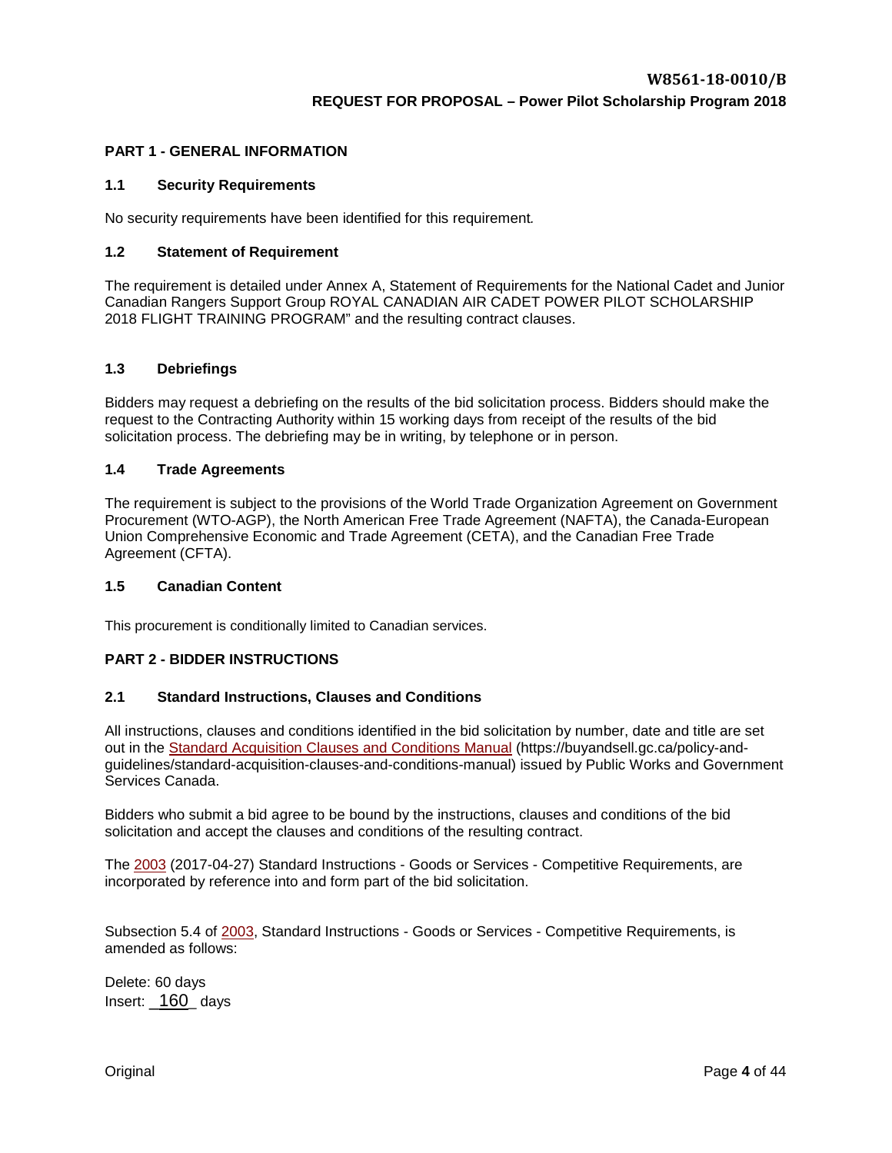#### <span id="page-2-0"></span>**PART 1 - GENERAL INFORMATION**

#### <span id="page-2-1"></span>**1.1 Security Requirements**

No security requirements have been identified for this requirement*.*

#### <span id="page-2-2"></span>**1.2 Statement of Requirement**

The requirement is detailed under Annex A, Statement of Requirements for the National Cadet and Junior Canadian Rangers Support Group ROYAL CANADIAN AIR CADET POWER PILOT SCHOLARSHIP 2018 FLIGHT TRAINING PROGRAM" and the resulting contract clauses.

#### <span id="page-2-3"></span>**1.3 Debriefings**

Bidders may request a debriefing on the results of the bid solicitation process. Bidders should make the request to the Contracting Authority within 15 working days from receipt of the results of the bid solicitation process. The debriefing may be in writing, by telephone or in person.

#### <span id="page-2-4"></span>**1.4 Trade Agreements**

The requirement is subject to the provisions of the World Trade Organization Agreement on Government Procurement (WTO-AGP), the North American Free Trade Agreement (NAFTA), the Canada-European Union Comprehensive Economic and Trade Agreement (CETA), and the Canadian Free Trade Agreement (CFTA).

#### <span id="page-2-5"></span>**1.5 Canadian Content**

This procurement is conditionally limited to Canadian services.

#### <span id="page-2-6"></span>**PART 2 - BIDDER INSTRUCTIONS**

#### <span id="page-2-7"></span>**2.1 Standard Instructions, Clauses and Conditions**

All instructions, clauses and conditions identified in the bid solicitation by number, date and title are set out in the [Standard Acquisition Clauses and Conditions Manual](https://buyandsell.gc.ca/policy-and-guidelines/standard-acquisition-clauses-and-conditions-manual) (https://buyandsell.gc.ca/policy-andguidelines/standard-acquisition-clauses-and-conditions-manual) issued by Public Works and Government Services Canada.

Bidders who submit a bid agree to be bound by the instructions, clauses and conditions of the bid solicitation and accept the clauses and conditions of the resulting contract.

The [2003](https://buyandsell.gc.ca/policy-and-guidelines/standard-acquisition-clauses-and-conditions-manual/1/2003/active) (2017-04-27) Standard Instructions - Goods or Services - Competitive Requirements, are incorporated by reference into and form part of the bid solicitation.

Subsection 5.4 of [2003,](https://buyandsell.gc.ca/policy-and-guidelines/standard-acquisition-clauses-and-conditions-manual/1/2003/active) Standard Instructions - Goods or Services - Competitive Requirements, is amended as follows:

Delete: 60 days Insert: 160 days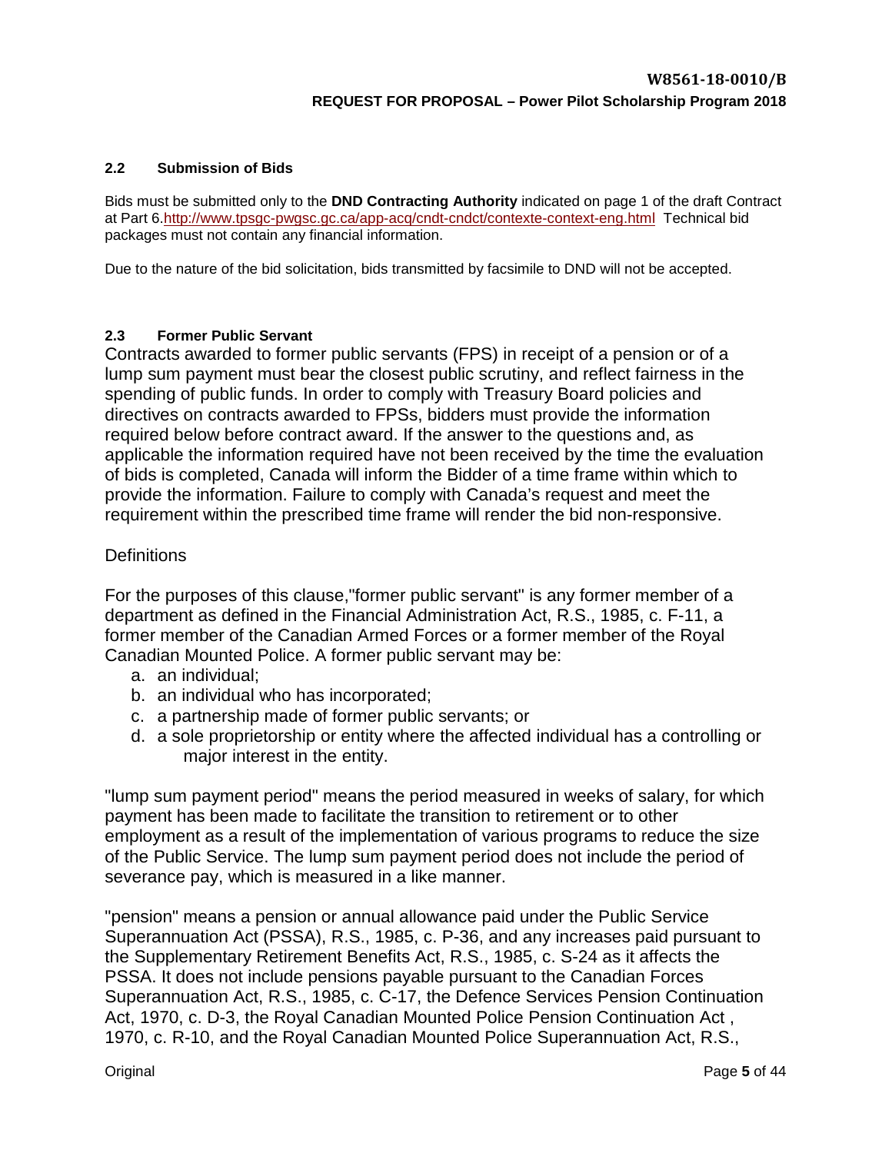## <span id="page-3-0"></span>**2.2 Submission of Bids**

Bids must be submitted only to the **DND Contracting Authority** indicated on page 1 of the draft Contract at Part 6[.http://www.tpsgc-pwgsc.gc.ca/app-acq/cndt-cndct/contexte-context-eng.html](http://www.tpsgc-pwgsc.gc.ca/app-acq/cndt-cndct/contexte-context-eng.html) Technical bid packages must not contain any financial information.

Due to the nature of the bid solicitation, bids transmitted by facsimile to DND will not be accepted.

## <span id="page-3-1"></span>**2.3 Former Public Servant**

Contracts awarded to former public servants (FPS) in receipt of a pension or of a lump sum payment must bear the closest public scrutiny, and reflect fairness in the spending of public funds. In order to comply with Treasury Board policies and directives on contracts awarded to FPSs, bidders must provide the information required below before contract award. If the answer to the questions and, as applicable the information required have not been received by the time the evaluation of bids is completed, Canada will inform the Bidder of a time frame within which to provide the information. Failure to comply with Canada's request and meet the requirement within the prescribed time frame will render the bid non-responsive.

## **Definitions**

For the purposes of this clause,"former public servant" is any former member of a department as defined in the Financial Administration Act, R.S., 1985, c. F-11, a former member of the Canadian Armed Forces or a former member of the Royal Canadian Mounted Police. A former public servant may be:

- a. an individual;
- b. an individual who has incorporated;
- c. a partnership made of former public servants; or
- d. a sole proprietorship or entity where the affected individual has a controlling or major interest in the entity.

"lump sum payment period" means the period measured in weeks of salary, for which payment has been made to facilitate the transition to retirement or to other employment as a result of the implementation of various programs to reduce the size of the Public Service. The lump sum payment period does not include the period of severance pay, which is measured in a like manner.

"pension" means a pension or annual allowance paid under the Public Service Superannuation Act (PSSA), R.S., 1985, c. P-36, and any increases paid pursuant to the Supplementary Retirement Benefits Act, R.S., 1985, c. S-24 as it affects the PSSA. It does not include pensions payable pursuant to the Canadian Forces Superannuation Act, R.S., 1985, c. C-17, the Defence Services Pension Continuation Act, 1970, c. D-3, the Royal Canadian Mounted Police Pension Continuation Act , 1970, c. R-10, and the Royal Canadian Mounted Police Superannuation Act, R.S.,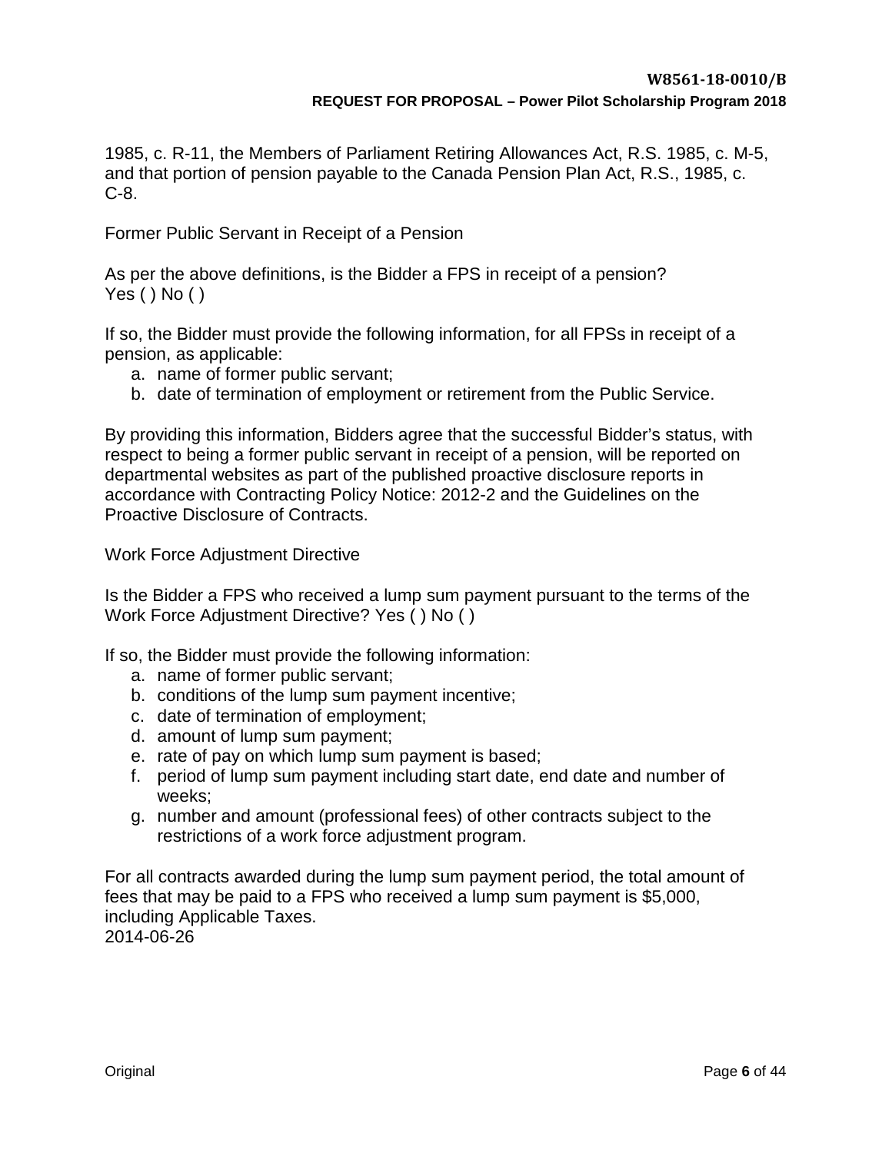1985, c. R-11, the Members of Parliament Retiring Allowances Act, R.S. 1985, c. M-5, and that portion of pension payable to the Canada Pension Plan Act, R.S., 1985, c. C-8.

Former Public Servant in Receipt of a Pension

As per the above definitions, is the Bidder a FPS in receipt of a pension? Yes ( ) No ( )

If so, the Bidder must provide the following information, for all FPSs in receipt of a pension, as applicable:

- a. name of former public servant;
- b. date of termination of employment or retirement from the Public Service.

By providing this information, Bidders agree that the successful Bidder's status, with respect to being a former public servant in receipt of a pension, will be reported on departmental websites as part of the published proactive disclosure reports in accordance with Contracting Policy Notice: 2012-2 and the Guidelines on the Proactive Disclosure of Contracts.

Work Force Adjustment Directive

Is the Bidder a FPS who received a lump sum payment pursuant to the terms of the Work Force Adjustment Directive? Yes ( ) No ( )

If so, the Bidder must provide the following information:

- a. name of former public servant;
- b. conditions of the lump sum payment incentive;
- c. date of termination of employment;
- d. amount of lump sum payment;
- e. rate of pay on which lump sum payment is based;
- f. period of lump sum payment including start date, end date and number of weeks;
- g. number and amount (professional fees) of other contracts subject to the restrictions of a work force adjustment program.

For all contracts awarded during the lump sum payment period, the total amount of fees that may be paid to a FPS who received a lump sum payment is \$5,000, including Applicable Taxes.

2014-06-26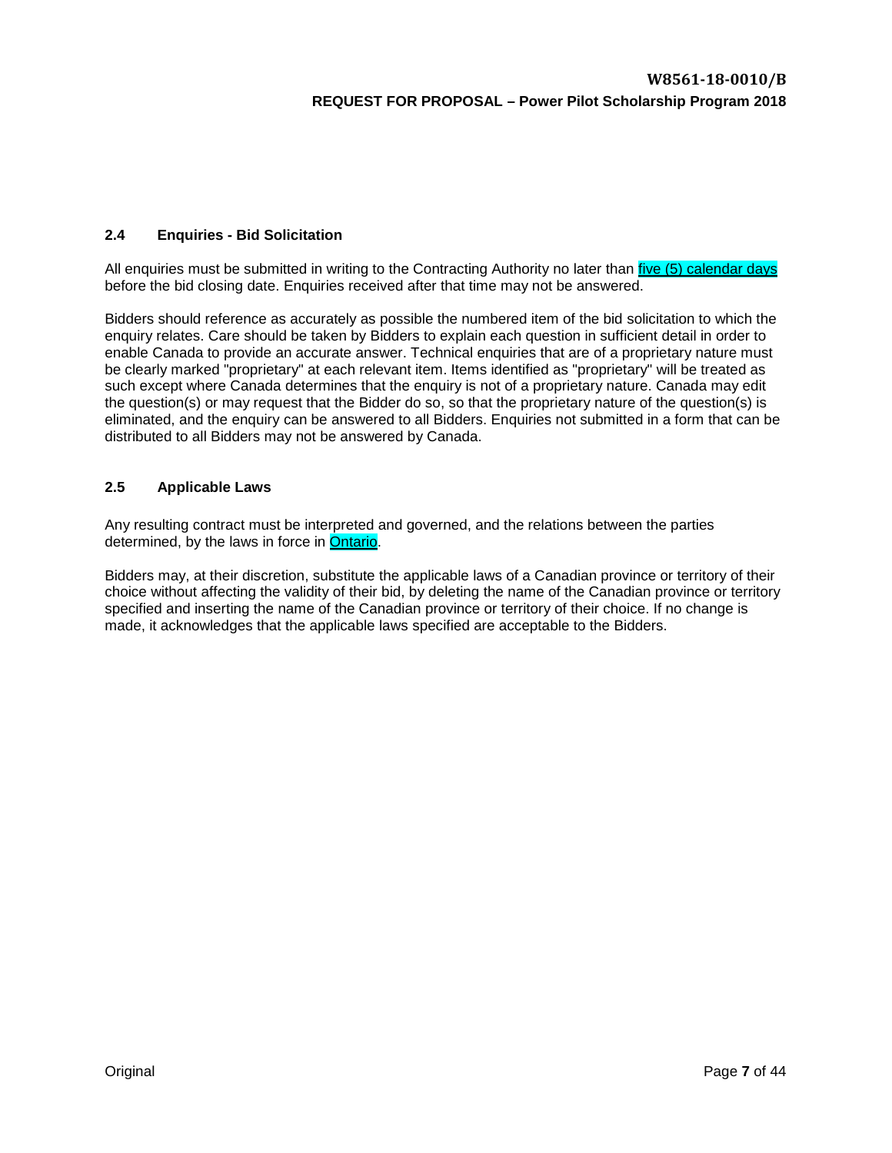## <span id="page-5-0"></span>**2.4 Enquiries - Bid Solicitation**

All enquiries must be submitted in writing to the Contracting Authority no later than *five (5) calendar days* before the bid closing date. Enquiries received after that time may not be answered.

Bidders should reference as accurately as possible the numbered item of the bid solicitation to which the enquiry relates. Care should be taken by Bidders to explain each question in sufficient detail in order to enable Canada to provide an accurate answer. Technical enquiries that are of a proprietary nature must be clearly marked "proprietary" at each relevant item. Items identified as "proprietary" will be treated as such except where Canada determines that the enquiry is not of a proprietary nature. Canada may edit the question(s) or may request that the Bidder do so, so that the proprietary nature of the question(s) is eliminated, and the enquiry can be answered to all Bidders. Enquiries not submitted in a form that can be distributed to all Bidders may not be answered by Canada.

#### <span id="page-5-1"></span>**2.5 Applicable Laws**

Any resulting contract must be interpreted and governed, and the relations between the parties determined, by the laws in force in Ontario.

Bidders may, at their discretion, substitute the applicable laws of a Canadian province or territory of their choice without affecting the validity of their bid, by deleting the name of the Canadian province or territory specified and inserting the name of the Canadian province or territory of their choice. If no change is made, it acknowledges that the applicable laws specified are acceptable to the Bidders.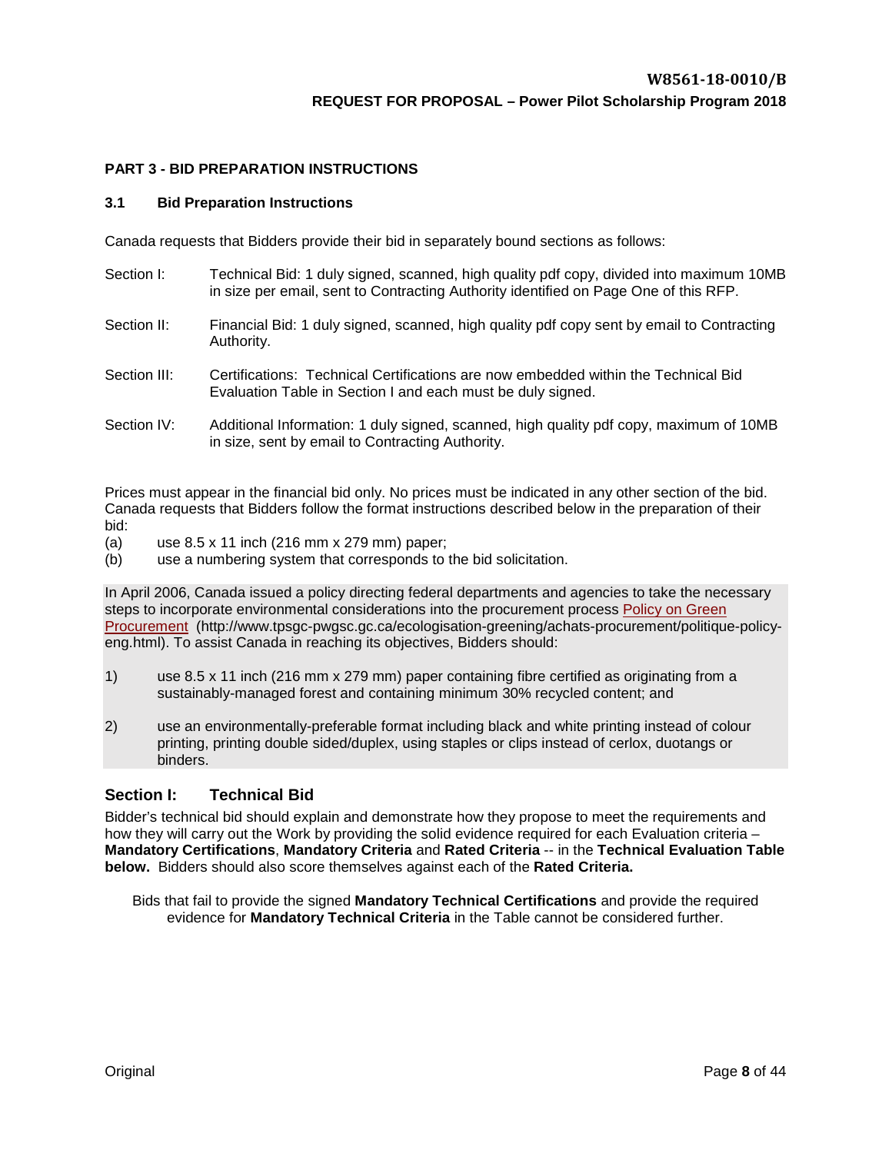#### <span id="page-6-0"></span>**PART 3 - BID PREPARATION INSTRUCTIONS**

#### <span id="page-6-1"></span>**3.1 Bid Preparation Instructions**

Canada requests that Bidders provide their bid in separately bound sections as follows:

- Section I: Technical Bid: 1 duly signed, scanned, high quality pdf copy, divided into maximum 10MB in size per email, sent to Contracting Authority identified on Page One of this RFP.
- Section II: Financial Bid: 1 duly signed, scanned, high quality pdf copy sent by email to Contracting Authority.
- Section III: Certifications: Technical Certifications are now embedded within the Technical Bid Evaluation Table in Section I and each must be duly signed.
- Section IV: Additional Information: 1 duly signed, scanned, high quality pdf copy, maximum of 10MB in size, sent by email to Contracting Authority.

Prices must appear in the financial bid only. No prices must be indicated in any other section of the bid. Canada requests that Bidders follow the format instructions described below in the preparation of their bid:

- (a) use 8.5 x 11 inch (216 mm x 279 mm) paper;
- (b) use a numbering system that corresponds to the bid solicitation.

In April 2006, Canada issued a policy directing federal departments and agencies to take the necessary steps to incorporate environmental considerations into the procurement process [Policy on Green](http://www.tpsgc-pwgsc.gc.ca/ecologisation-greening/achats-procurement/politique-policy-eng.html)  [Procurement](http://www.tpsgc-pwgsc.gc.ca/ecologisation-greening/achats-procurement/politique-policy-eng.html) (http://www.tpsgc-pwgsc.gc.ca/ecologisation-greening/achats-procurement/politique-policyeng.html). To assist Canada in reaching its objectives, Bidders should:

- 1) use 8.5 x 11 inch (216 mm x 279 mm) paper containing fibre certified as originating from a sustainably-managed forest and containing minimum 30% recycled content; and
- 2) use an environmentally-preferable format including black and white printing instead of colour printing, printing double sided/duplex, using staples or clips instead of cerlox, duotangs or binders.

#### <span id="page-6-2"></span>**Section I: Technical Bid**

Bidder's technical bid should explain and demonstrate how they propose to meet the requirements and how they will carry out the Work by providing the solid evidence required for each Evaluation criteria – **Mandatory Certifications**, **Mandatory Criteria** and **Rated Criteria** -- in the **Technical Evaluation Table below.** Bidders should also score themselves against each of the **Rated Criteria.** 

<span id="page-6-3"></span>Bids that fail to provide the signed **Mandatory Technical Certifications** and provide the required evidence for **Mandatory Technical Criteria** in the Table cannot be considered further.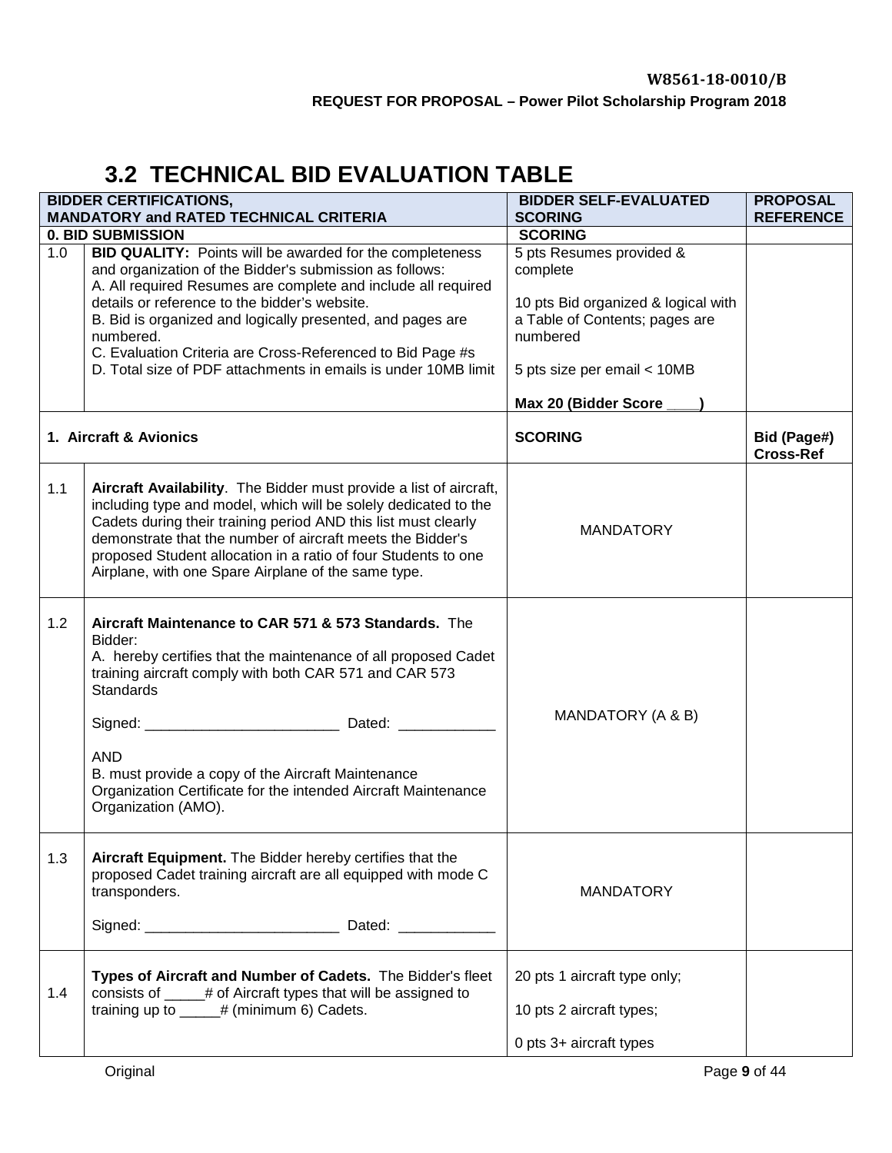# **3.2 TECHNICAL BID EVALUATION TABLE**

|     | <b>BIDDER CERTIFICATIONS,</b><br><b>MANDATORY and RATED TECHNICAL CRITERIA</b>                                                                                                                                                                                                                                                                                                                                                                          | <b>BIDDER SELF-EVALUATED</b><br><b>SCORING</b>                                                                                                                                   | <b>PROPOSAL</b><br><b>REFERENCE</b> |
|-----|---------------------------------------------------------------------------------------------------------------------------------------------------------------------------------------------------------------------------------------------------------------------------------------------------------------------------------------------------------------------------------------------------------------------------------------------------------|----------------------------------------------------------------------------------------------------------------------------------------------------------------------------------|-------------------------------------|
|     | <b>0. BID SUBMISSION</b>                                                                                                                                                                                                                                                                                                                                                                                                                                | <b>SCORING</b>                                                                                                                                                                   |                                     |
| 1.0 | <b>BID QUALITY:</b> Points will be awarded for the completeness<br>and organization of the Bidder's submission as follows:<br>A. All required Resumes are complete and include all required<br>details or reference to the bidder's website.<br>B. Bid is organized and logically presented, and pages are<br>numbered.<br>C. Evaluation Criteria are Cross-Referenced to Bid Page #s<br>D. Total size of PDF attachments in emails is under 10MB limit | 5 pts Resumes provided &<br>complete<br>10 pts Bid organized & logical with<br>a Table of Contents; pages are<br>numbered<br>5 pts size per email < 10MB<br>Max 20 (Bidder Score |                                     |
|     | 1. Aircraft & Avionics                                                                                                                                                                                                                                                                                                                                                                                                                                  | <b>SCORING</b>                                                                                                                                                                   | Bid (Page#)<br><b>Cross-Ref</b>     |
| 1.1 | Aircraft Availability. The Bidder must provide a list of aircraft,<br>including type and model, which will be solely dedicated to the<br>Cadets during their training period AND this list must clearly<br>demonstrate that the number of aircraft meets the Bidder's<br>proposed Student allocation in a ratio of four Students to one<br>Airplane, with one Spare Airplane of the same type.                                                          | <b>MANDATORY</b>                                                                                                                                                                 |                                     |
| 1.2 | Aircraft Maintenance to CAR 571 & 573 Standards. The<br>Bidder:<br>A. hereby certifies that the maintenance of all proposed Cadet<br>training aircraft comply with both CAR 571 and CAR 573<br><b>Standards</b><br><b>AND</b><br>B. must provide a copy of the Aircraft Maintenance<br>Organization Certificate for the intended Aircraft Maintenance<br>Organization (AMO).                                                                            | MANDATORY (A & B)                                                                                                                                                                |                                     |
| 1.3 | Aircraft Equipment. The Bidder hereby certifies that the<br>proposed Cadet training aircraft are all equipped with mode C<br>transponders.                                                                                                                                                                                                                                                                                                              | <b>MANDATORY</b>                                                                                                                                                                 |                                     |
| 1.4 | Types of Aircraft and Number of Cadets. The Bidder's fleet<br>consists of _____# of Aircraft types that will be assigned to<br>training up to $\_\_\_\#$ (minimum 6) Cadets.                                                                                                                                                                                                                                                                            | 20 pts 1 aircraft type only;<br>10 pts 2 aircraft types;<br>0 pts 3+ aircraft types                                                                                              |                                     |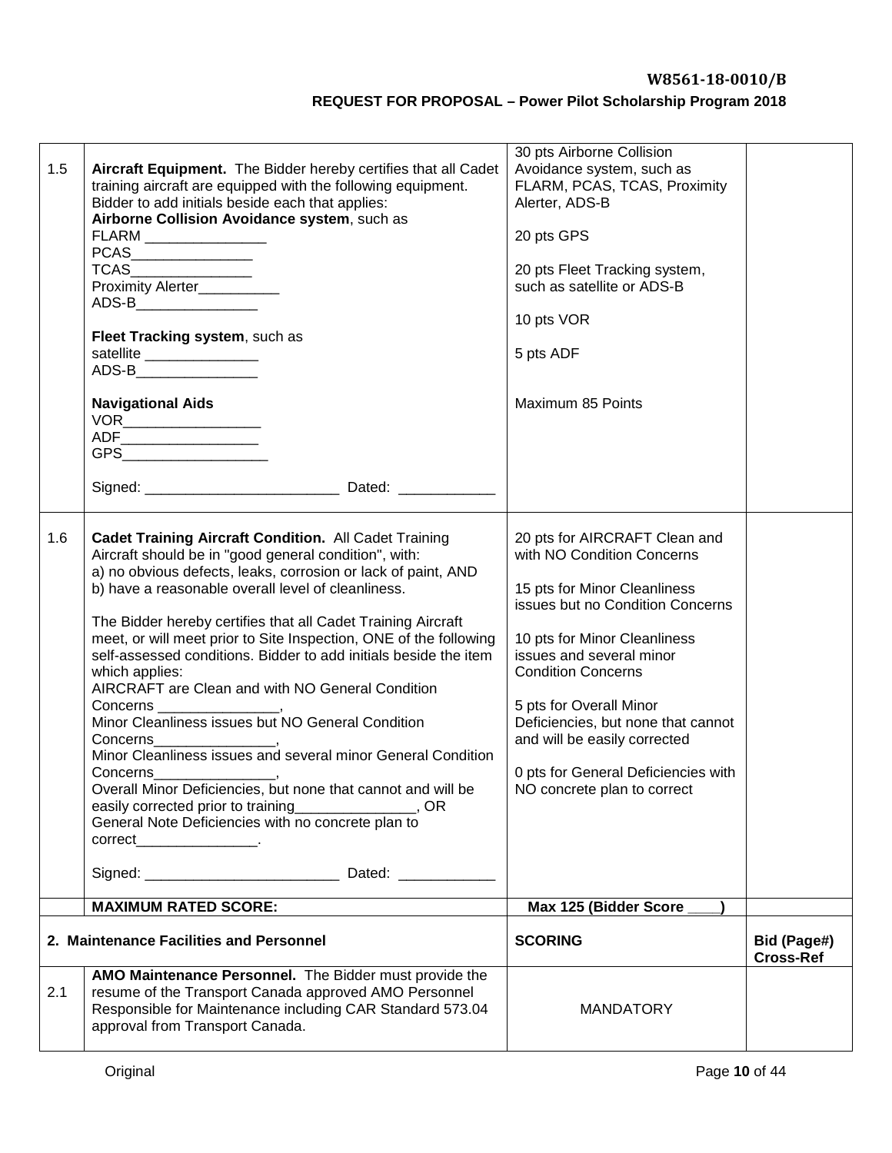| 1.5 | Aircraft Equipment. The Bidder hereby certifies that all Cadet<br>training aircraft are equipped with the following equipment.<br>Bidder to add initials beside each that applies:<br>Airborne Collision Avoidance system, such as                                                                                                                                                                                                                                                                                                                                                                                                                                                                                                                                                                                                                                                                                                  | 30 pts Airborne Collision<br>Avoidance system, such as<br>FLARM, PCAS, TCAS, Proximity<br>Alerter, ADS-B                                                                                                                                                                                                                                                                                        |                                 |
|-----|-------------------------------------------------------------------------------------------------------------------------------------------------------------------------------------------------------------------------------------------------------------------------------------------------------------------------------------------------------------------------------------------------------------------------------------------------------------------------------------------------------------------------------------------------------------------------------------------------------------------------------------------------------------------------------------------------------------------------------------------------------------------------------------------------------------------------------------------------------------------------------------------------------------------------------------|-------------------------------------------------------------------------------------------------------------------------------------------------------------------------------------------------------------------------------------------------------------------------------------------------------------------------------------------------------------------------------------------------|---------------------------------|
|     | FLARM ________________<br>$PCAS \begin{tabular}{ c c } \hline \quad \quad & \quad \quad & \quad \quad \\ \hline \end{tabular}$<br>TCAS ______________<br>Proximity Alerter___________                                                                                                                                                                                                                                                                                                                                                                                                                                                                                                                                                                                                                                                                                                                                               | 20 pts GPS<br>20 pts Fleet Tracking system,<br>such as satellite or ADS-B                                                                                                                                                                                                                                                                                                                       |                                 |
|     | ADS-B________________                                                                                                                                                                                                                                                                                                                                                                                                                                                                                                                                                                                                                                                                                                                                                                                                                                                                                                               | 10 pts VOR                                                                                                                                                                                                                                                                                                                                                                                      |                                 |
|     | Fleet Tracking system, such as<br>satellite _______________                                                                                                                                                                                                                                                                                                                                                                                                                                                                                                                                                                                                                                                                                                                                                                                                                                                                         | 5 pts ADF                                                                                                                                                                                                                                                                                                                                                                                       |                                 |
|     | <b>Navigational Aids</b><br>$\begin{picture}(180,10) \put(0,0){\line(1,0){100}} \put(0,0){\line(1,0){100}} \put(0,0){\line(1,0){100}} \put(0,0){\line(1,0){100}} \put(0,0){\line(1,0){100}} \put(0,0){\line(1,0){100}} \put(0,0){\line(1,0){100}} \put(0,0){\line(1,0){100}} \put(0,0){\line(1,0){100}} \put(0,0){\line(1,0){100}} \put(0,0){\line(1,0){100}} \put(0,0){\line($                                                                                                                                                                                                                                                                                                                                                                                                                                                                                                                                                     | Maximum 85 Points                                                                                                                                                                                                                                                                                                                                                                               |                                 |
|     |                                                                                                                                                                                                                                                                                                                                                                                                                                                                                                                                                                                                                                                                                                                                                                                                                                                                                                                                     |                                                                                                                                                                                                                                                                                                                                                                                                 |                                 |
| 1.6 | <b>Cadet Training Aircraft Condition. All Cadet Training</b><br>Aircraft should be in "good general condition", with:<br>a) no obvious defects, leaks, corrosion or lack of paint, AND<br>b) have a reasonable overall level of cleanliness.<br>The Bidder hereby certifies that all Cadet Training Aircraft<br>meet, or will meet prior to Site Inspection, ONE of the following<br>self-assessed conditions. Bidder to add initials beside the item<br>which applies:<br>AIRCRAFT are Clean and with NO General Condition<br>Concerns __<br>Minor Cleanliness issues but NO General Condition<br>Concerns<br>Minor Cleanliness issues and several minor General Condition<br>Concerns<br>Overall Minor Deficiencies, but none that cannot and will be<br>easily corrected prior to training ________________, OR<br>General Note Deficiencies with no concrete plan to<br>$correct$ ___________________.<br>Signed: Dated: Dated: | 20 pts for AIRCRAFT Clean and<br>with NO Condition Concerns<br>15 pts for Minor Cleanliness<br>issues but no Condition Concerns<br>10 pts for Minor Cleanliness<br>issues and several minor<br><b>Condition Concerns</b><br>5 pts for Overall Minor<br>Deficiencies, but none that cannot<br>and will be easily corrected<br>0 pts for General Deficiencies with<br>NO concrete plan to correct |                                 |
|     | <b>MAXIMUM RATED SCORE:</b>                                                                                                                                                                                                                                                                                                                                                                                                                                                                                                                                                                                                                                                                                                                                                                                                                                                                                                         | Max 125 (Bidder Score                                                                                                                                                                                                                                                                                                                                                                           |                                 |
|     | 2. Maintenance Facilities and Personnel                                                                                                                                                                                                                                                                                                                                                                                                                                                                                                                                                                                                                                                                                                                                                                                                                                                                                             | <b>SCORING</b>                                                                                                                                                                                                                                                                                                                                                                                  | Bid (Page#)<br><b>Cross-Ref</b> |
| 2.1 | AMO Maintenance Personnel. The Bidder must provide the<br>resume of the Transport Canada approved AMO Personnel<br>Responsible for Maintenance including CAR Standard 573.04<br>approval from Transport Canada.                                                                                                                                                                                                                                                                                                                                                                                                                                                                                                                                                                                                                                                                                                                     | <b>MANDATORY</b>                                                                                                                                                                                                                                                                                                                                                                                |                                 |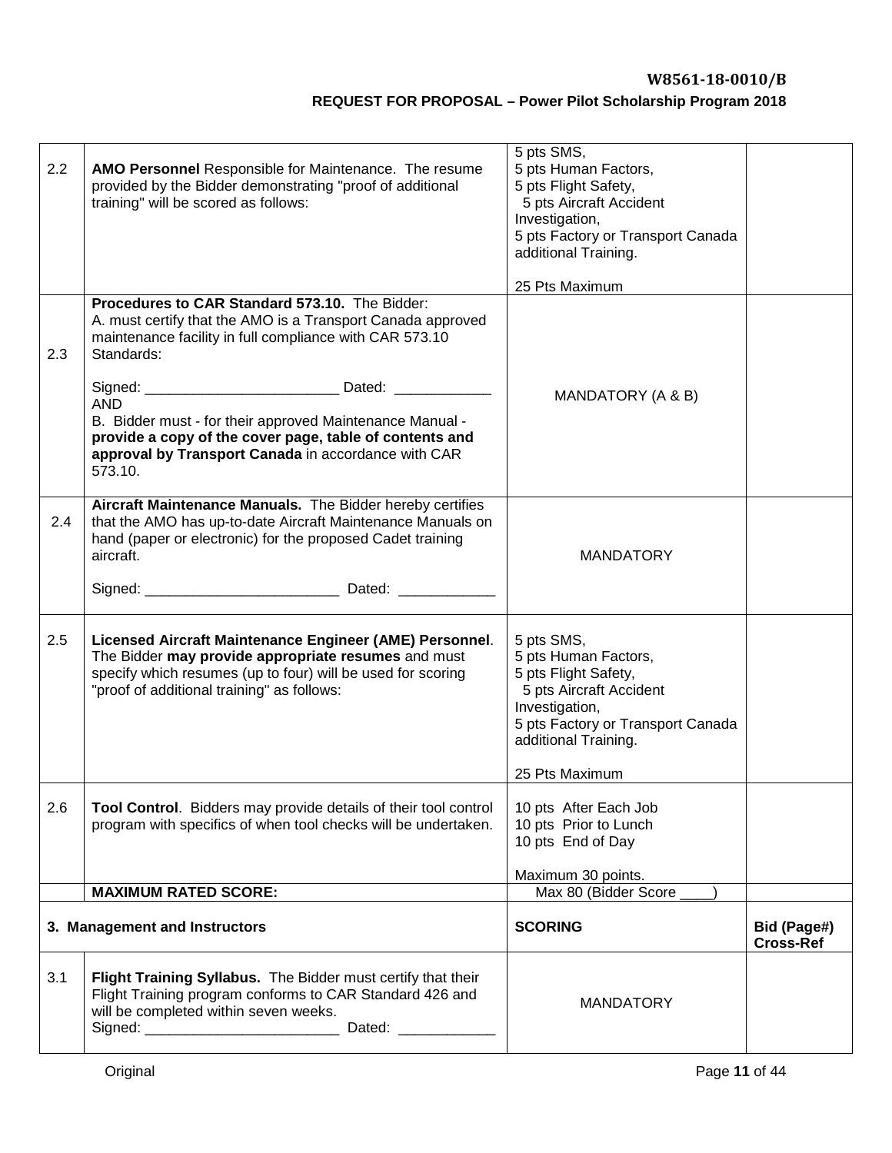| 2.2 | <b>AMO Personnel Responsible for Maintenance. The resume</b><br>provided by the Bidder demonstrating "proof of additional<br>training" will be scored as follows:                                                           | 5 pts SMS,<br>5 pts Human Factors,<br>5 pts Flight Safety,<br>5 pts Aircraft Accident<br>Investigation,<br>5 pts Factory or Transport Canada<br>additional Training.                   |                                 |
|-----|-----------------------------------------------------------------------------------------------------------------------------------------------------------------------------------------------------------------------------|----------------------------------------------------------------------------------------------------------------------------------------------------------------------------------------|---------------------------------|
|     |                                                                                                                                                                                                                             | 25 Pts Maximum                                                                                                                                                                         |                                 |
| 2.3 | Procedures to CAR Standard 573.10. The Bidder:<br>A. must certify that the AMO is a Transport Canada approved<br>maintenance facility in full compliance with CAR 573.10<br>Standards:                                      | MANDATORY (A & B)                                                                                                                                                                      |                                 |
|     | <b>AND</b><br>B. Bidder must - for their approved Maintenance Manual -<br>provide a copy of the cover page, table of contents and<br>approval by Transport Canada in accordance with CAR<br>573.10.                         |                                                                                                                                                                                        |                                 |
| 2.4 | Aircraft Maintenance Manuals. The Bidder hereby certifies<br>that the AMO has up-to-date Aircraft Maintenance Manuals on<br>hand (paper or electronic) for the proposed Cadet training<br>aircraft.                         | <b>MANDATORY</b>                                                                                                                                                                       |                                 |
|     |                                                                                                                                                                                                                             |                                                                                                                                                                                        |                                 |
| 2.5 | Licensed Aircraft Maintenance Engineer (AME) Personnel.<br>The Bidder may provide appropriate resumes and must<br>specify which resumes (up to four) will be used for scoring<br>"proof of additional training" as follows: | 5 pts SMS,<br>5 pts Human Factors,<br>5 pts Flight Safety,<br>5 pts Aircraft Accident<br>Investigation,<br>5 pts Factory or Transport Canada<br>additional Training.<br>25 Pts Maximum |                                 |
| 2.6 | Tool Control. Bidders may provide details of their tool control<br>program with specifics of when tool checks will be undertaken.                                                                                           | 10 pts After Each Job<br>10 pts Prior to Lunch<br>10 pts End of Day<br>Maximum 30 points.                                                                                              |                                 |
|     | <b>MAXIMUM RATED SCORE:</b>                                                                                                                                                                                                 | Max 80 (Bidder Score                                                                                                                                                                   |                                 |
|     | 3. Management and Instructors                                                                                                                                                                                               | <b>SCORING</b>                                                                                                                                                                         | Bid (Page#)<br><b>Cross-Ref</b> |
| 3.1 | Flight Training Syllabus. The Bidder must certify that their<br>Flight Training program conforms to CAR Standard 426 and<br>will be completed within seven weeks.                                                           | <b>MANDATORY</b>                                                                                                                                                                       |                                 |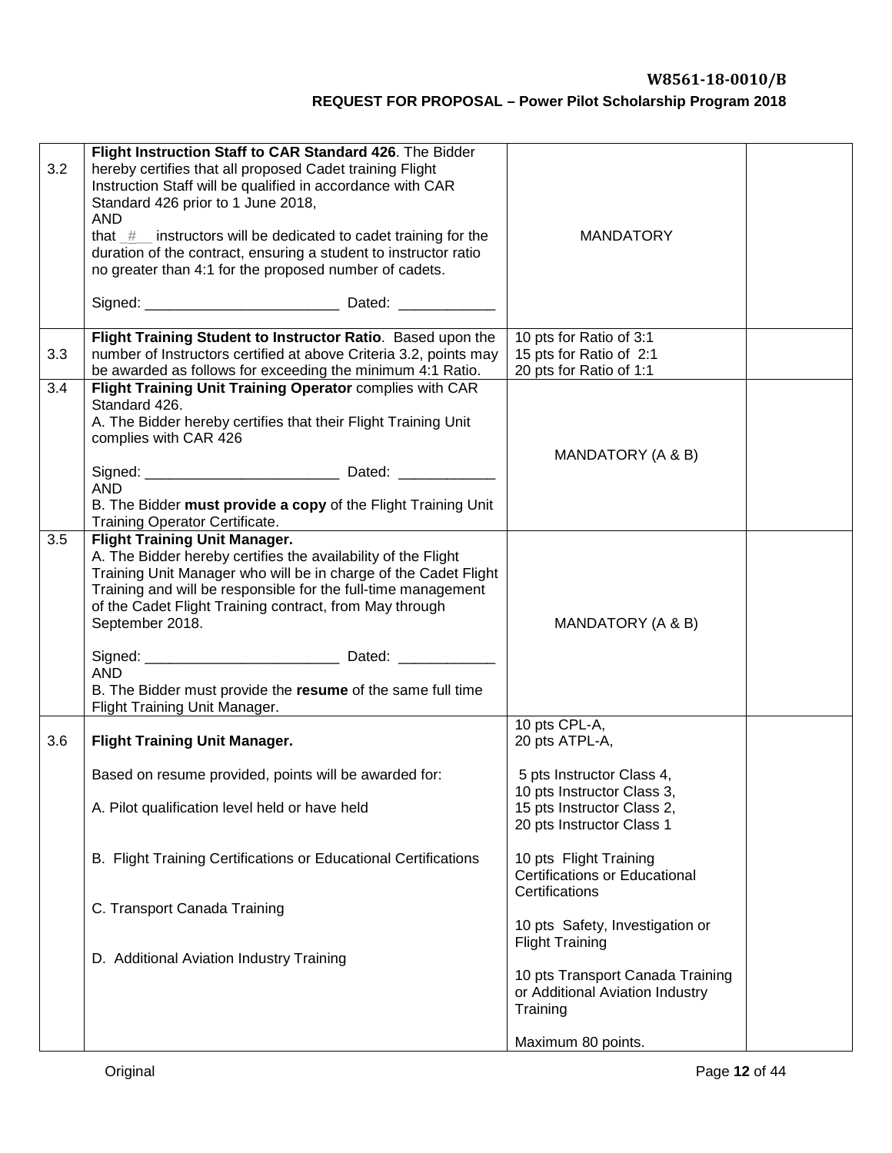| 3.2 | Flight Instruction Staff to CAR Standard 426. The Bidder<br>hereby certifies that all proposed Cadet training Flight<br>Instruction Staff will be qualified in accordance with CAR<br>Standard 426 prior to 1 June 2018,<br><b>AND</b><br>that $#$ instructors will be dedicated to cadet training for the<br>duration of the contract, ensuring a student to instructor ratio<br>no greater than 4:1 for the proposed number of cadets. | <b>MANDATORY</b>                                                                                                   |  |
|-----|------------------------------------------------------------------------------------------------------------------------------------------------------------------------------------------------------------------------------------------------------------------------------------------------------------------------------------------------------------------------------------------------------------------------------------------|--------------------------------------------------------------------------------------------------------------------|--|
|     |                                                                                                                                                                                                                                                                                                                                                                                                                                          |                                                                                                                    |  |
| 3.3 | Flight Training Student to Instructor Ratio. Based upon the<br>number of Instructors certified at above Criteria 3.2, points may<br>be awarded as follows for exceeding the minimum 4:1 Ratio.                                                                                                                                                                                                                                           | 10 pts for Ratio of 3:1<br>15 pts for Ratio of 2:1<br>20 pts for Ratio of 1:1                                      |  |
| 3.4 | Flight Training Unit Training Operator complies with CAR<br>Standard 426.<br>A. The Bidder hereby certifies that their Flight Training Unit<br>complies with CAR 426<br><b>AND</b><br>B. The Bidder must provide a copy of the Flight Training Unit<br>Training Operator Certificate.                                                                                                                                                    | MANDATORY (A & B)                                                                                                  |  |
| 3.5 | <b>Flight Training Unit Manager.</b><br>A. The Bidder hereby certifies the availability of the Flight<br>Training Unit Manager who will be in charge of the Cadet Flight<br>Training and will be responsible for the full-time management<br>of the Cadet Flight Training contract, from May through<br>September 2018.<br><b>AND</b><br>B. The Bidder must provide the resume of the same full time<br>Flight Training Unit Manager.    | MANDATORY (A & B)                                                                                                  |  |
| 3.6 | <b>Flight Training Unit Manager.</b>                                                                                                                                                                                                                                                                                                                                                                                                     | 10 pts CPL-A,<br>20 pts ATPL-A,                                                                                    |  |
|     | Based on resume provided, points will be awarded for:<br>A. Pilot qualification level held or have held                                                                                                                                                                                                                                                                                                                                  | 5 pts Instructor Class 4,<br>10 pts Instructor Class 3,<br>15 pts Instructor Class 2,<br>20 pts Instructor Class 1 |  |
|     | B. Flight Training Certifications or Educational Certifications                                                                                                                                                                                                                                                                                                                                                                          | 10 pts Flight Training<br><b>Certifications or Educational</b>                                                     |  |
|     | C. Transport Canada Training                                                                                                                                                                                                                                                                                                                                                                                                             | Certifications<br>10 pts Safety, Investigation or<br><b>Flight Training</b>                                        |  |
|     | D. Additional Aviation Industry Training                                                                                                                                                                                                                                                                                                                                                                                                 | 10 pts Transport Canada Training<br>or Additional Aviation Industry<br>Training                                    |  |
|     |                                                                                                                                                                                                                                                                                                                                                                                                                                          | Maximum 80 points.                                                                                                 |  |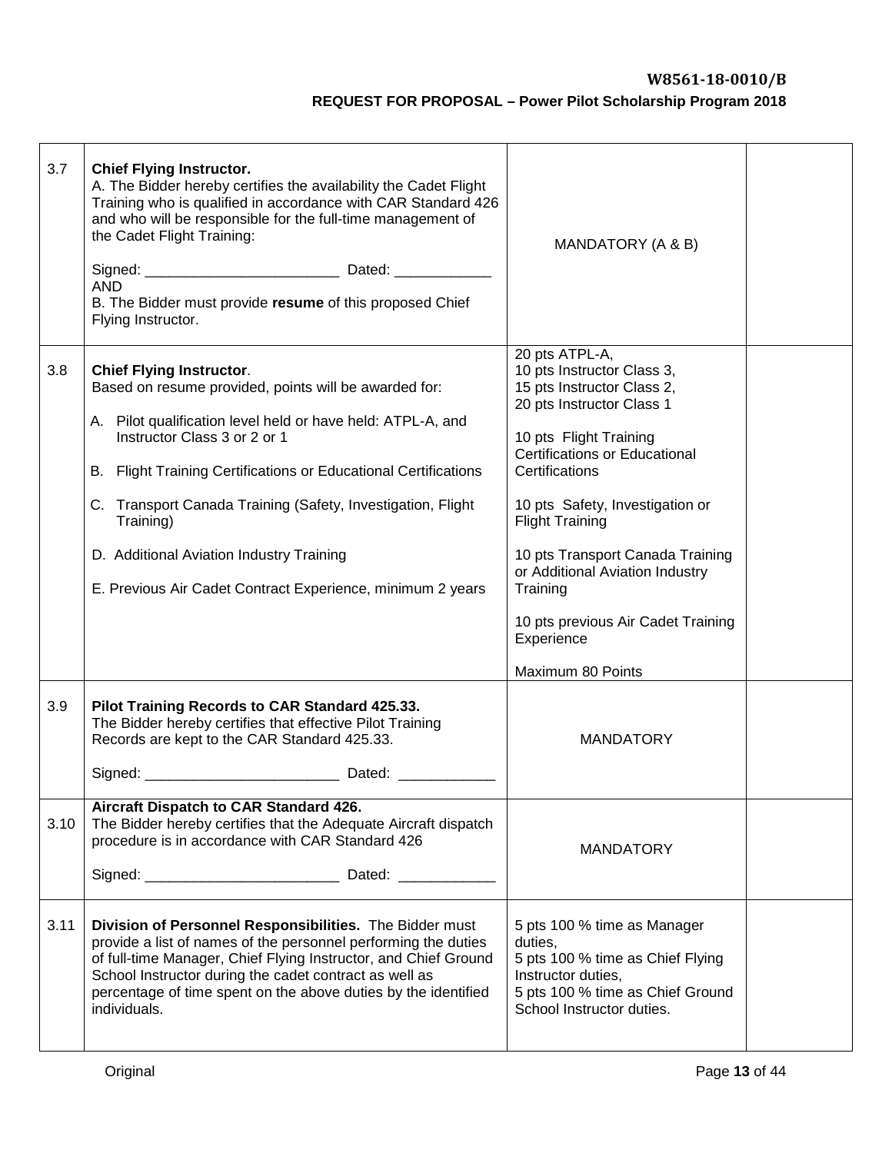| 3.7  | <b>Chief Flying Instructor.</b><br>A. The Bidder hereby certifies the availability the Cadet Flight<br>Training who is qualified in accordance with CAR Standard 426<br>and who will be responsible for the full-time management of<br>the Cadet Flight Training:<br><b>AND</b><br>B. The Bidder must provide resume of this proposed Chief<br>Flying Instructor.                                                                                | MANDATORY (A & B)                                                                                                                                                                                                                                                                                                                                                                                                    |  |
|------|--------------------------------------------------------------------------------------------------------------------------------------------------------------------------------------------------------------------------------------------------------------------------------------------------------------------------------------------------------------------------------------------------------------------------------------------------|----------------------------------------------------------------------------------------------------------------------------------------------------------------------------------------------------------------------------------------------------------------------------------------------------------------------------------------------------------------------------------------------------------------------|--|
| 3.8  | <b>Chief Flying Instructor.</b><br>Based on resume provided, points will be awarded for:<br>A. Pilot qualification level held or have held: ATPL-A, and<br>Instructor Class 3 or 2 or 1<br>B. Flight Training Certifications or Educational Certifications<br>C. Transport Canada Training (Safety, Investigation, Flight<br>Training)<br>D. Additional Aviation Industry Training<br>E. Previous Air Cadet Contract Experience, minimum 2 years | 20 pts ATPL-A,<br>10 pts Instructor Class 3,<br>15 pts Instructor Class 2,<br>20 pts Instructor Class 1<br>10 pts Flight Training<br><b>Certifications or Educational</b><br>Certifications<br>10 pts Safety, Investigation or<br><b>Flight Training</b><br>10 pts Transport Canada Training<br>or Additional Aviation Industry<br>Training<br>10 pts previous Air Cadet Training<br>Experience<br>Maximum 80 Points |  |
| 3.9  | Pilot Training Records to CAR Standard 425.33.<br>The Bidder hereby certifies that effective Pilot Training<br>Records are kept to the CAR Standard 425.33.                                                                                                                                                                                                                                                                                      | <b>MANDATORY</b>                                                                                                                                                                                                                                                                                                                                                                                                     |  |
| 3.10 | Aircraft Dispatch to CAR Standard 426.<br>The Bidder hereby certifies that the Adequate Aircraft dispatch<br>procedure is in accordance with CAR Standard 426                                                                                                                                                                                                                                                                                    | <b>MANDATORY</b>                                                                                                                                                                                                                                                                                                                                                                                                     |  |
| 3.11 | Division of Personnel Responsibilities. The Bidder must<br>provide a list of names of the personnel performing the duties<br>of full-time Manager, Chief Flying Instructor, and Chief Ground<br>School Instructor during the cadet contract as well as<br>percentage of time spent on the above duties by the identified<br>individuals.                                                                                                         | 5 pts 100 % time as Manager<br>duties,<br>5 pts 100 % time as Chief Flying<br>Instructor duties,<br>5 pts 100 % time as Chief Ground<br>School Instructor duties.                                                                                                                                                                                                                                                    |  |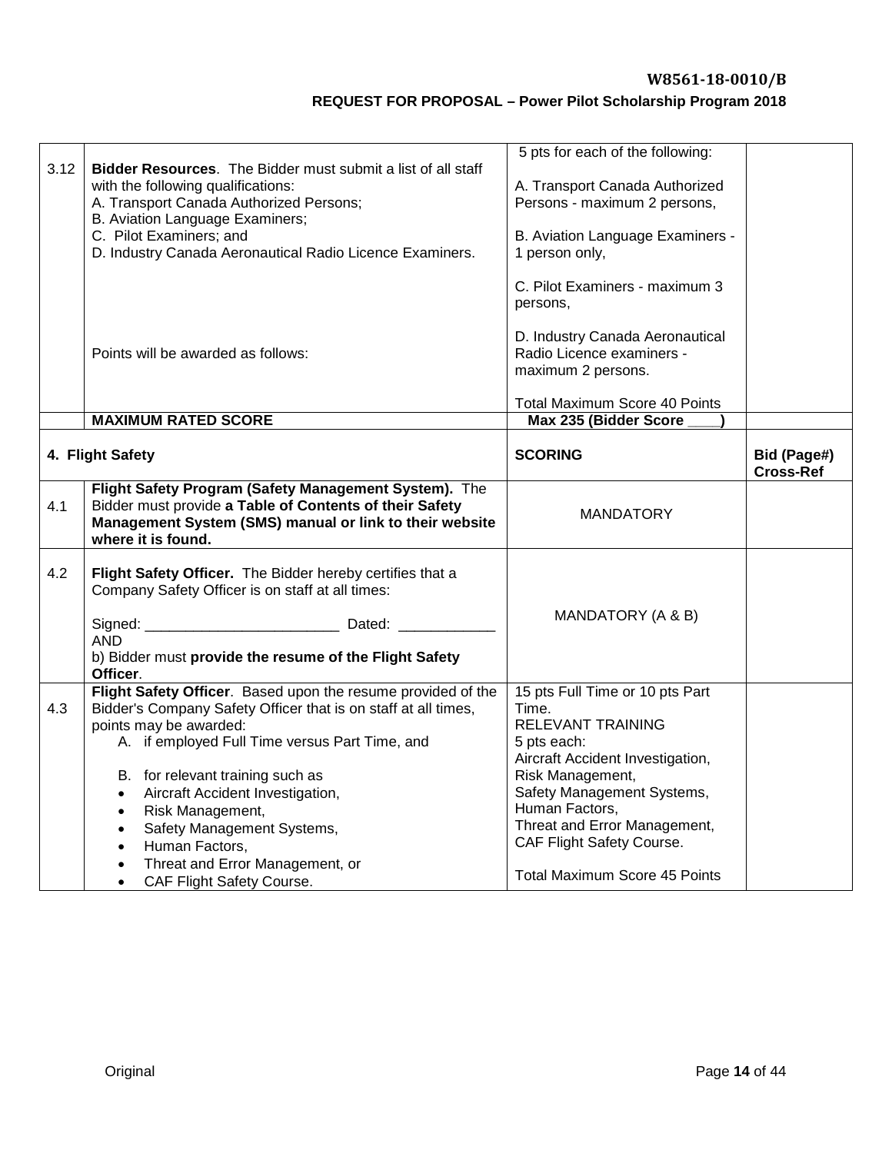| 3.12 | Bidder Resources. The Bidder must submit a list of all staff<br>with the following qualifications:<br>A. Transport Canada Authorized Persons;<br>B. Aviation Language Examiners;<br>C. Pilot Examiners; and<br>D. Industry Canada Aeronautical Radio Licence Examiners.                                                                                                                                                                                                                              | 5 pts for each of the following:<br>A. Transport Canada Authorized<br>Persons - maximum 2 persons,<br>B. Aviation Language Examiners -<br>1 person only,<br>C. Pilot Examiners - maximum 3<br>persons,                                                                                    |                                 |
|------|------------------------------------------------------------------------------------------------------------------------------------------------------------------------------------------------------------------------------------------------------------------------------------------------------------------------------------------------------------------------------------------------------------------------------------------------------------------------------------------------------|-------------------------------------------------------------------------------------------------------------------------------------------------------------------------------------------------------------------------------------------------------------------------------------------|---------------------------------|
|      | Points will be awarded as follows:                                                                                                                                                                                                                                                                                                                                                                                                                                                                   | D. Industry Canada Aeronautical<br>Radio Licence examiners -<br>maximum 2 persons.<br>Total Maximum Score 40 Points                                                                                                                                                                       |                                 |
|      | <b>MAXIMUM RATED SCORE</b>                                                                                                                                                                                                                                                                                                                                                                                                                                                                           | Max 235 (Bidder Score                                                                                                                                                                                                                                                                     |                                 |
|      | 4. Flight Safety                                                                                                                                                                                                                                                                                                                                                                                                                                                                                     | <b>SCORING</b>                                                                                                                                                                                                                                                                            | Bid (Page#)<br><b>Cross-Ref</b> |
| 4.1  | Flight Safety Program (Safety Management System). The<br>Bidder must provide a Table of Contents of their Safety<br>Management System (SMS) manual or link to their website<br>where it is found.                                                                                                                                                                                                                                                                                                    | <b>MANDATORY</b>                                                                                                                                                                                                                                                                          |                                 |
| 4.2  | Flight Safety Officer. The Bidder hereby certifies that a<br>Company Safety Officer is on staff at all times:<br><b>AND</b><br>b) Bidder must provide the resume of the Flight Safety<br>Officer.                                                                                                                                                                                                                                                                                                    | MANDATORY (A & B)                                                                                                                                                                                                                                                                         |                                 |
| 4.3  | Flight Safety Officer. Based upon the resume provided of the<br>Bidder's Company Safety Officer that is on staff at all times,<br>points may be awarded:<br>A. if employed Full Time versus Part Time, and<br>B. for relevant training such as<br>Aircraft Accident Investigation,<br>$\bullet$<br>Risk Management,<br>$\bullet$<br>Safety Management Systems,<br>$\bullet$<br>Human Factors,<br>$\bullet$<br>Threat and Error Management, or<br>$\bullet$<br>CAF Flight Safety Course.<br>$\bullet$ | 15 pts Full Time or 10 pts Part<br>Time.<br>RELEVANT TRAINING<br>5 pts each:<br>Aircraft Accident Investigation,<br>Risk Management,<br>Safety Management Systems,<br>Human Factors,<br>Threat and Error Management,<br>CAF Flight Safety Course.<br><b>Total Maximum Score 45 Points</b> |                                 |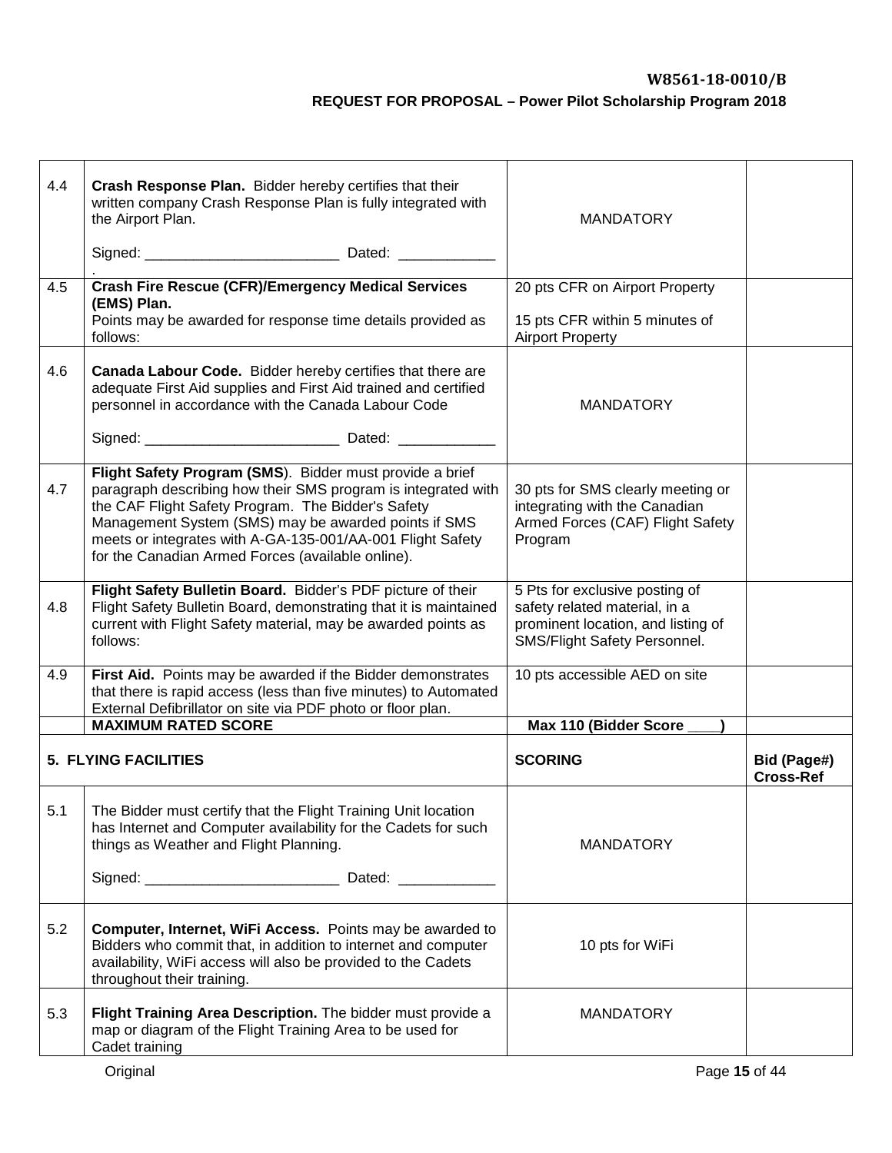| 4.4 | Crash Response Plan. Bidder hereby certifies that their<br>written company Crash Response Plan is fully integrated with<br>the Airport Plan.                                                                                                                                                                                                               | <b>MANDATORY</b>                                                                                                                      |                                 |
|-----|------------------------------------------------------------------------------------------------------------------------------------------------------------------------------------------------------------------------------------------------------------------------------------------------------------------------------------------------------------|---------------------------------------------------------------------------------------------------------------------------------------|---------------------------------|
| 4.5 | <b>Crash Fire Rescue (CFR)/Emergency Medical Services</b><br>(EMS) Plan.                                                                                                                                                                                                                                                                                   | 20 pts CFR on Airport Property                                                                                                        |                                 |
|     | Points may be awarded for response time details provided as<br>follows:                                                                                                                                                                                                                                                                                    | 15 pts CFR within 5 minutes of<br><b>Airport Property</b>                                                                             |                                 |
| 4.6 | Canada Labour Code. Bidder hereby certifies that there are<br>adequate First Aid supplies and First Aid trained and certified<br>personnel in accordance with the Canada Labour Code                                                                                                                                                                       | <b>MANDATORY</b>                                                                                                                      |                                 |
|     |                                                                                                                                                                                                                                                                                                                                                            |                                                                                                                                       |                                 |
| 4.7 | Flight Safety Program (SMS). Bidder must provide a brief<br>paragraph describing how their SMS program is integrated with<br>the CAF Flight Safety Program. The Bidder's Safety<br>Management System (SMS) may be awarded points if SMS<br>meets or integrates with A-GA-135-001/AA-001 Flight Safety<br>for the Canadian Armed Forces (available online). | 30 pts for SMS clearly meeting or<br>integrating with the Canadian<br>Armed Forces (CAF) Flight Safety<br>Program                     |                                 |
| 4.8 | Flight Safety Bulletin Board. Bidder's PDF picture of their<br>Flight Safety Bulletin Board, demonstrating that it is maintained<br>current with Flight Safety material, may be awarded points as<br>follows:                                                                                                                                              | 5 Pts for exclusive posting of<br>safety related material, in a<br>prominent location, and listing of<br>SMS/Flight Safety Personnel. |                                 |
| 4.9 | First Aid. Points may be awarded if the Bidder demonstrates<br>that there is rapid access (less than five minutes) to Automated<br>External Defibrillator on site via PDF photo or floor plan.                                                                                                                                                             | 10 pts accessible AED on site                                                                                                         |                                 |
|     | <b>MAXIMUM RATED SCORE</b>                                                                                                                                                                                                                                                                                                                                 | Max 110 (Bidder Score                                                                                                                 |                                 |
|     | <b>5. FLYING FACILITIES</b>                                                                                                                                                                                                                                                                                                                                | <b>SCORING</b>                                                                                                                        | Bid (Page#)<br><b>Cross-Ref</b> |
| 5.1 | The Bidder must certify that the Flight Training Unit location<br>has Internet and Computer availability for the Cadets for such<br>things as Weather and Flight Planning.                                                                                                                                                                                 | <b>MANDATORY</b>                                                                                                                      |                                 |
|     |                                                                                                                                                                                                                                                                                                                                                            |                                                                                                                                       |                                 |
| 5.2 | Computer, Internet, WiFi Access. Points may be awarded to<br>Bidders who commit that, in addition to internet and computer<br>availability, WiFi access will also be provided to the Cadets<br>throughout their training.                                                                                                                                  | 10 pts for WiFi                                                                                                                       |                                 |
| 5.3 | Flight Training Area Description. The bidder must provide a<br>map or diagram of the Flight Training Area to be used for<br>Cadet training                                                                                                                                                                                                                 | <b>MANDATORY</b>                                                                                                                      |                                 |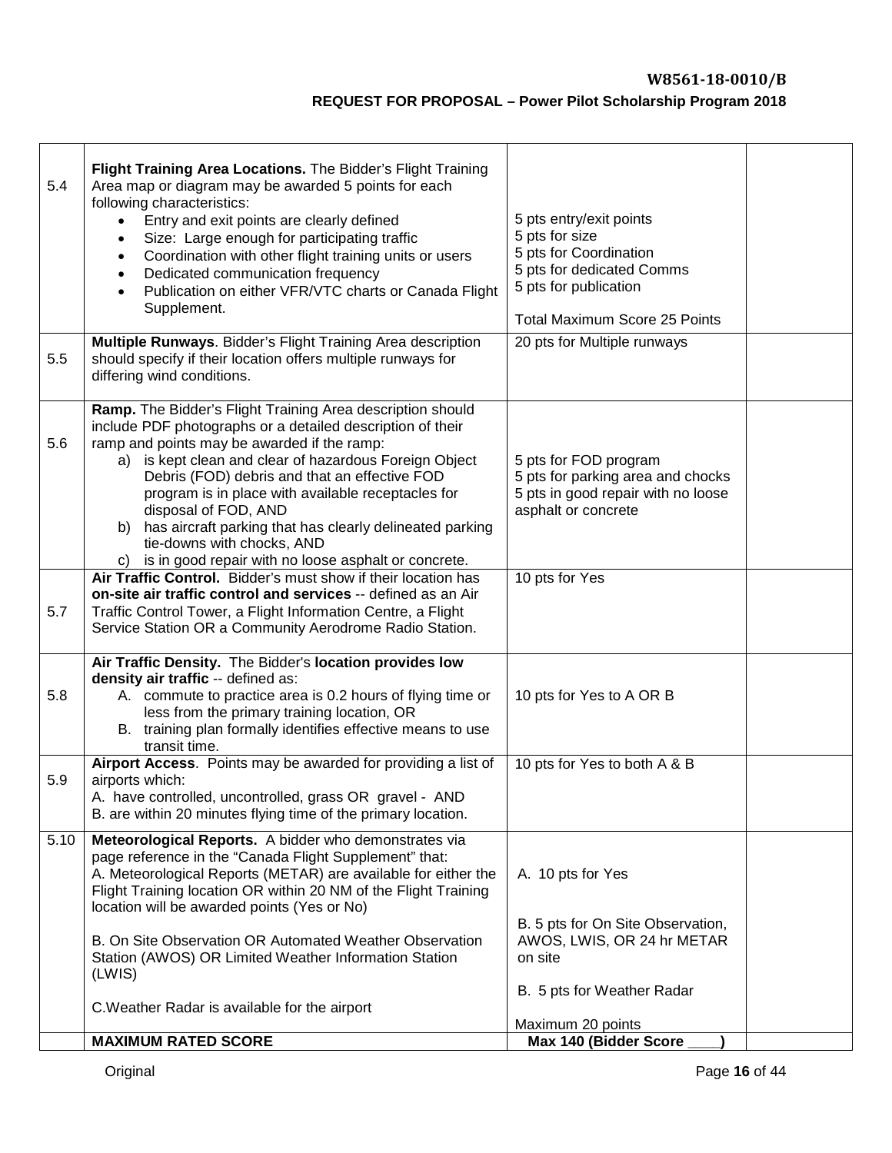| 5.4<br>5.5 | Flight Training Area Locations. The Bidder's Flight Training<br>Area map or diagram may be awarded 5 points for each<br>following characteristics:<br>Entry and exit points are clearly defined<br>$\bullet$<br>Size: Large enough for participating traffic<br>$\bullet$<br>Coordination with other flight training units or users<br>$\bullet$<br>Dedicated communication frequency<br>$\bullet$<br>Publication on either VFR/VTC charts or Canada Flight<br>$\bullet$<br>Supplement.<br>Multiple Runways. Bidder's Flight Training Area description<br>should specify if their location offers multiple runways for<br>differing wind conditions. | 5 pts entry/exit points<br>5 pts for size<br>5 pts for Coordination<br>5 pts for dedicated Comms<br>5 pts for publication<br><b>Total Maximum Score 25 Points</b><br>20 pts for Multiple runways |  |
|------------|------------------------------------------------------------------------------------------------------------------------------------------------------------------------------------------------------------------------------------------------------------------------------------------------------------------------------------------------------------------------------------------------------------------------------------------------------------------------------------------------------------------------------------------------------------------------------------------------------------------------------------------------------|--------------------------------------------------------------------------------------------------------------------------------------------------------------------------------------------------|--|
| 5.6        | Ramp. The Bidder's Flight Training Area description should<br>include PDF photographs or a detailed description of their<br>ramp and points may be awarded if the ramp:<br>a) is kept clean and clear of hazardous Foreign Object<br>Debris (FOD) debris and that an effective FOD<br>program is in place with available receptacles for<br>disposal of FOD, AND<br>has aircraft parking that has clearly delineated parking<br>b)<br>tie-downs with chocks, AND<br>is in good repair with no loose asphalt or concrete.<br>C)                                                                                                                       | 5 pts for FOD program<br>5 pts for parking area and chocks<br>5 pts in good repair with no loose<br>asphalt or concrete                                                                          |  |
| 5.7        | Air Traffic Control. Bidder's must show if their location has<br>on-site air traffic control and services -- defined as an Air<br>Traffic Control Tower, a Flight Information Centre, a Flight<br>Service Station OR a Community Aerodrome Radio Station.                                                                                                                                                                                                                                                                                                                                                                                            | 10 pts for Yes                                                                                                                                                                                   |  |
| 5.8        | Air Traffic Density. The Bidder's location provides low<br>density air traffic -- defined as:<br>A. commute to practice area is 0.2 hours of flying time or<br>less from the primary training location, OR<br>B. training plan formally identifies effective means to use<br>transit time.                                                                                                                                                                                                                                                                                                                                                           | 10 pts for Yes to A OR B                                                                                                                                                                         |  |
| 5.9        | Airport Access. Points may be awarded for providing a list of<br>airports which:<br>A. have controlled, uncontrolled, grass OR gravel - AND<br>B. are within 20 minutes flying time of the primary location.                                                                                                                                                                                                                                                                                                                                                                                                                                         | 10 pts for Yes to both A & B                                                                                                                                                                     |  |
| 5.10       | Meteorological Reports. A bidder who demonstrates via<br>page reference in the "Canada Flight Supplement" that:<br>A. Meteorological Reports (METAR) are available for either the<br>Flight Training location OR within 20 NM of the Flight Training<br>location will be awarded points (Yes or No)                                                                                                                                                                                                                                                                                                                                                  | A. 10 pts for Yes                                                                                                                                                                                |  |
|            | B. On Site Observation OR Automated Weather Observation<br>Station (AWOS) OR Limited Weather Information Station<br>(LWIS)                                                                                                                                                                                                                                                                                                                                                                                                                                                                                                                           | B. 5 pts for On Site Observation,<br>AWOS, LWIS, OR 24 hr METAR<br>on site<br>B. 5 pts for Weather Radar                                                                                         |  |
|            | C. Weather Radar is available for the airport<br><b>MAXIMUM RATED SCORE</b>                                                                                                                                                                                                                                                                                                                                                                                                                                                                                                                                                                          | Maximum 20 points<br>Max 140 (Bidder Score                                                                                                                                                       |  |
|            |                                                                                                                                                                                                                                                                                                                                                                                                                                                                                                                                                                                                                                                      |                                                                                                                                                                                                  |  |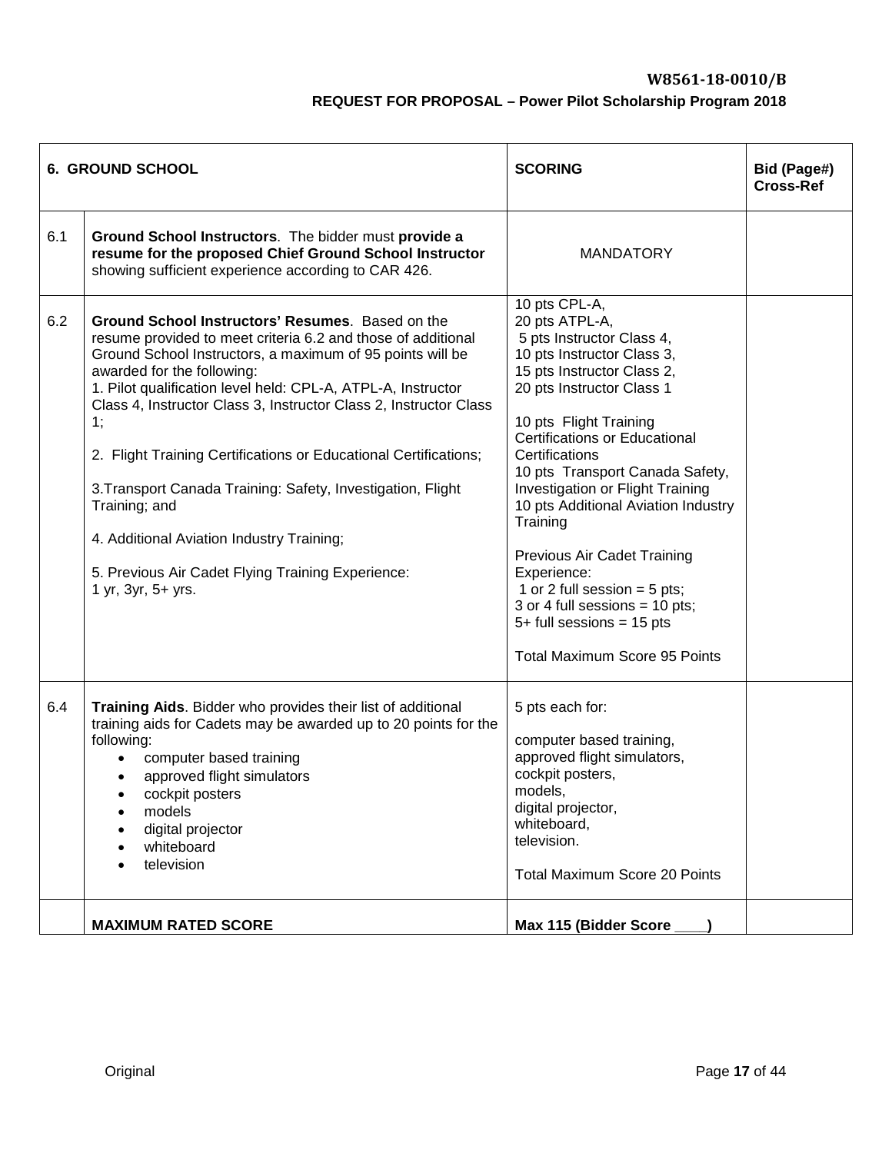|     | <b>6. GROUND SCHOOL</b>                                                                                                                                                                                                                                                                                                                                                                                                                                                                                                                                                                                                            | <b>SCORING</b>                                                                                                                                                                                                                                                                                                                                                                                                                                                                                                                                               | Bid (Page#)<br><b>Cross-Ref</b> |
|-----|------------------------------------------------------------------------------------------------------------------------------------------------------------------------------------------------------------------------------------------------------------------------------------------------------------------------------------------------------------------------------------------------------------------------------------------------------------------------------------------------------------------------------------------------------------------------------------------------------------------------------------|--------------------------------------------------------------------------------------------------------------------------------------------------------------------------------------------------------------------------------------------------------------------------------------------------------------------------------------------------------------------------------------------------------------------------------------------------------------------------------------------------------------------------------------------------------------|---------------------------------|
| 6.1 | Ground School Instructors. The bidder must provide a<br>resume for the proposed Chief Ground School Instructor<br>showing sufficient experience according to CAR 426.                                                                                                                                                                                                                                                                                                                                                                                                                                                              | <b>MANDATORY</b>                                                                                                                                                                                                                                                                                                                                                                                                                                                                                                                                             |                                 |
| 6.2 | Ground School Instructors' Resumes. Based on the<br>resume provided to meet criteria 6.2 and those of additional<br>Ground School Instructors, a maximum of 95 points will be<br>awarded for the following:<br>1. Pilot qualification level held: CPL-A, ATPL-A, Instructor<br>Class 4, Instructor Class 3, Instructor Class 2, Instructor Class<br>1;<br>2. Flight Training Certifications or Educational Certifications;<br>3. Transport Canada Training: Safety, Investigation, Flight<br>Training; and<br>4. Additional Aviation Industry Training;<br>5. Previous Air Cadet Flying Training Experience:<br>1 yr, 3yr, 5+ yrs. | 10 pts CPL-A,<br>20 pts ATPL-A,<br>5 pts Instructor Class 4,<br>10 pts Instructor Class 3,<br>15 pts Instructor Class 2,<br>20 pts Instructor Class 1<br>10 pts Flight Training<br><b>Certifications or Educational</b><br>Certifications<br>10 pts Transport Canada Safety,<br>Investigation or Flight Training<br>10 pts Additional Aviation Industry<br>Training<br>Previous Air Cadet Training<br>Experience:<br>1 or 2 full session $=$ 5 pts;<br>3 or 4 full sessions = 10 pts;<br>$5+$ full sessions = 15 pts<br><b>Total Maximum Score 95 Points</b> |                                 |
| 6.4 | Training Aids. Bidder who provides their list of additional<br>training aids for Cadets may be awarded up to 20 points for the<br>following:<br>computer based training<br>$\bullet$<br>approved flight simulators<br>cockpit posters<br>models<br>digital projector<br>whiteboard<br>television                                                                                                                                                                                                                                                                                                                                   | 5 pts each for:<br>computer based training,<br>approved flight simulators,<br>cockpit posters,<br>models,<br>digital projector,<br>whiteboard,<br>television.<br><b>Total Maximum Score 20 Points</b>                                                                                                                                                                                                                                                                                                                                                        |                                 |
|     | <b>MAXIMUM RATED SCORE</b>                                                                                                                                                                                                                                                                                                                                                                                                                                                                                                                                                                                                         | Max 115 (Bidder Score                                                                                                                                                                                                                                                                                                                                                                                                                                                                                                                                        |                                 |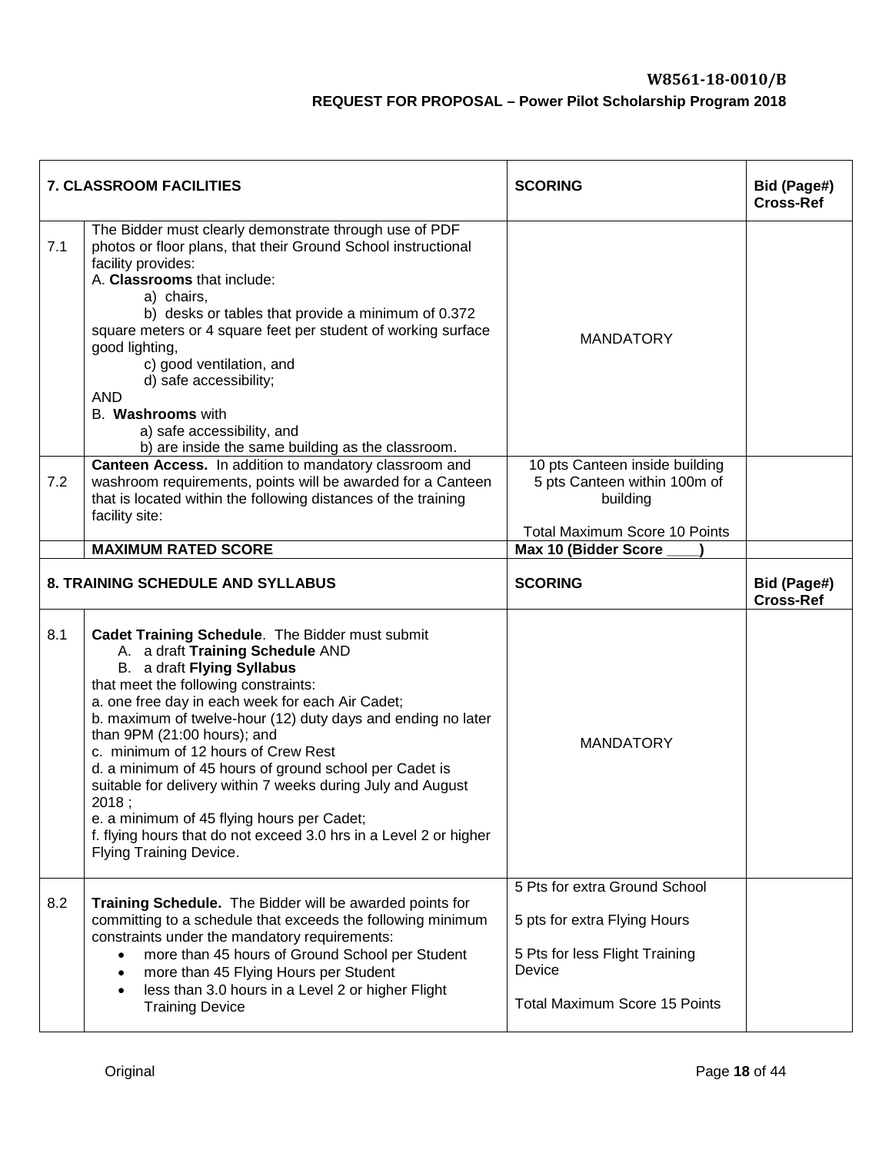|     | <b>7. CLASSROOM FACILITIES</b>                                                                                                                                                                                                                                                                                                                                                                                                                                                                                                                                                                                                      | <b>SCORING</b>                                                                                                                                    | Bid (Page#)<br><b>Cross-Ref</b> |
|-----|-------------------------------------------------------------------------------------------------------------------------------------------------------------------------------------------------------------------------------------------------------------------------------------------------------------------------------------------------------------------------------------------------------------------------------------------------------------------------------------------------------------------------------------------------------------------------------------------------------------------------------------|---------------------------------------------------------------------------------------------------------------------------------------------------|---------------------------------|
| 7.1 | The Bidder must clearly demonstrate through use of PDF<br>photos or floor plans, that their Ground School instructional<br>facility provides:<br>A. Classrooms that include:<br>a) chairs,<br>b) desks or tables that provide a minimum of 0.372<br>square meters or 4 square feet per student of working surface<br>good lighting,<br>c) good ventilation, and<br>d) safe accessibility;<br><b>AND</b><br>B. Washrooms with<br>a) safe accessibility, and<br>b) are inside the same building as the classroom.                                                                                                                     | <b>MANDATORY</b>                                                                                                                                  |                                 |
| 7.2 | Canteen Access. In addition to mandatory classroom and<br>washroom requirements, points will be awarded for a Canteen<br>that is located within the following distances of the training<br>facility site:                                                                                                                                                                                                                                                                                                                                                                                                                           | 10 pts Canteen inside building<br>5 pts Canteen within 100m of<br>building<br><b>Total Maximum Score 10 Points</b>                                |                                 |
|     | <b>MAXIMUM RATED SCORE</b>                                                                                                                                                                                                                                                                                                                                                                                                                                                                                                                                                                                                          | Max 10 (Bidder Score                                                                                                                              |                                 |
|     | 8. TRAINING SCHEDULE AND SYLLABUS                                                                                                                                                                                                                                                                                                                                                                                                                                                                                                                                                                                                   | <b>SCORING</b>                                                                                                                                    | Bid (Page#)<br><b>Cross-Ref</b> |
| 8.1 | Cadet Training Schedule. The Bidder must submit<br>A. a draft Training Schedule AND<br>B. a draft Flying Syllabus<br>that meet the following constraints:<br>a. one free day in each week for each Air Cadet;<br>b. maximum of twelve-hour (12) duty days and ending no later<br>than 9PM (21:00 hours); and<br>c. minimum of 12 hours of Crew Rest<br>d. a minimum of 45 hours of ground school per Cadet is<br>suitable for delivery within 7 weeks during July and August<br>2018;<br>e. a minimum of 45 flying hours per Cadet;<br>f. flying hours that do not exceed 3.0 hrs in a Level 2 or higher<br>Flying Training Device. | <b>MANDATORY</b>                                                                                                                                  |                                 |
| 8.2 | Training Schedule. The Bidder will be awarded points for<br>committing to a schedule that exceeds the following minimum<br>constraints under the mandatory requirements:<br>more than 45 hours of Ground School per Student<br>$\bullet$<br>more than 45 Flying Hours per Student<br>$\bullet$<br>less than 3.0 hours in a Level 2 or higher Flight<br>$\bullet$<br><b>Training Device</b>                                                                                                                                                                                                                                          | 5 Pts for extra Ground School<br>5 pts for extra Flying Hours<br>5 Pts for less Flight Training<br>Device<br><b>Total Maximum Score 15 Points</b> |                                 |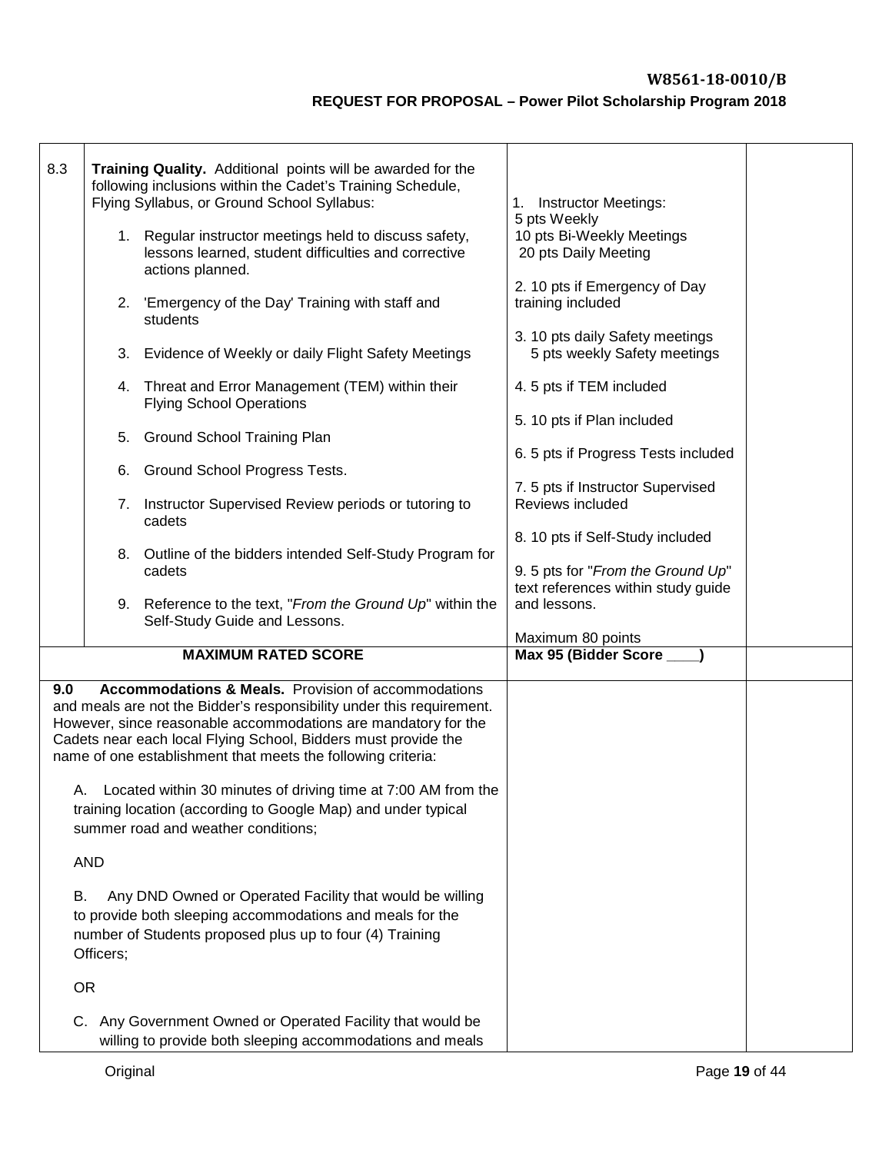| 8.3 |            | Training Quality. Additional points will be awarded for the<br>following inclusions within the Cadet's Training Schedule,<br>Flying Syllabus, or Ground School Syllabus:                                                                                                                                                                                                                                                                                                         | <b>Instructor Meetings:</b><br>1.<br>5 pts Weekly                     |  |  |  |  |  |
|-----|------------|----------------------------------------------------------------------------------------------------------------------------------------------------------------------------------------------------------------------------------------------------------------------------------------------------------------------------------------------------------------------------------------------------------------------------------------------------------------------------------|-----------------------------------------------------------------------|--|--|--|--|--|
|     |            | 1. Regular instructor meetings held to discuss safety,<br>lessons learned, student difficulties and corrective<br>actions planned.                                                                                                                                                                                                                                                                                                                                               | 10 pts Bi-Weekly Meetings<br>20 pts Daily Meeting                     |  |  |  |  |  |
|     |            | 2. 'Emergency of the Day' Training with staff and<br>students                                                                                                                                                                                                                                                                                                                                                                                                                    | 2. 10 pts if Emergency of Day<br>training included                    |  |  |  |  |  |
|     |            | 3. Evidence of Weekly or daily Flight Safety Meetings                                                                                                                                                                                                                                                                                                                                                                                                                            | 3. 10 pts daily Safety meetings<br>5 pts weekly Safety meetings       |  |  |  |  |  |
|     |            | 4. Threat and Error Management (TEM) within their<br><b>Flying School Operations</b>                                                                                                                                                                                                                                                                                                                                                                                             | 4.5 pts if TEM included                                               |  |  |  |  |  |
|     |            | 5. Ground School Training Plan                                                                                                                                                                                                                                                                                                                                                                                                                                                   | 5. 10 pts if Plan included                                            |  |  |  |  |  |
|     |            | 6. Ground School Progress Tests.                                                                                                                                                                                                                                                                                                                                                                                                                                                 | 6. 5 pts if Progress Tests included                                   |  |  |  |  |  |
|     |            | 7. Instructor Supervised Review periods or tutoring to<br>cadets                                                                                                                                                                                                                                                                                                                                                                                                                 | 7.5 pts if Instructor Supervised<br>Reviews included                  |  |  |  |  |  |
|     |            | 8. Outline of the bidders intended Self-Study Program for<br>cadets                                                                                                                                                                                                                                                                                                                                                                                                              | 8. 10 pts if Self-Study included<br>9. 5 pts for "From the Ground Up" |  |  |  |  |  |
|     |            | 9. Reference to the text, "From the Ground Up" within the<br>Self-Study Guide and Lessons.                                                                                                                                                                                                                                                                                                                                                                                       | text references within study guide<br>and lessons.                    |  |  |  |  |  |
|     |            | <b>MAXIMUM RATED SCORE</b>                                                                                                                                                                                                                                                                                                                                                                                                                                                       | Maximum 80 points<br>Max 95 (Bidder Score __                          |  |  |  |  |  |
| 9.0 |            | <b>Accommodations &amp; Meals.</b> Provision of accommodations<br>and meals are not the Bidder's responsibility under this requirement.<br>However, since reasonable accommodations are mandatory for the<br>Cadets near each local Flying School, Bidders must provide the<br>name of one establishment that meets the following criteria:<br>A. Located within 30 minutes of driving time at 7:00 AM from the<br>training location (according to Google Map) and under typical |                                                                       |  |  |  |  |  |
|     | <b>AND</b> | summer road and weather conditions;                                                                                                                                                                                                                                                                                                                                                                                                                                              |                                                                       |  |  |  |  |  |
| В.  |            | Any DND Owned or Operated Facility that would be willing                                                                                                                                                                                                                                                                                                                                                                                                                         |                                                                       |  |  |  |  |  |
|     | Officers;  | to provide both sleeping accommodations and meals for the<br>number of Students proposed plus up to four (4) Training                                                                                                                                                                                                                                                                                                                                                            |                                                                       |  |  |  |  |  |
|     | <b>OR</b>  |                                                                                                                                                                                                                                                                                                                                                                                                                                                                                  |                                                                       |  |  |  |  |  |
|     |            | C. Any Government Owned or Operated Facility that would be<br>willing to provide both sleeping accommodations and meals                                                                                                                                                                                                                                                                                                                                                          |                                                                       |  |  |  |  |  |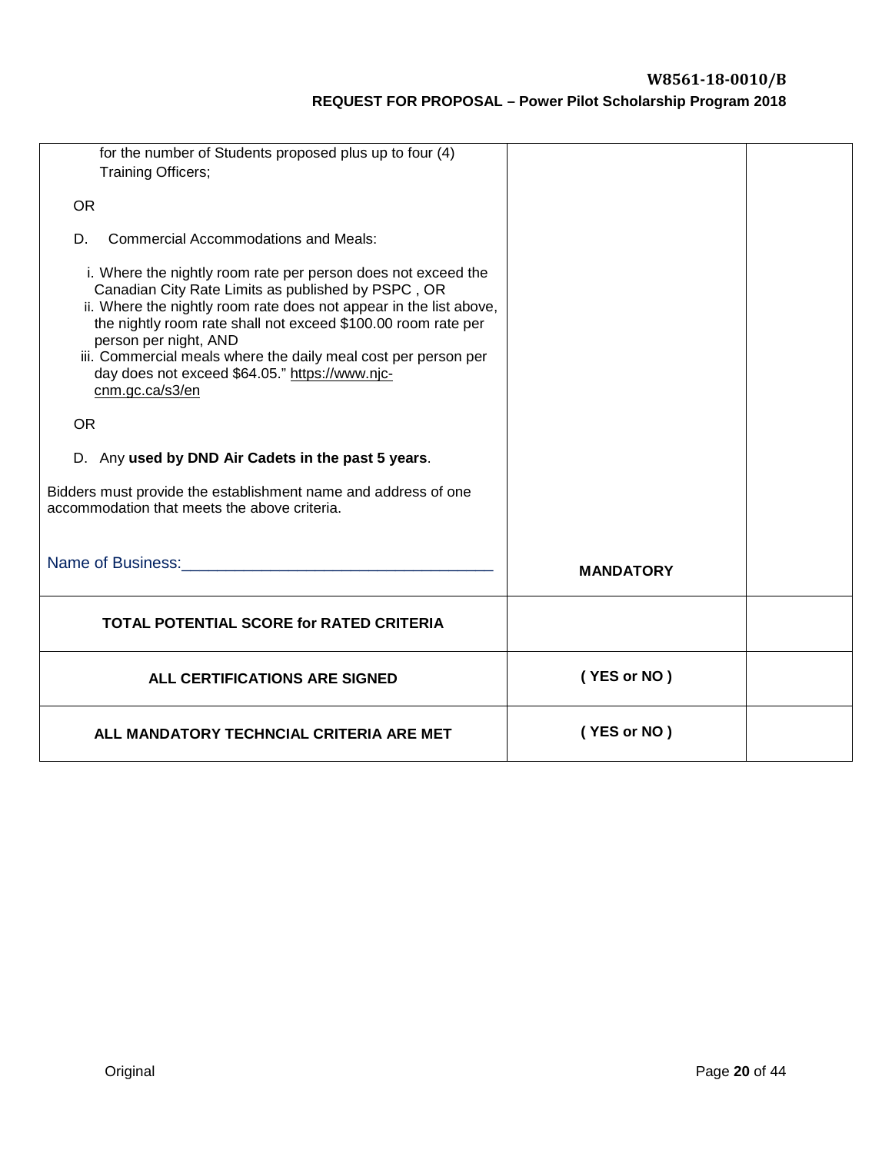| for the number of Students proposed plus up to four (4)<br>Training Officers;                                                                                                                                                                                                                                                                                                                                              |                  |  |
|----------------------------------------------------------------------------------------------------------------------------------------------------------------------------------------------------------------------------------------------------------------------------------------------------------------------------------------------------------------------------------------------------------------------------|------------------|--|
| <b>OR</b>                                                                                                                                                                                                                                                                                                                                                                                                                  |                  |  |
| <b>Commercial Accommodations and Meals:</b><br>D.                                                                                                                                                                                                                                                                                                                                                                          |                  |  |
| i. Where the nightly room rate per person does not exceed the<br>Canadian City Rate Limits as published by PSPC, OR<br>ii. Where the nightly room rate does not appear in the list above,<br>the nightly room rate shall not exceed \$100.00 room rate per<br>person per night, AND<br>iii. Commercial meals where the daily meal cost per person per<br>day does not exceed \$64.05." https://www.njc-<br>cnm.gc.ca/s3/en |                  |  |
| <b>OR</b>                                                                                                                                                                                                                                                                                                                                                                                                                  |                  |  |
| D. Any used by DND Air Cadets in the past 5 years.                                                                                                                                                                                                                                                                                                                                                                         |                  |  |
| Bidders must provide the establishment name and address of one<br>accommodation that meets the above criteria.                                                                                                                                                                                                                                                                                                             |                  |  |
| Name of Business: Name of Business:                                                                                                                                                                                                                                                                                                                                                                                        | <b>MANDATORY</b> |  |
| <b>TOTAL POTENTIAL SCORE for RATED CRITERIA</b>                                                                                                                                                                                                                                                                                                                                                                            |                  |  |
| ALL CERTIFICATIONS ARE SIGNED                                                                                                                                                                                                                                                                                                                                                                                              | (YES or NO)      |  |
| ALL MANDATORY TECHNCIAL CRITERIA ARE MET                                                                                                                                                                                                                                                                                                                                                                                   | (YES or NO)      |  |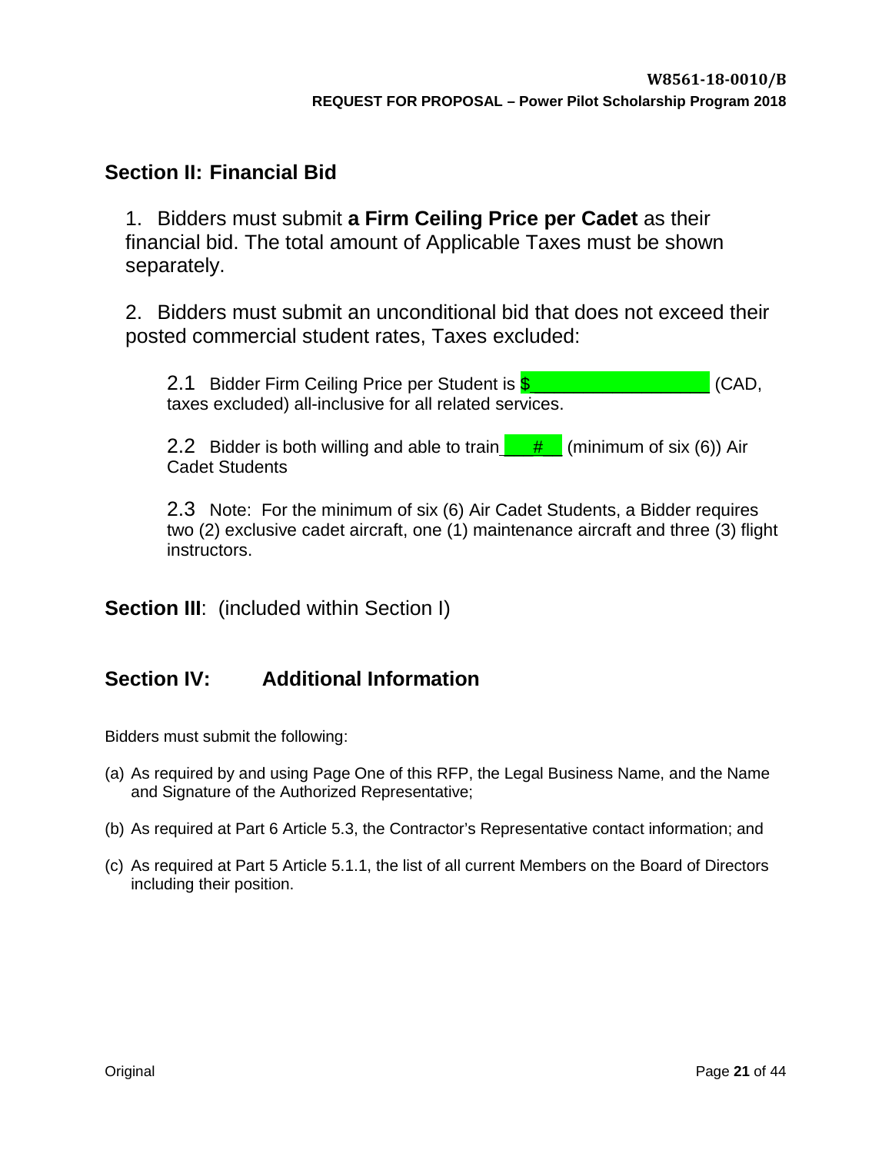# <span id="page-19-0"></span>**Section II: Financial Bid**

1. Bidders must submit **a Firm Ceiling Price per Cadet** as their financial bid. The total amount of Applicable Taxes must be shown separately.

2. Bidders must submit an unconditional bid that does not exceed their posted commercial student rates, Taxes excluded:

2.1 Bidder Firm Ceiling Price per Student is **\$** \_\_\_\_\_\_\_\_\_\_\_\_\_\_\_\_\_\_\_\_\_\_\_\_\_\_\_\_\_\_\_\_(CAD, taxes excluded) all-inclusive for all related services.

2.2 Bidder is both willing and able to train  $\frac{1}{2}$  # (minimum of six (6)) Air Cadet Students

2.3 Note: For the minimum of six (6) Air Cadet Students, a Bidder requires two (2) exclusive cadet aircraft, one (1) maintenance aircraft and three (3) flight instructors.

**Section III:** (included within Section I)

# **Section IV: Additional Information**

Bidders must submit the following:

- (a) As required by and using Page One of this RFP, the Legal Business Name, and the Name and Signature of the Authorized Representative;
- (b) As required at Part 6 Article 5.3, the Contractor's Representative contact information; and
- (c) As required at Part 5 Article 5.1.1, the list of all current Members on the Board of Directors including their position.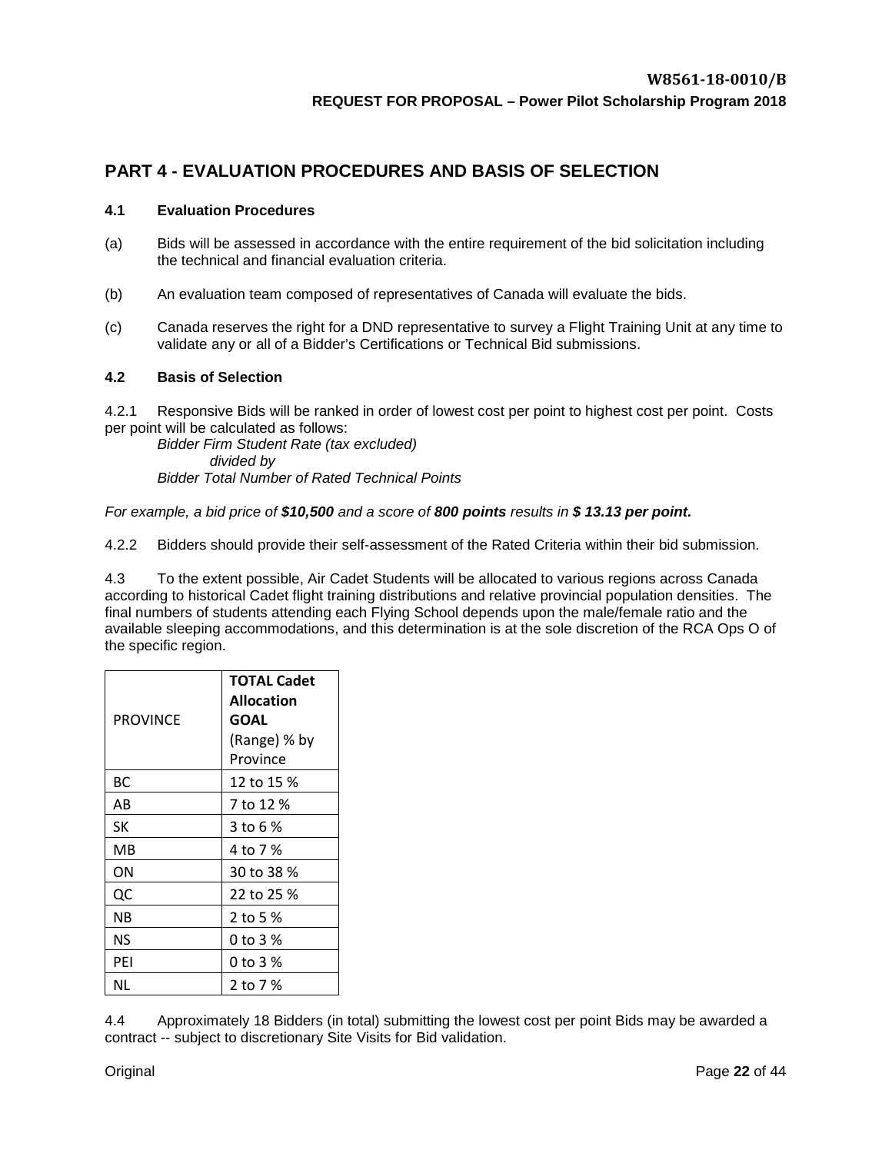# <span id="page-20-0"></span>**PART 4 - EVALUATION PROCEDURES AND BASIS OF SELECTION**

#### <span id="page-20-1"></span>**4.1 Evaluation Procedures**

- (a) Bids will be assessed in accordance with the entire requirement of the bid solicitation including the technical and financial evaluation criteria.
- (b) An evaluation team composed of representatives of Canada will evaluate the bids.
- (c) Canada reserves the right for a DND representative to survey a Flight Training Unit at any time to validate any or all of a Bidder's Certifications or Technical Bid submissions.

#### <span id="page-20-2"></span>**4.2 Basis of Selection**

4.2.1 Responsive Bids will be ranked in order of lowest cost per point to highest cost per point. Costs per point will be calculated as follows:

*Bidder Firm Student Rate (tax excluded) divided by Bidder Total Number of Rated Technical Points*

#### *For example, a bid price of \$10,500 and a score of 800 points results in \$ 13.13 per point.*

4.2.2 Bidders should provide their self-assessment of the Rated Criteria within their bid submission.

4.3 To the extent possible, Air Cadet Students will be allocated to various regions across Canada according to historical Cadet flight training distributions and relative provincial population densities. The final numbers of students attending each Flying School depends upon the male/female ratio and the available sleeping accommodations, and this determination is at the sole discretion of the RCA Ops O of the specific region.

|          | <b>TOTAL Cadet</b>        |  |  |  |  |  |
|----------|---------------------------|--|--|--|--|--|
|          | <b>Allocation</b><br>GOAL |  |  |  |  |  |
| PROVINCE |                           |  |  |  |  |  |
|          | (Range) % by              |  |  |  |  |  |
|          | Province                  |  |  |  |  |  |
| ВC       | 12 to 15 %                |  |  |  |  |  |
| AB       | 7 to 12 %                 |  |  |  |  |  |
| SК       | 3 to 6 %                  |  |  |  |  |  |
| MВ       | 4 to 7 %                  |  |  |  |  |  |
| ΟN       | 30 to 38 %                |  |  |  |  |  |
| QC       | 22 to 25 %                |  |  |  |  |  |
| ΝB       | 2 to 5 %                  |  |  |  |  |  |
| ΝS       | 0 to 3 %                  |  |  |  |  |  |
| PEI      | 0 to 3 %                  |  |  |  |  |  |
| ΝL       | 2 to 7 %                  |  |  |  |  |  |

4.4 Approximately 18 Bidders (in total) submitting the lowest cost per point Bids may be awarded a contract -- subject to discretionary Site Visits for Bid validation.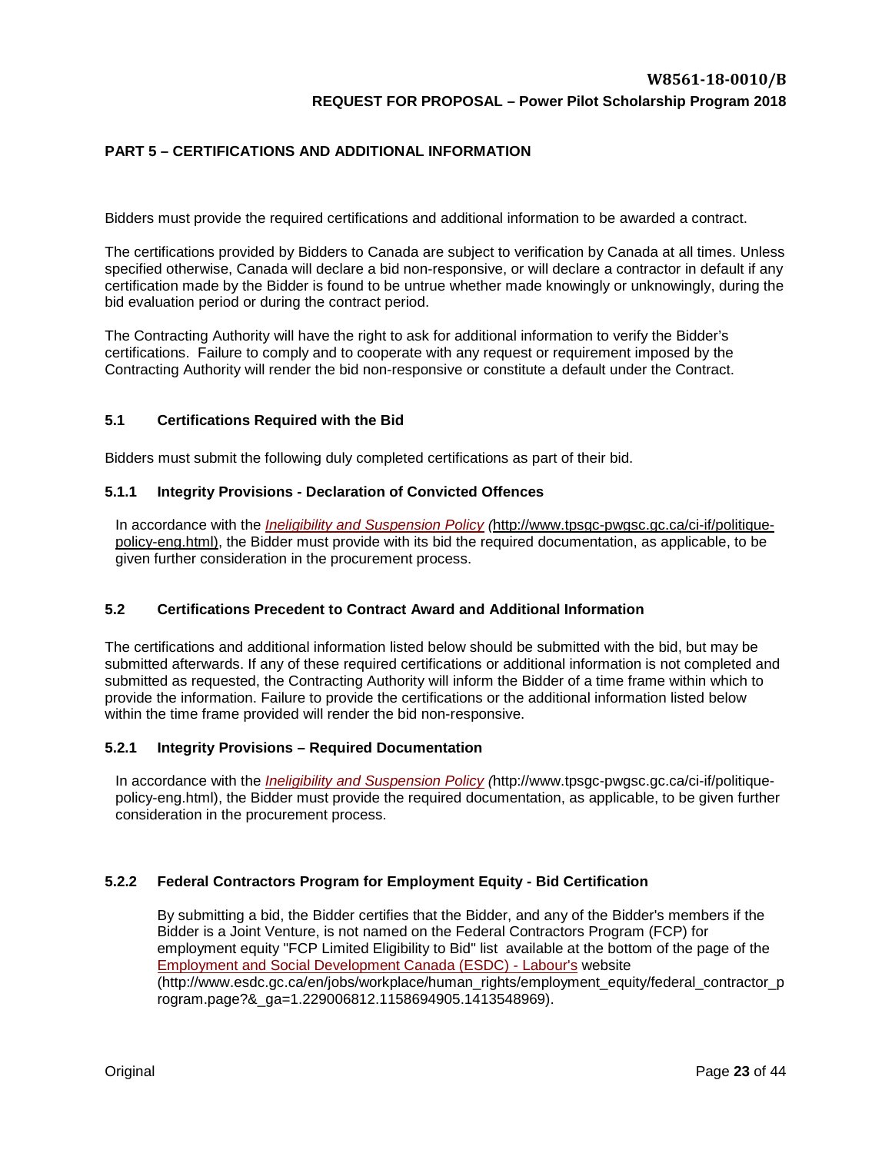## <span id="page-21-0"></span>**PART 5 – CERTIFICATIONS AND ADDITIONAL INFORMATION**

Bidders must provide the required certifications and additional information to be awarded a contract.

The certifications provided by Bidders to Canada are subject to verification by Canada at all times. Unless specified otherwise, Canada will declare a bid non-responsive, or will declare a contractor in default if any certification made by the Bidder is found to be untrue whether made knowingly or unknowingly, during the bid evaluation period or during the contract period.

The Contracting Authority will have the right to ask for additional information to verify the Bidder's certifications. Failure to comply and to cooperate with any request or requirement imposed by the Contracting Authority will render the bid non-responsive or constitute a default under the Contract.

#### <span id="page-21-1"></span>**5.1 Certifications Required with the Bid**

Bidders must submit the following duly completed certifications as part of their bid.

#### **5.1.1 Integrity Provisions - Declaration of Convicted Offences**

In accordance with the *[Ineligibility and Suspension Policy](http://www.tpsgc-pwgsc.gc.ca/ci-if/politique-policy-eng.html) (*[http://www.tpsgc-pwgsc.gc.ca/ci-if/politique](http://www.tpsgc-pwgsc.gc.ca/ci-if/politique-policy-eng.html)[policy-eng.html\)](http://www.tpsgc-pwgsc.gc.ca/ci-if/politique-policy-eng.html), the Bidder must provide with its bid the required documentation, as applicable, to be given further consideration in the procurement process.

## <span id="page-21-2"></span>**5.2 Certifications Precedent to Contract Award and Additional Information**

The certifications and additional information listed below should be submitted with the bid, but may be submitted afterwards. If any of these required certifications or additional information is not completed and submitted as requested, the Contracting Authority will inform the Bidder of a time frame within which to provide the information. Failure to provide the certifications or the additional information listed below within the time frame provided will render the bid non-responsive.

#### **5.2.1 Integrity Provisions – Required Documentation**

In accordance with the *[Ineligibility and Suspension Policy](http://www.tpsgc-pwgsc.gc.ca/ci-if/politique-policy-eng.html) (*[http://www.tpsgc-pwgsc.gc.ca/ci-if/politique](http://www.tpsgc-pwgsc.gc.ca/ci-if/politique-policy-eng.html)[policy-eng.html\)](http://www.tpsgc-pwgsc.gc.ca/ci-if/politique-policy-eng.html), the Bidder must provide the required documentation, as applicable, to be given further consideration in the procurement process.

## **5.2.2 Federal Contractors Program for Employment Equity - Bid Certification**

By submitting a bid, the Bidder certifies that the Bidder, and any of the Bidder's members if the Bidder is a Joint Venture, is not named on the Federal Contractors Program (FCP) for employment equity "FCP Limited Eligibility to Bid" list available at the bottom of the page of the [Employment and Social Development Canada \(ESDC\) -](http://www.labour.gc.ca/eng/standards_equity/eq/emp/fcp/index.shtml) Labour's website (http://www.esdc.gc.ca/en/jobs/workplace/human\_rights/employment\_equity/federal\_contractor\_p rogram.page?&\_ga=1.229006812.1158694905.1413548969).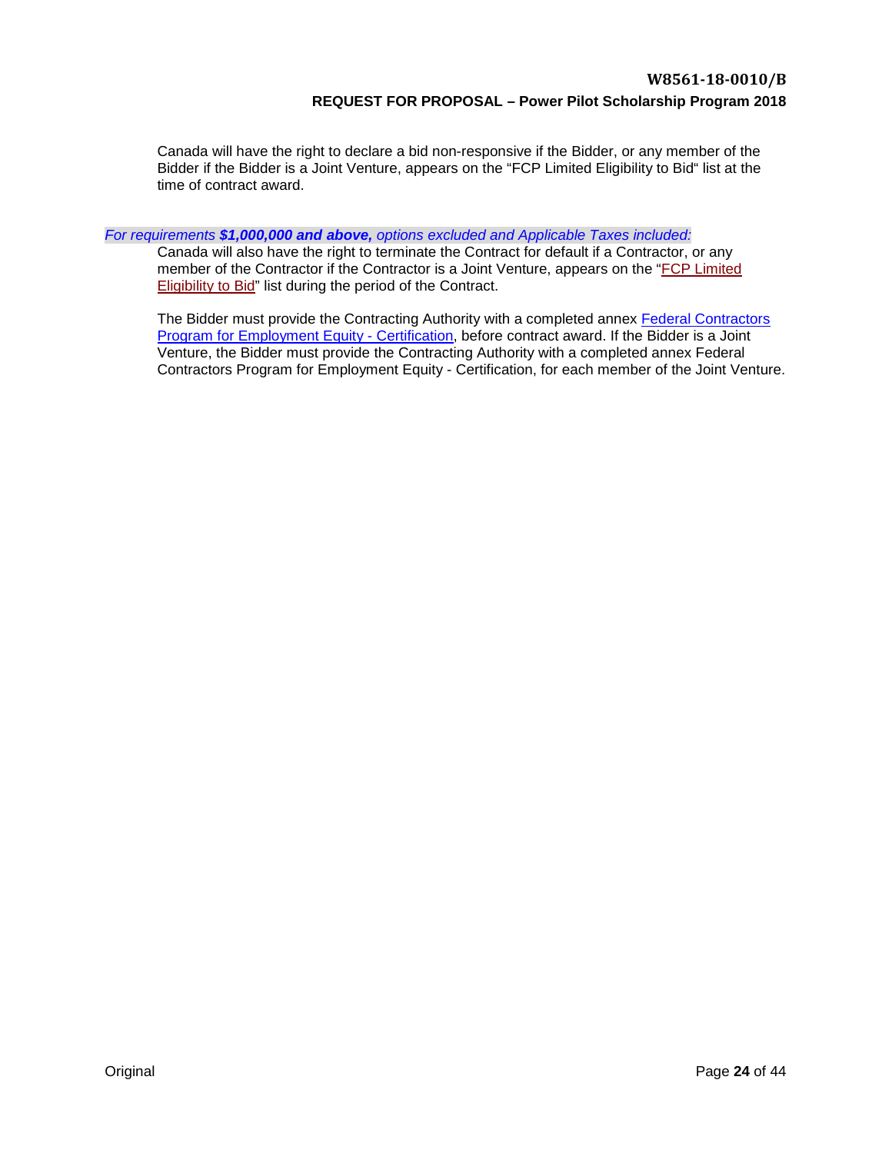Canada will have the right to declare a bid non-responsive if the Bidder, or any member of the Bidder if the Bidder is a Joint Venture, appears on the "FCP Limited Eligibility to Bid" list at the time of contract award.

*For requirements \$1,000,000 and above, options excluded and Applicable Taxes included:* 

Canada will also have the right to terminate the Contract for default if a Contractor, or any member of the Contractor if the Contractor is a Joint Venture, appears on the ["FCP Limited](http://www.esdc.gc.ca/en/jobs/workplace/human_rights/employment_equity/federal_contractor_program.page?&_ga=1.229006812.1158694905.1413548969)  [Eligibility to Bid"](http://www.esdc.gc.ca/en/jobs/workplace/human_rights/employment_equity/federal_contractor_program.page?&_ga=1.229006812.1158694905.1413548969) list during the period of the Contract.

The Bidder must provide the Contracting Authority with a completed annex [Federal Contractors](#page-41-0)  [Program for Employment Equity -](#page-41-0) Certification, before contract award. If the Bidder is a Joint Venture, the Bidder must provide the Contracting Authority with a completed annex Federal Contractors Program for Employment Equity - Certification, for each member of the Joint Venture.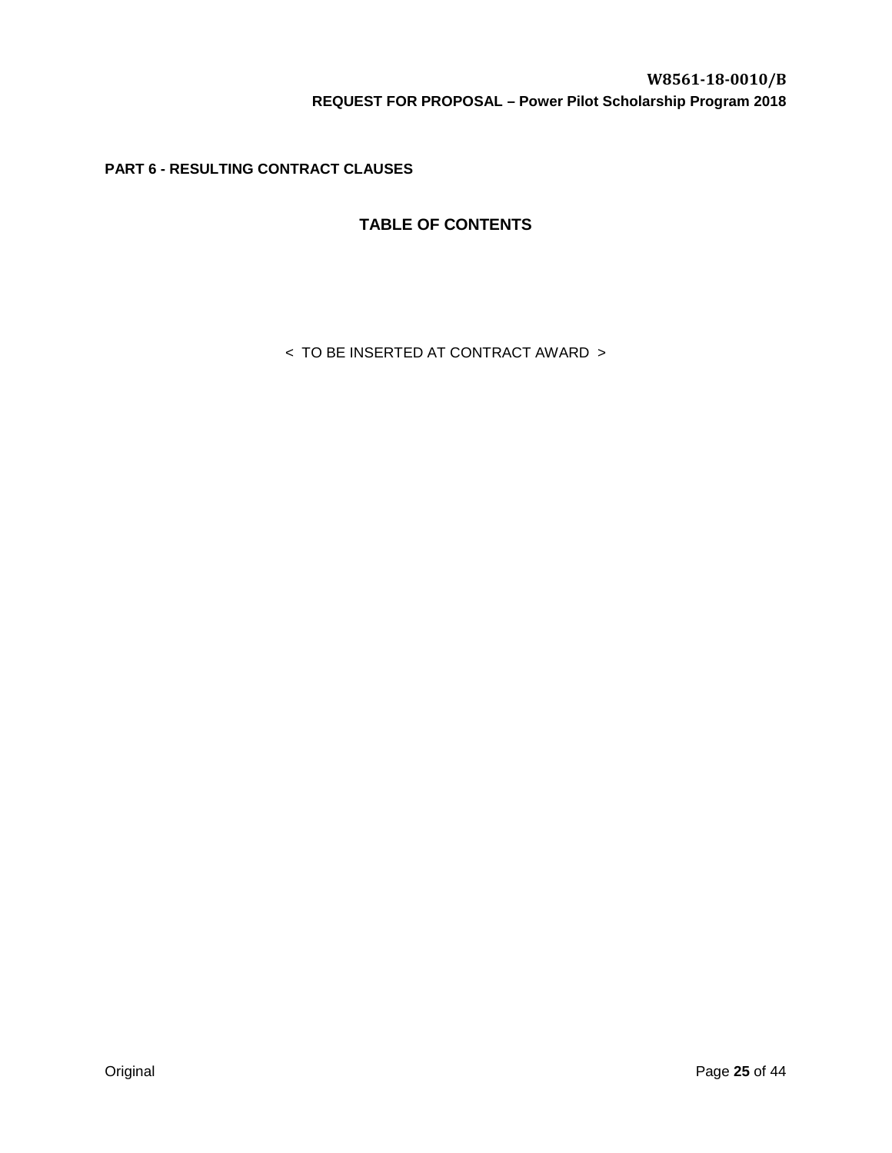<span id="page-23-0"></span>**PART 6 - RESULTING CONTRACT CLAUSES** 

# **TABLE OF CONTENTS**

< TO BE INSERTED AT CONTRACT AWARD >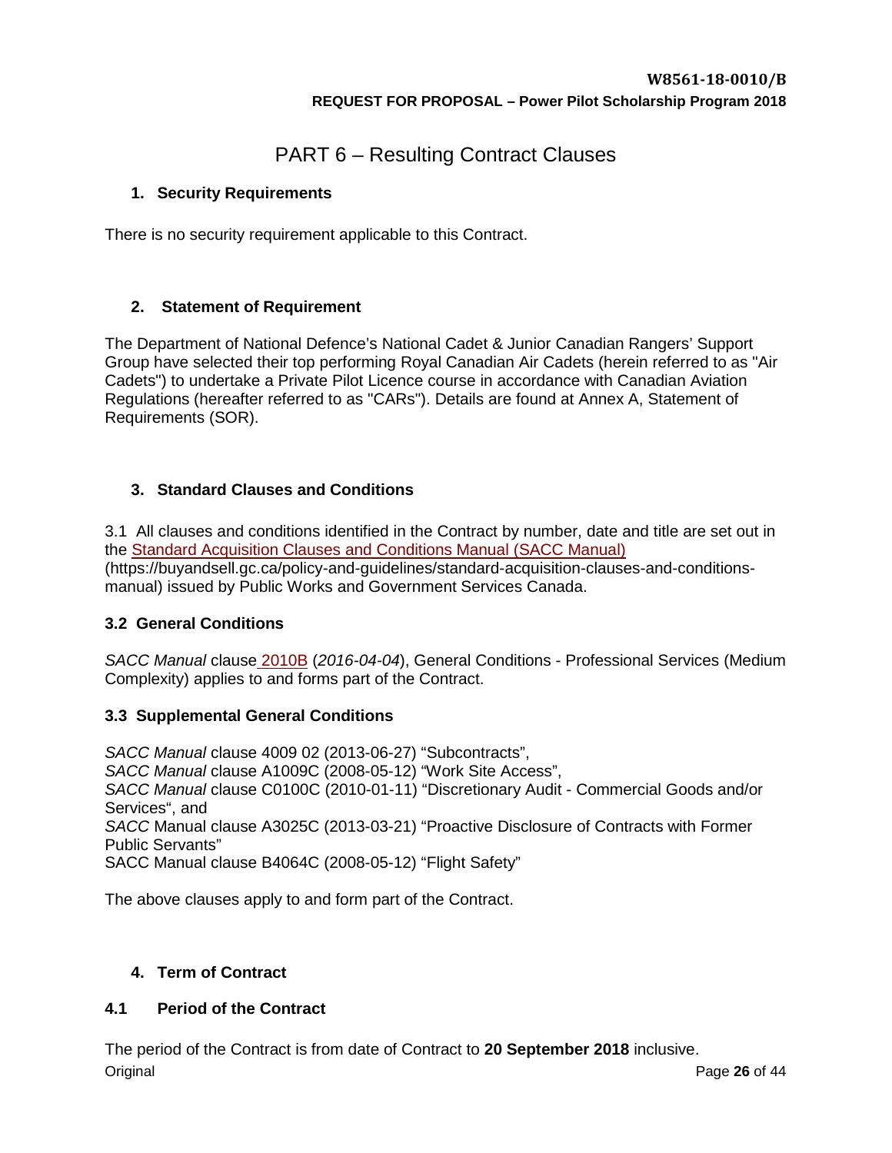# PART 6 – Resulting Contract Clauses

# <span id="page-24-0"></span>**1. Security Requirements**

There is no security requirement applicable to this Contract.

# <span id="page-24-1"></span>**2. Statement of Requirement**

The Department of National Defence's National Cadet & Junior Canadian Rangers' Support Group have selected their top performing Royal Canadian Air Cadets (herein referred to as "Air Cadets") to undertake a Private Pilot Licence course in accordance with Canadian Aviation Regulations (hereafter referred to as "CARs"). Details are found at Annex A, Statement of Requirements (SOR).

# <span id="page-24-2"></span>**3. Standard Clauses and Conditions**

3.1 All clauses and conditions identified in the Contract by number, date and title are set out in the [Standard Acquisition Clauses and Conditions Manual](http://collaboration-vcds.forces.mil.ca/sites/Natl_DCDTS_JCR/D2/Downloads/Standard%20Acquisition%20Clauses%20and%20Conditions%20Manual) (SACC Manual) (https://buyandsell.gc.ca/policy-and-guidelines/standard-acquisition-clauses-and-conditionsmanual) issued by Public Works and Government Services Canada.

# **3.2 General Conditions**

*SACC Manual* clause 2010B (*2016-04-04*), General Conditions - Professional Services (Medium Complexity) applies to and forms part of the Contract.

# **3.3 Supplemental General Conditions**

*SACC Manual* clause 4009 02 (2013-06-27) "Subcontracts", *SACC Manual* clause A1009C (2008-05-12) "Work Site Access", *SACC Manual* clause C0100C (2010-01-11) "Discretionary Audit - Commercial Goods and/or Services", and *SACC* Manual clause A3025C (2013-03-21) "Proactive Disclosure of Contracts with Former Public Servants" SACC Manual clause B4064C (2008-05-12) "Flight Safety"

The above clauses apply to and form part of the Contract.

# <span id="page-24-3"></span>**4. Term of Contract**

# <span id="page-24-4"></span>**4.1 Period of the Contract**

The period of the Contract is from date of Contract to **20 September 2018** inclusive.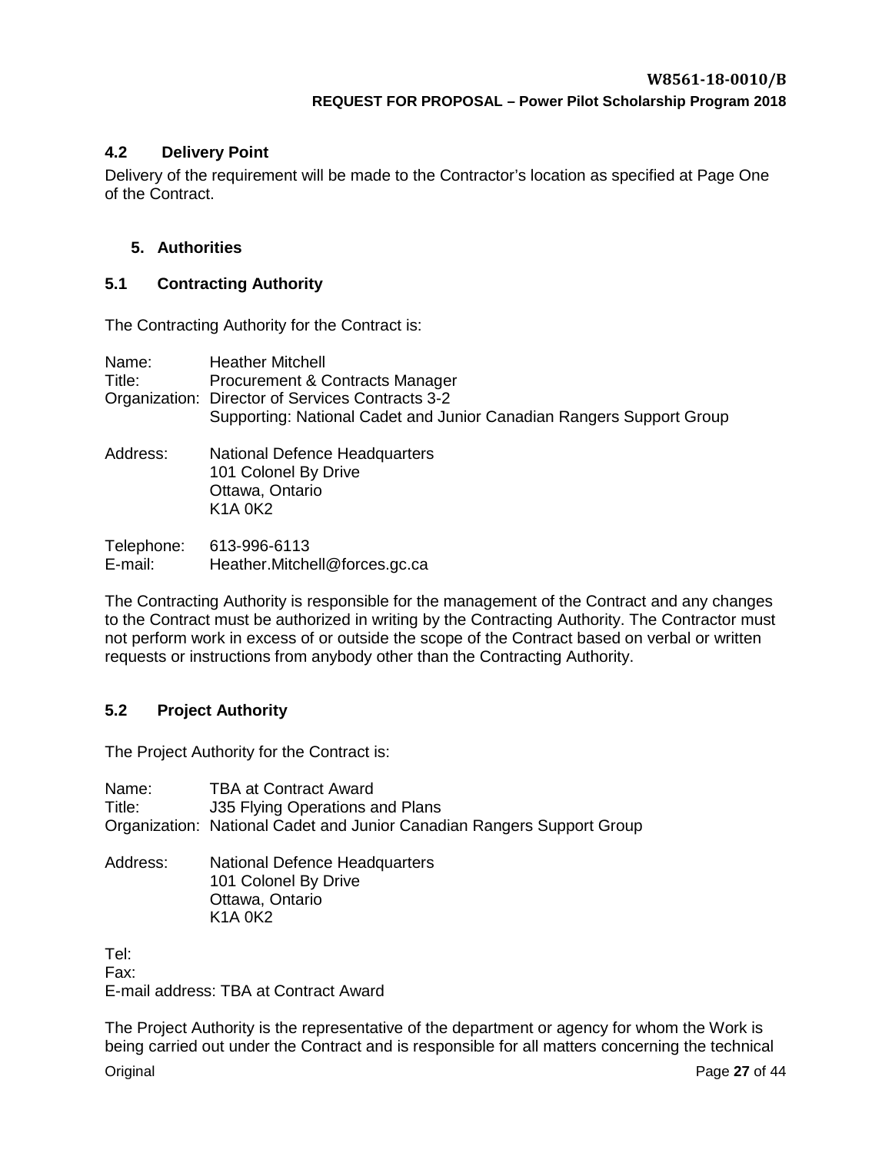## <span id="page-25-0"></span>**4.2 Delivery Point**

Delivery of the requirement will be made to the Contractor's location as specified at Page One of the Contract.

## <span id="page-25-1"></span>**5. Authorities**

## <span id="page-25-2"></span>**5.1 Contracting Authority**

The Contracting Authority for the Contract is:

| Name:      | <b>Heather Mitchell</b>                                                                                      |
|------------|--------------------------------------------------------------------------------------------------------------|
| Title:     | Procurement & Contracts Manager                                                                              |
|            | Organization: Director of Services Contracts 3-2                                                             |
|            | Supporting: National Cadet and Junior Canadian Rangers Support Group                                         |
| Address:   | National Defence Headquarters<br>101 Colonel By Drive<br>Ottawa, Ontario<br>K <sub>1</sub> A 0 <sub>K2</sub> |
| Telephone: | 613-996-6113                                                                                                 |
| E-mail:    | Heather.Mitchell@forces.gc.ca                                                                                |

The Contracting Authority is responsible for the management of the Contract and any changes to the Contract must be authorized in writing by the Contracting Authority. The Contractor must not perform work in excess of or outside the scope of the Contract based on verbal or written requests or instructions from anybody other than the Contracting Authority.

## <span id="page-25-3"></span>**5.2 Project Authority**

The Project Authority for the Contract is:

Name: TBA at Contract Award Title: J35 Flying Operations and Plans Organization: National Cadet and Junior Canadian Rangers Support Group

Address: National Defence Headquarters 101 Colonel By Drive Ottawa, Ontario **K1A 0K2** 

Tel: Fax: E-mail address: TBA at Contract Award

The Project Authority is the representative of the department or agency for whom the Work is being carried out under the Contract and is responsible for all matters concerning the technical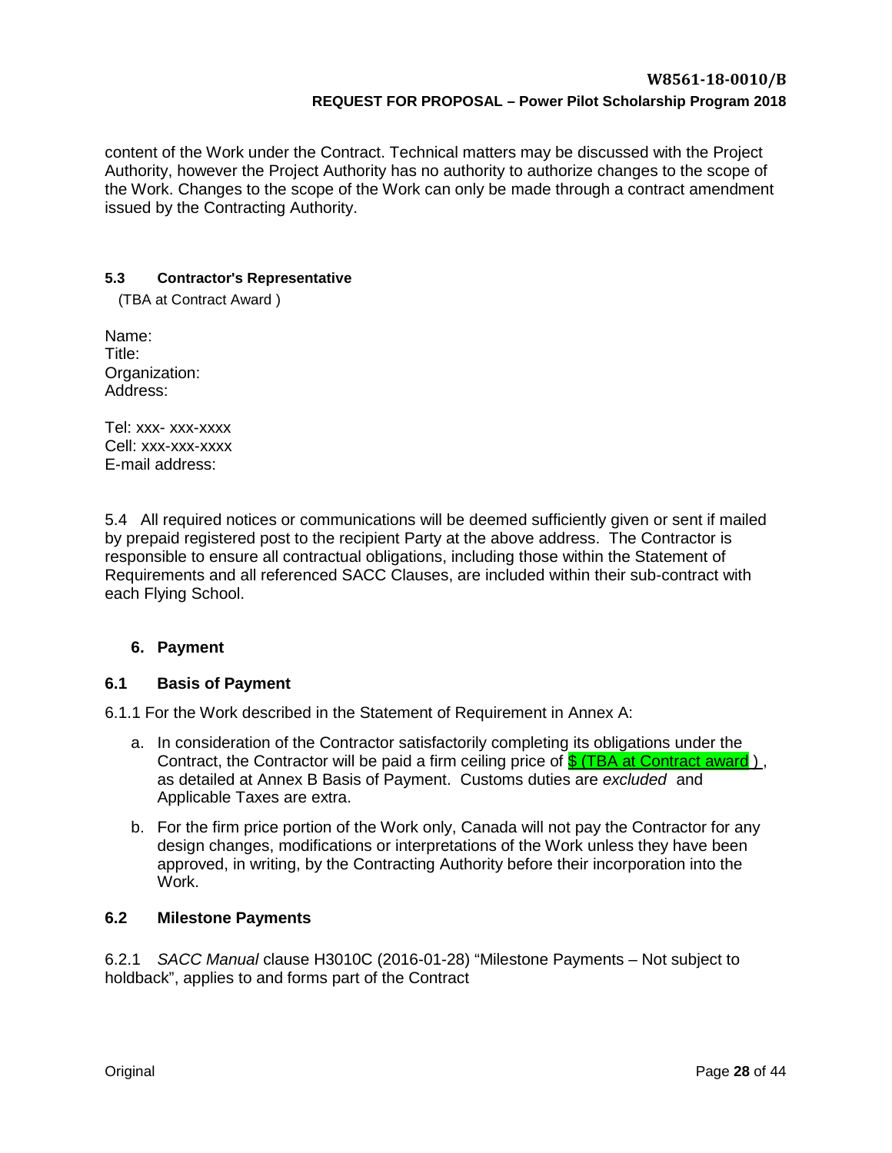content of the Work under the Contract. Technical matters may be discussed with the Project Authority, however the Project Authority has no authority to authorize changes to the scope of the Work. Changes to the scope of the Work can only be made through a contract amendment issued by the Contracting Authority.

## <span id="page-26-0"></span>**5.3 Contractor's Representative**

(TBA at Contract Award )

Name: Title: Organization: Address:

Tel: xxx- xxx-xxxx Cell: xxx-xxx-xxxx E-mail address:

5.4 All required notices or communications will be deemed sufficiently given or sent if mailed by prepaid registered post to the recipient Party at the above address. The Contractor is responsible to ensure all contractual obligations, including those within the Statement of Requirements and all referenced SACC Clauses, are included within their sub-contract with each Flying School.

## <span id="page-26-1"></span>**6. Payment**

## <span id="page-26-2"></span>**6.1 Basis of Payment**

6.1.1 For the Work described in the Statement of Requirement in Annex A:

- a. In consideration of the Contractor satisfactorily completing its obligations under the Contract, the Contractor will be paid a firm ceiling price of  $\frac{C}{2}$  (TBA at Contract award ), as detailed at Annex B Basis of Payment. Customs duties are *excluded* and Applicable Taxes are extra.
- b. For the firm price portion of the Work only, Canada will not pay the Contractor for any design changes, modifications or interpretations of the Work unless they have been approved, in writing, by the Contracting Authority before their incorporation into the Work.

## <span id="page-26-3"></span>**6.2 Milestone Payments**

6.2.1 *SACC Manual* clause H3010C (2016-01-28) "Milestone Payments – Not subject to holdback", applies to and forms part of the Contract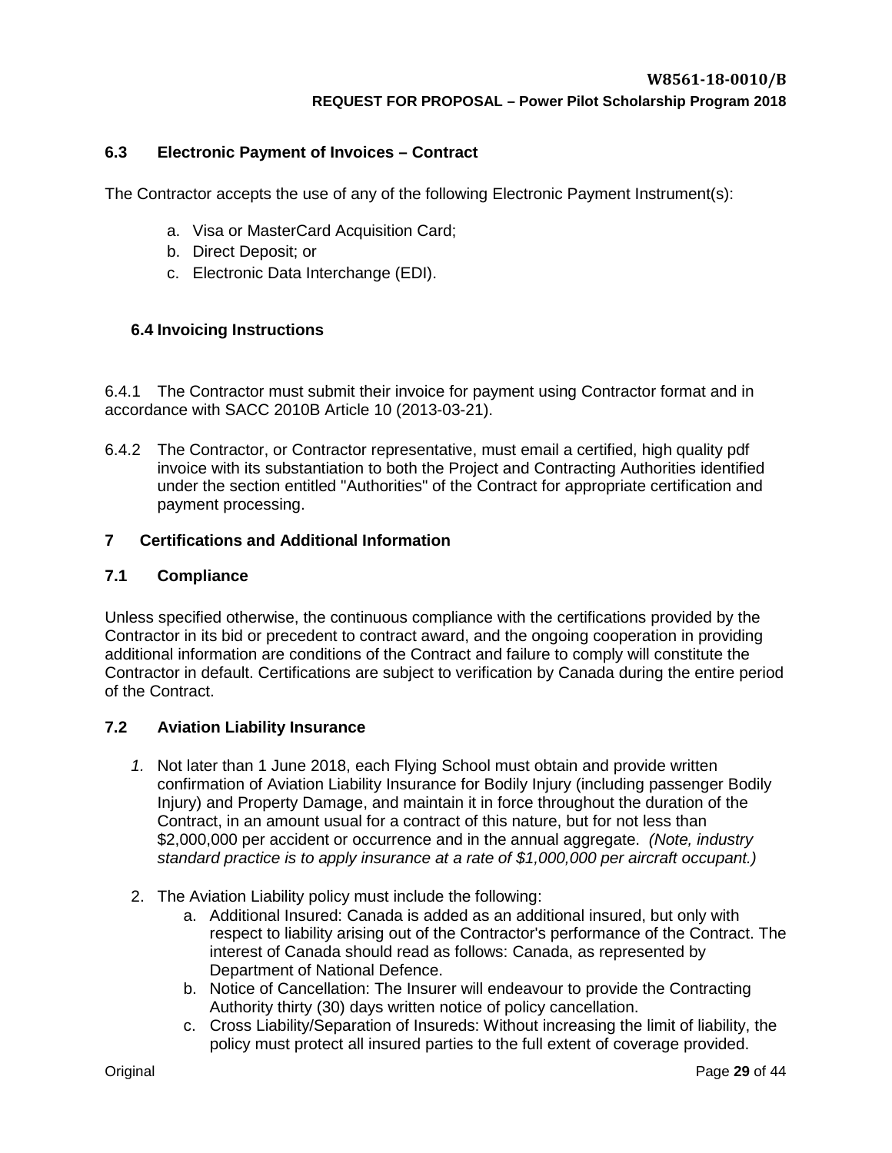## <span id="page-27-0"></span>**6.3 Electronic Payment of Invoices – Contract**

The Contractor accepts the use of any of the following Electronic Payment Instrument(s):

- a. Visa or MasterCard Acquisition Card;
- b. Direct Deposit; or
- c. Electronic Data Interchange (EDI).

## <span id="page-27-1"></span>**6.4 Invoicing Instructions**

6.4.1 The Contractor must submit their invoice for payment using Contractor format and in accordance with SACC 2010B Article 10 (2013-03-21).

6.4.2 The Contractor, or Contractor representative, must email a certified, high quality pdf invoice with its substantiation to both the Project and Contracting Authorities identified under the section entitled "Authorities" of the Contract for appropriate certification and payment processing.

## <span id="page-27-2"></span>**7 Certifications and Additional Information**

## <span id="page-27-3"></span>**7.1 Compliance**

Unless specified otherwise, the continuous compliance with the certifications provided by the Contractor in its bid or precedent to contract award, and the ongoing cooperation in providing additional information are conditions of the Contract and failure to comply will constitute the Contractor in default. Certifications are subject to verification by Canada during the entire period of the Contract.

## <span id="page-27-4"></span>**7.2 Aviation Liability Insurance**

- *1.* Not later than 1 June 2018, each Flying School must obtain and provide written confirmation of Aviation Liability Insurance for Bodily Injury (including passenger Bodily Injury) and Property Damage, and maintain it in force throughout the duration of the Contract, in an amount usual for a contract of this nature, but for not less than \$2,000,000 per accident or occurrence and in the annual aggregate. *(Note, industry standard practice is to apply insurance at a rate of \$1,000,000 per aircraft occupant.)*
- 2. The Aviation Liability policy must include the following:
	- a. Additional Insured: Canada is added as an additional insured, but only with respect to liability arising out of the Contractor's performance of the Contract. The interest of Canada should read as follows: Canada, as represented by Department of National Defence.
	- b. Notice of Cancellation: The Insurer will endeavour to provide the Contracting Authority thirty (30) days written notice of policy cancellation.
	- c. Cross Liability/Separation of Insureds: Without increasing the limit of liability, the policy must protect all insured parties to the full extent of coverage provided.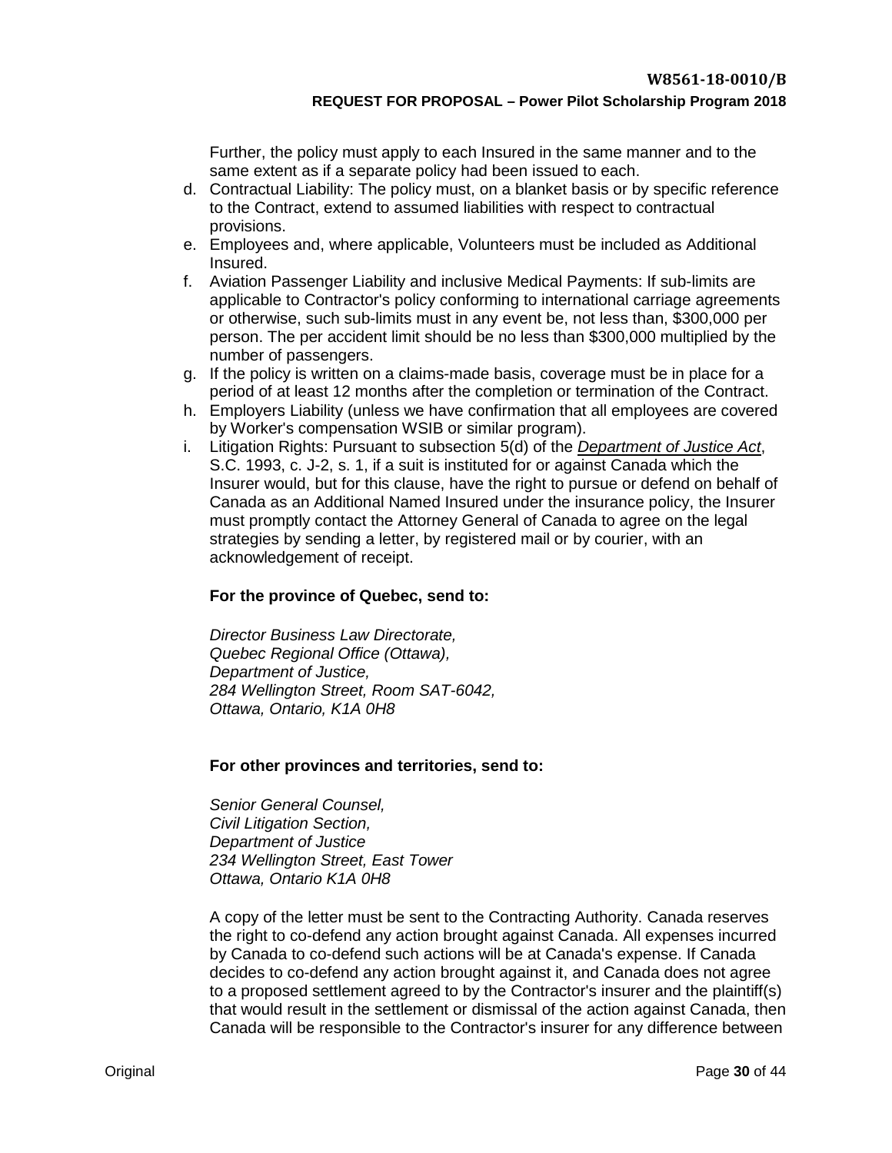Further, the policy must apply to each Insured in the same manner and to the same extent as if a separate policy had been issued to each.

- d. Contractual Liability: The policy must, on a blanket basis or by specific reference to the Contract, extend to assumed liabilities with respect to contractual provisions.
- e. Employees and, where applicable, Volunteers must be included as Additional Insured.
- f. Aviation Passenger Liability and inclusive Medical Payments: If sub-limits are applicable to Contractor's policy conforming to international carriage agreements or otherwise, such sub-limits must in any event be, not less than, \$300,000 per person. The per accident limit should be no less than \$300,000 multiplied by the number of passengers.
- g. If the policy is written on a claims-made basis, coverage must be in place for a period of at least 12 months after the completion or termination of the Contract.
- h. Employers Liability (unless we have confirmation that all employees are covered by Worker's compensation WSIB or similar program).
- i. Litigation Rights: Pursuant to subsection 5(d) of the *[Department of Justice Act](http://laws-lois.justice.gc.ca/eng/acts/J-2/)*, S.C. 1993, c. J-2, s. 1, if a suit is instituted for or against Canada which the Insurer would, but for this clause, have the right to pursue or defend on behalf of Canada as an Additional Named Insured under the insurance policy, the Insurer must promptly contact the Attorney General of Canada to agree on the legal strategies by sending a letter, by registered mail or by courier, with an acknowledgement of receipt.

## **For the province of Quebec, send to:**

*Director Business Law Directorate, Quebec Regional Office (Ottawa), Department of Justice, 284 Wellington Street, Room SAT-6042, Ottawa, Ontario, K1A 0H8*

## **For other provinces and territories, send to:**

*Senior General Counsel, Civil Litigation Section, Department of Justice 234 Wellington Street, East Tower Ottawa, Ontario K1A 0H8*

A copy of the letter must be sent to the Contracting Authority. Canada reserves the right to co-defend any action brought against Canada. All expenses incurred by Canada to co-defend such actions will be at Canada's expense. If Canada decides to co-defend any action brought against it, and Canada does not agree to a proposed settlement agreed to by the Contractor's insurer and the plaintiff(s) that would result in the settlement or dismissal of the action against Canada, then Canada will be responsible to the Contractor's insurer for any difference between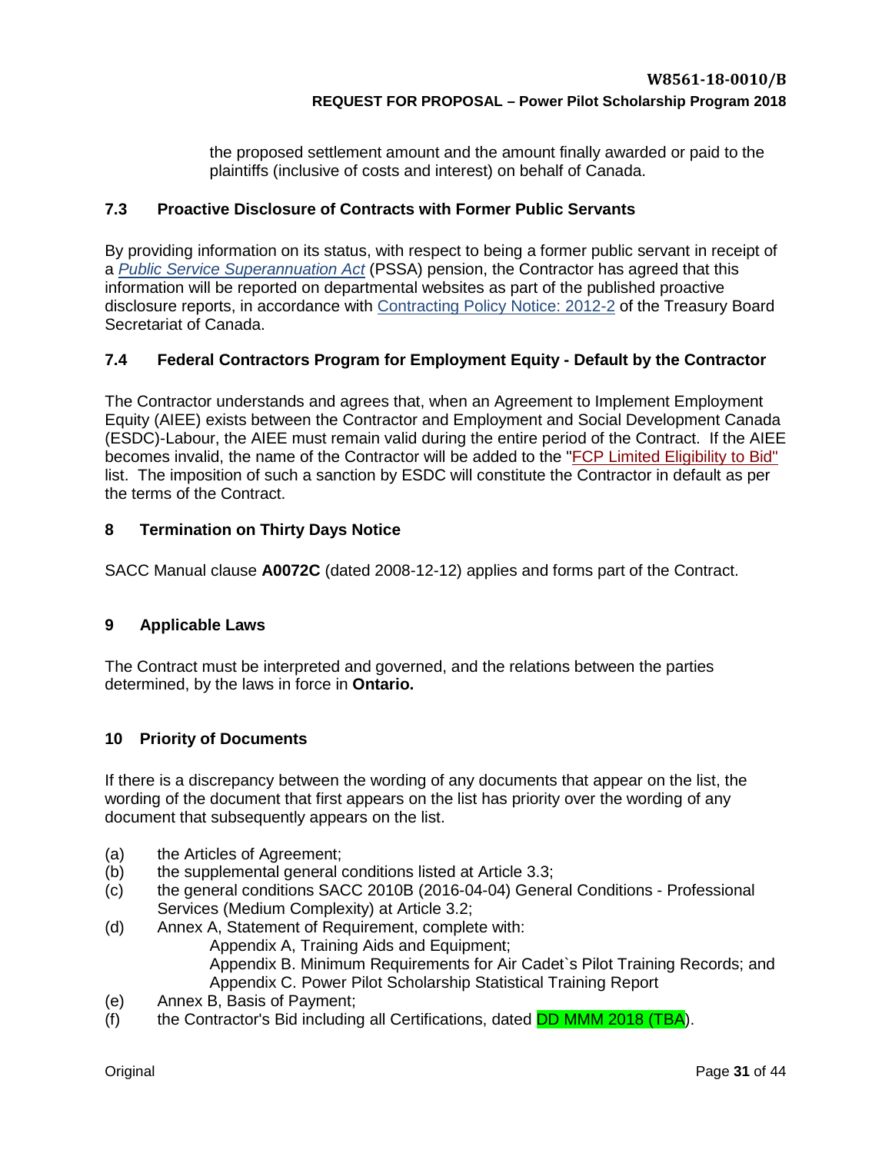the proposed settlement amount and the amount finally awarded or paid to the plaintiffs (inclusive of costs and interest) on behalf of Canada.

## <span id="page-29-0"></span>**7.3 Proactive Disclosure of Contracts with Former Public Servants**

By providing information on its status, with respect to being a former public servant in receipt of a *[Public Service Superannuation Act](http://laws-lois.justice.gc.ca/eng/acts/P-36/FullText.html)* (PSSA) pension, the Contractor has agreed that this information will be reported on departmental websites as part of the published proactive disclosure reports, in accordance with [Contracting Policy Notice: 2012-2](http://www.tbs-sct.gc.ca/pubs_pol/dcgpubs/contpolnotices/siglist-eng.asp) of the Treasury Board Secretariat of Canada.

## <span id="page-29-1"></span>**7.4 Federal Contractors Program for Employment Equity - Default by the Contractor**

The Contractor understands and agrees that, when an Agreement to Implement Employment Equity (AIEE) exists between the Contractor and Employment and Social Development Canada (ESDC)-Labour, the AIEE must remain valid during the entire period of the Contract. If the AIEE becomes invalid, the name of the Contractor will be added to the ["FCP Limited Eligibility to Bid"](http://www.esdc.gc.ca/en/jobs/workplace/human_rights/employment_equity/federal_contractor_program.page?&_ga=1.229006812.1158694905.1413548969) list. The imposition of such a sanction by ESDC will constitute the Contractor in default as per the terms of the Contract.

## <span id="page-29-2"></span>**8 Termination on Thirty Days Notice**

SACC Manual clause **A0072C** (dated 2008-12-12) applies and forms part of the Contract.

## <span id="page-29-3"></span>**9 Applicable Laws**

The Contract must be interpreted and governed, and the relations between the parties determined, by the laws in force in **Ontario.**

## <span id="page-29-4"></span>**10 Priority of Documents**

If there is a discrepancy between the wording of any documents that appear on the list, the wording of the document that first appears on the list has priority over the wording of any document that subsequently appears on the list.

- (a) the Articles of Agreement;
- (b) the supplemental general conditions listed at Article 3.3;
- (c) the general conditions SACC 2010B (2016-04-04) General Conditions Professional Services (Medium Complexity) at Article 3.2;
- (d) Annex A, Statement of Requirement, complete with: Appendix A, Training Aids and Equipment; Appendix B. Minimum Requirements for Air Cadet`s Pilot Training Records; and Appendix C. Power Pilot Scholarship Statistical Training Report
- (e) Annex B, Basis of Payment;
- (f) the Contractor's Bid including all Certifications, dated DD MMM 2018 (TBA).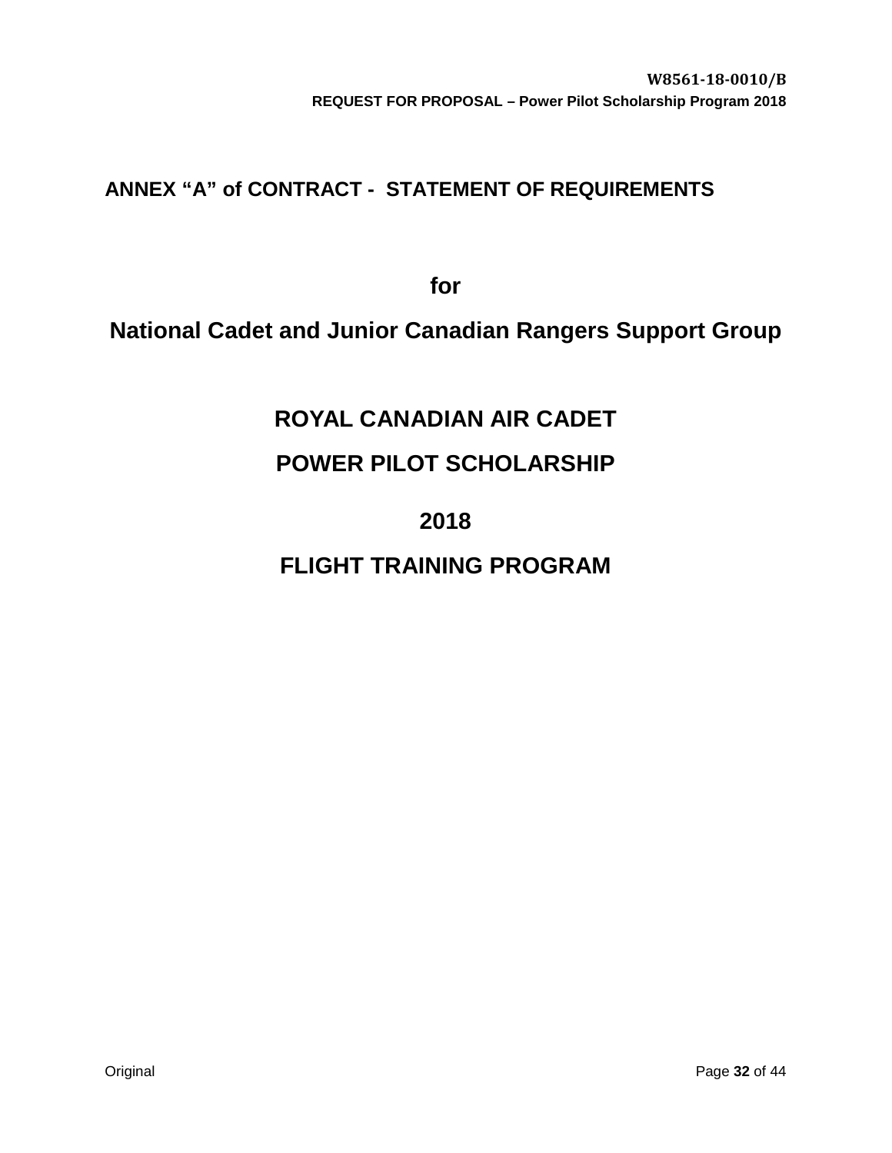# <span id="page-30-0"></span>**ANNEX "A" of CONTRACT - STATEMENT OF REQUIREMENTS**

**for** 

# **National Cadet and Junior Canadian Rangers Support Group**

# **ROYAL CANADIAN AIR CADET**

# **POWER PILOT SCHOLARSHIP**

# **2018**

# **FLIGHT TRAINING PROGRAM**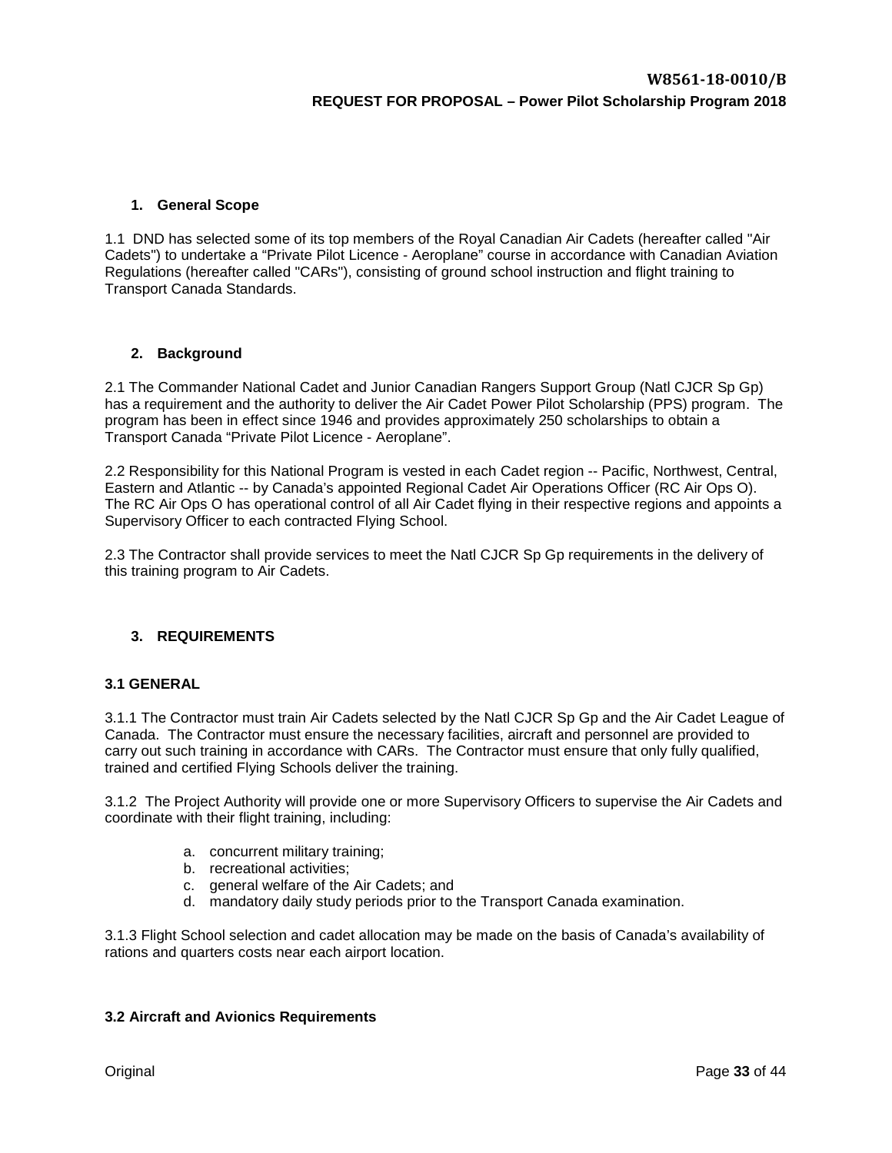#### <span id="page-31-0"></span>**1. General Scope**

1.1 DND has selected some of its top members of the Royal Canadian Air Cadets (hereafter called "Air Cadets") to undertake a "Private Pilot Licence - Aeroplane" course in accordance with Canadian Aviation Regulations (hereafter called "CARs"), consisting of ground school instruction and flight training to Transport Canada Standards.

#### <span id="page-31-1"></span>**2. Background**

2.1 The Commander National Cadet and Junior Canadian Rangers Support Group (Natl CJCR Sp Gp) has a requirement and the authority to deliver the Air Cadet Power Pilot Scholarship (PPS) program. The program has been in effect since 1946 and provides approximately 250 scholarships to obtain a Transport Canada "Private Pilot Licence - Aeroplane".

2.2 Responsibility for this National Program is vested in each Cadet region -- Pacific, Northwest, Central, Eastern and Atlantic -- by Canada's appointed Regional Cadet Air Operations Officer (RC Air Ops O). The RC Air Ops O has operational control of all Air Cadet flying in their respective regions and appoints a Supervisory Officer to each contracted Flying School.

2.3 The Contractor shall provide services to meet the Natl CJCR Sp Gp requirements in the delivery of this training program to Air Cadets.

#### <span id="page-31-2"></span>**3. REQUIREMENTS**

#### <span id="page-31-3"></span>**3.1 GENERAL**

3.1.1 The Contractor must train Air Cadets selected by the Natl CJCR Sp Gp and the Air Cadet League of Canada. The Contractor must ensure the necessary facilities, aircraft and personnel are provided to carry out such training in accordance with CARs. The Contractor must ensure that only fully qualified, trained and certified Flying Schools deliver the training.

3.1.2 The Project Authority will provide one or more Supervisory Officers to supervise the Air Cadets and coordinate with their flight training, including:

- a. concurrent military training;
- b. recreational activities;
- c. general welfare of the Air Cadets; and
- d. mandatory daily study periods prior to the Transport Canada examination.

3.1.3 Flight School selection and cadet allocation may be made on the basis of Canada's availability of rations and quarters costs near each airport location.

#### <span id="page-31-4"></span>**3.2 Aircraft and Avionics Requirements**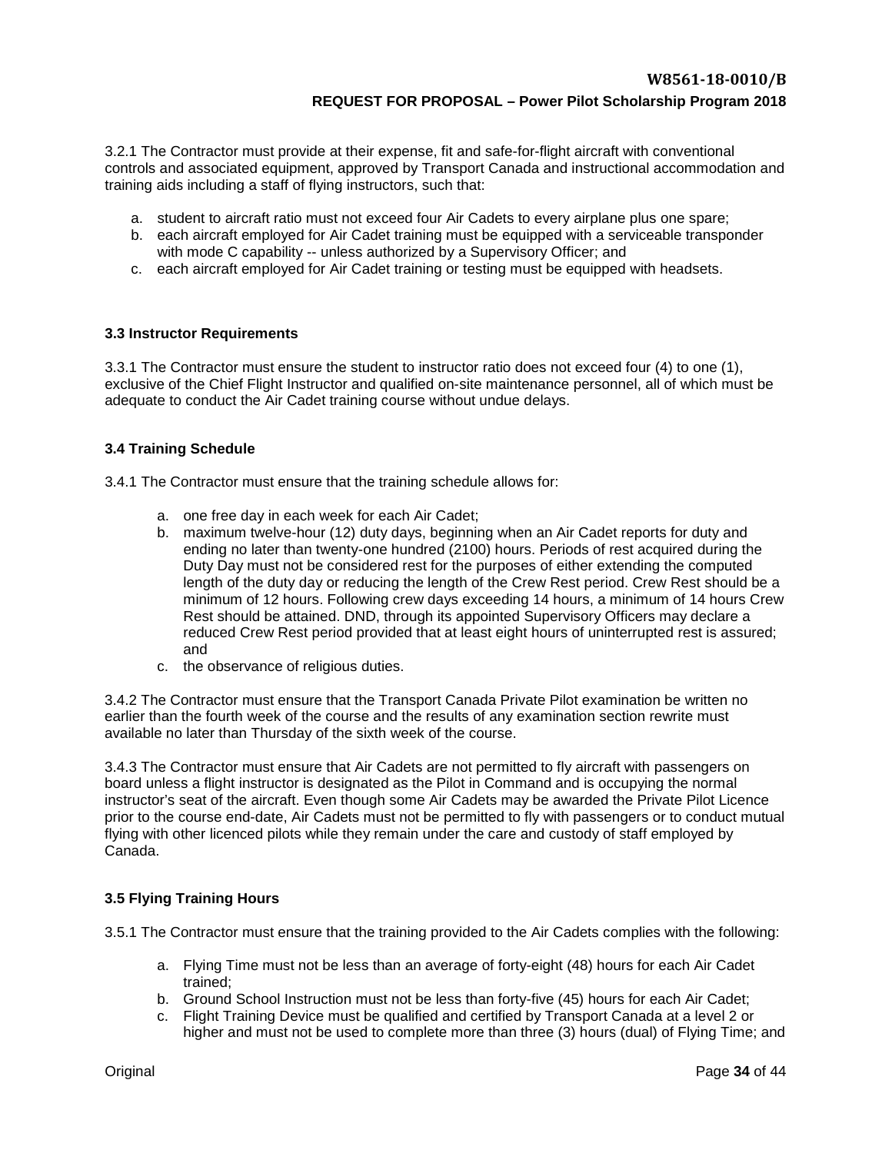3.2.1 The Contractor must provide at their expense, fit and safe-for-flight aircraft with conventional controls and associated equipment, approved by Transport Canada and instructional accommodation and training aids including a staff of flying instructors, such that:

- a. student to aircraft ratio must not exceed four Air Cadets to every airplane plus one spare;
- b. each aircraft employed for Air Cadet training must be equipped with a serviceable transponder with mode C capability -- unless authorized by a Supervisory Officer; and
- c. each aircraft employed for Air Cadet training or testing must be equipped with headsets.

#### <span id="page-32-0"></span>**3.3 Instructor Requirements**

3.3.1 The Contractor must ensure the student to instructor ratio does not exceed four (4) to one (1), exclusive of the Chief Flight Instructor and qualified on-site maintenance personnel, all of which must be adequate to conduct the Air Cadet training course without undue delays.

#### <span id="page-32-1"></span>**3.4 Training Schedule**

3.4.1 The Contractor must ensure that the training schedule allows for:

- a. one free day in each week for each Air Cadet;
- b. maximum twelve-hour (12) duty days, beginning when an Air Cadet reports for duty and ending no later than twenty-one hundred (2100) hours. Periods of rest acquired during the Duty Day must not be considered rest for the purposes of either extending the computed length of the duty day or reducing the length of the Crew Rest period. Crew Rest should be a minimum of 12 hours. Following crew days exceeding 14 hours, a minimum of 14 hours Crew Rest should be attained. DND, through its appointed Supervisory Officers may declare a reduced Crew Rest period provided that at least eight hours of uninterrupted rest is assured; and
- c. the observance of religious duties.

3.4.2 The Contractor must ensure that the Transport Canada Private Pilot examination be written no earlier than the fourth week of the course and the results of any examination section rewrite must available no later than Thursday of the sixth week of the course.

3.4.3 The Contractor must ensure that Air Cadets are not permitted to fly aircraft with passengers on board unless a flight instructor is designated as the Pilot in Command and is occupying the normal instructor's seat of the aircraft. Even though some Air Cadets may be awarded the Private Pilot Licence prior to the course end-date, Air Cadets must not be permitted to fly with passengers or to conduct mutual flying with other licenced pilots while they remain under the care and custody of staff employed by Canada.

## <span id="page-32-2"></span>**3.5 Flying Training Hours**

3.5.1 The Contractor must ensure that the training provided to the Air Cadets complies with the following:

- a. Flying Time must not be less than an average of forty-eight (48) hours for each Air Cadet trained;
- b. Ground School Instruction must not be less than forty-five (45) hours for each Air Cadet;
- c. Flight Training Device must be qualified and certified by Transport Canada at a level 2 or higher and must not be used to complete more than three (3) hours (dual) of Flying Time; and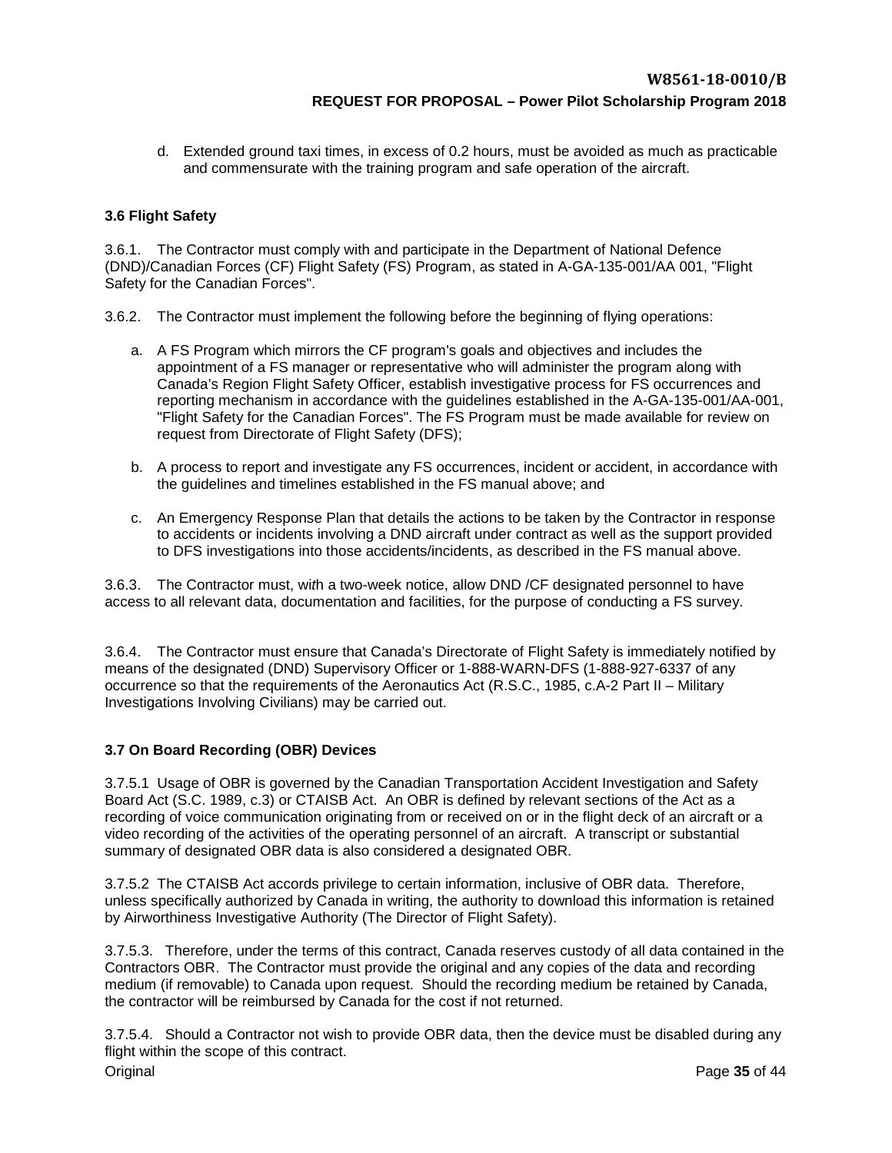d. Extended ground taxi times, in excess of 0.2 hours, must be avoided as much as practicable and commensurate with the training program and safe operation of the aircraft.

## <span id="page-33-0"></span>**3.6 Flight Safety**

3.6.1. The Contractor must comply with and participate in the Department of National Defence (DND)/Canadian Forces (CF) Flight Safety (FS) Program, as stated in A-GA-135-001/AA 001, "Flight Safety for the Canadian Forces".

- 3.6.2. The Contractor must implement the following before the beginning of flying operations:
	- a. A FS Program which mirrors the CF program's goals and objectives and includes the appointment of a FS manager or representative who will administer the program along with Canada's Region Flight Safety Officer, establish investigative process for FS occurrences and reporting mechanism in accordance with the guidelines established in the A-GA-135-001/AA-001, "Flight Safety for the Canadian Forces". The FS Program must be made available for review on request from Directorate of Flight Safety (DFS);
	- b. A process to report and investigate any FS occurrences, incident or accident, in accordance with the guidelines and timelines established in the FS manual above; and
	- c. An Emergency Response Plan that details the actions to be taken by the Contractor in response to accidents or incidents involving a DND aircraft under contract as well as the support provided to DFS investigations into those accidents/incidents, as described in the FS manual above.

3.6.3. The Contractor must, wi*t*h a two-week notice, allow DND /CF designated personnel to have access to all relevant data, documentation and facilities, for the purpose of conducting a FS survey.

3.6.4. The Contractor must ensure that Canada's Directorate of Flight Safety is immediately notified by means of the designated (DND) Supervisory Officer or 1-888-WARN-DFS (1-888-927-6337 of any occurrence so that the requirements of the Aeronautics Act (R.S.C., 1985, c.A-2 Part II – Military Investigations Involving Civilians) may be carried out.

## <span id="page-33-1"></span>**3.7 On Board Recording (OBR) Devices**

3.7.5.1 Usage of OBR is governed by the Canadian Transportation Accident Investigation and Safety Board Act (S.C. 1989, c.3) or CTAISB Act. An OBR is defined by relevant sections of the Act as a recording of voice communication originating from or received on or in the flight deck of an aircraft or a video recording of the activities of the operating personnel of an aircraft. A transcript or substantial summary of designated OBR data is also considered a designated OBR.

3.7.5.2 The CTAISB Act accords privilege to certain information, inclusive of OBR data. Therefore, unless specifically authorized by Canada in writing, the authority to download this information is retained by Airworthiness Investigative Authority (The Director of Flight Safety).

3.7.5.3. Therefore, under the terms of this contract, Canada reserves custody of all data contained in the Contractors OBR. The Contractor must provide the original and any copies of the data and recording medium (if removable) to Canada upon request. Should the recording medium be retained by Canada, the contractor will be reimbursed by Canada for the cost if not returned.

Original Page **35** of 44 3.7.5.4. Should a Contractor not wish to provide OBR data, then the device must be disabled during any flight within the scope of this contract.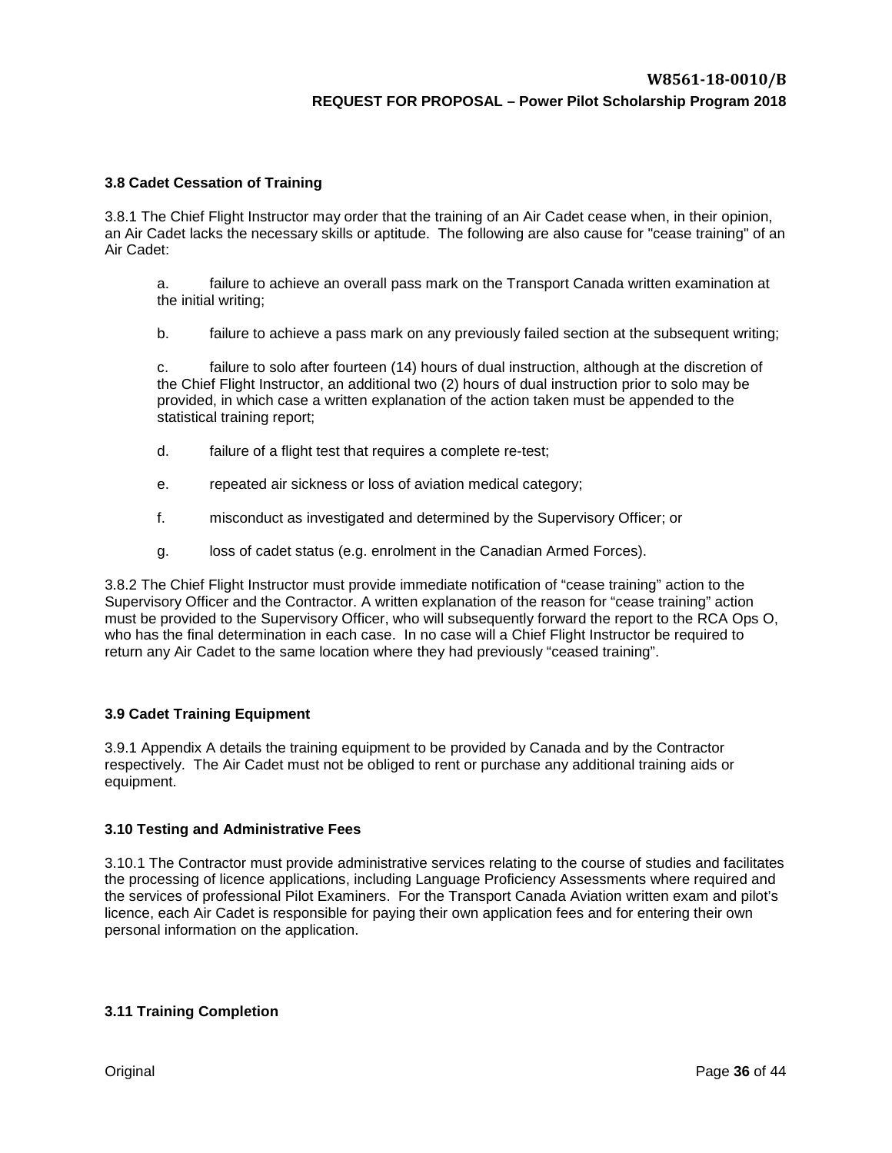#### <span id="page-34-0"></span>**3.8 Cadet Cessation of Training**

3.8.1 The Chief Flight Instructor may order that the training of an Air Cadet cease when, in their opinion, an Air Cadet lacks the necessary skills or aptitude. The following are also cause for "cease training" of an Air Cadet:

a. failure to achieve an overall pass mark on the Transport Canada written examination at the initial writing;

b. failure to achieve a pass mark on any previously failed section at the subsequent writing;

c. failure to solo after fourteen (14) hours of dual instruction, although at the discretion of the Chief Flight Instructor, an additional two (2) hours of dual instruction prior to solo may be provided, in which case a written explanation of the action taken must be appended to the statistical training report;

- d. failure of a flight test that requires a complete re-test;
- e. repeated air sickness or loss of aviation medical category;
- f. misconduct as investigated and determined by the Supervisory Officer; or
- g. loss of cadet status (e.g. enrolment in the Canadian Armed Forces).

3.8.2 The Chief Flight Instructor must provide immediate notification of "cease training" action to the Supervisory Officer and the Contractor. A written explanation of the reason for "cease training" action must be provided to the Supervisory Officer, who will subsequently forward the report to the RCA Ops O, who has the final determination in each case. In no case will a Chief Flight Instructor be required to return any Air Cadet to the same location where they had previously "ceased training".

#### <span id="page-34-1"></span>**3.9 Cadet Training Equipment**

3.9.1 Appendix A details the training equipment to be provided by Canada and by the Contractor respectively. The Air Cadet must not be obliged to rent or purchase any additional training aids or equipment.

#### <span id="page-34-2"></span>**3.10 Testing and Administrative Fees**

3.10.1 The Contractor must provide administrative services relating to the course of studies and facilitates the processing of licence applications, including Language Proficiency Assessments where required and the services of professional Pilot Examiners. For the Transport Canada Aviation written exam and pilot's licence, each Air Cadet is responsible for paying their own application fees and for entering their own personal information on the application.

#### <span id="page-34-3"></span>**3.11 Training Completion**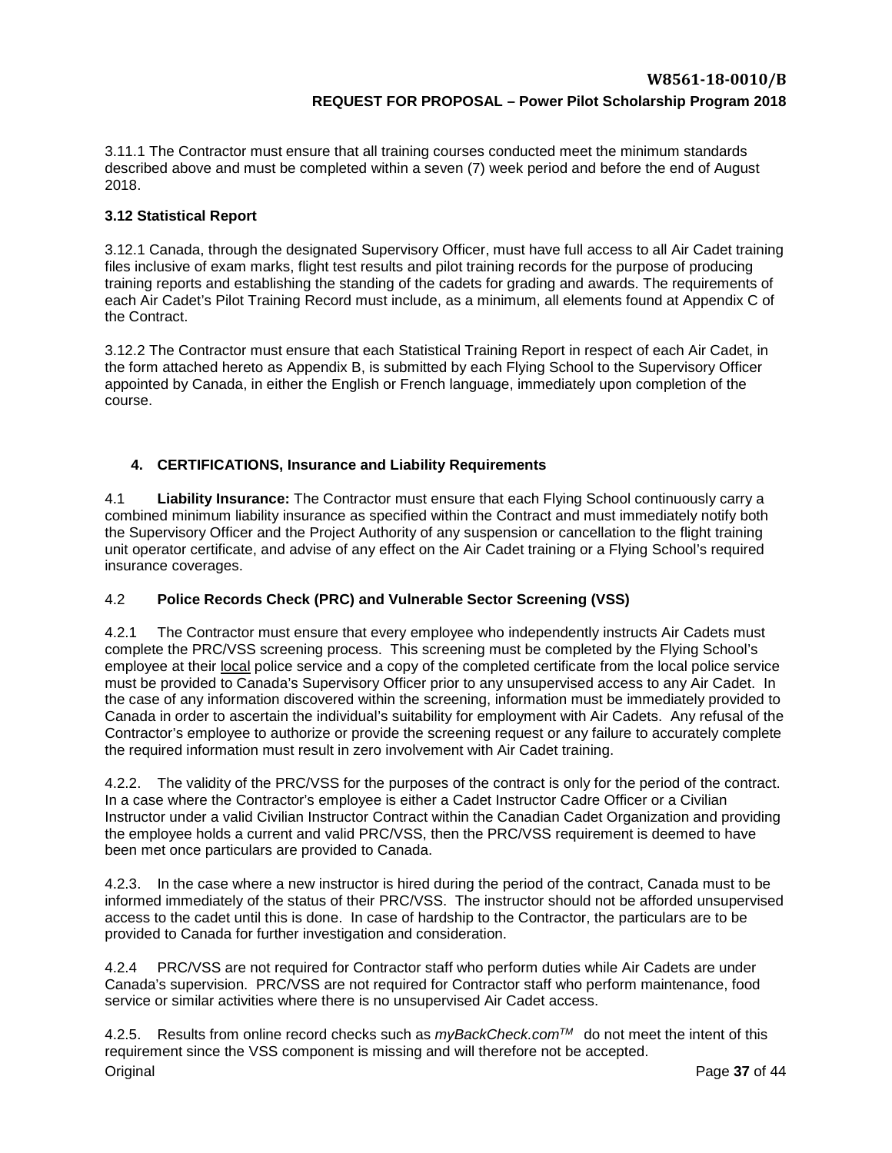3.11.1 The Contractor must ensure that all training courses conducted meet the minimum standards described above and must be completed within a seven (7) week period and before the end of August 2018.

## <span id="page-35-0"></span>**3.12 Statistical Report**

3.12.1 Canada, through the designated Supervisory Officer, must have full access to all Air Cadet training files inclusive of exam marks, flight test results and pilot training records for the purpose of producing training reports and establishing the standing of the cadets for grading and awards. The requirements of each Air Cadet's Pilot Training Record must include, as a minimum, all elements found at Appendix C of the Contract.

3.12.2 The Contractor must ensure that each Statistical Training Report in respect of each Air Cadet, in the form attached hereto as Appendix B, is submitted by each Flying School to the Supervisory Officer appointed by Canada, in either the English or French language, immediately upon completion of the course.

## <span id="page-35-1"></span>**4. CERTIFICATIONS, Insurance and Liability Requirements**

4.1 **Liability Insurance:** The Contractor must ensure that each Flying School continuously carry a combined minimum liability insurance as specified within the Contract and must immediately notify both the Supervisory Officer and the Project Authority of any suspension or cancellation to the flight training unit operator certificate, and advise of any effect on the Air Cadet training or a Flying School's required insurance coverages.

## 4.2 **Police Records Check (PRC) and Vulnerable Sector Screening (VSS)**

4.2.1 The Contractor must ensure that every employee who independently instructs Air Cadets must complete the PRC/VSS screening process. This screening must be completed by the Flying School's employee at their local police service and a copy of the completed certificate from the local police service must be provided to Canada's Supervisory Officer prior to any unsupervised access to any Air Cadet. In the case of any information discovered within the screening, information must be immediately provided to Canada in order to ascertain the individual's suitability for employment with Air Cadets. Any refusal of the Contractor's employee to authorize or provide the screening request or any failure to accurately complete the required information must result in zero involvement with Air Cadet training.

4.2.2. The validity of the PRC/VSS for the purposes of the contract is only for the period of the contract. In a case where the Contractor's employee is either a Cadet Instructor Cadre Officer or a Civilian Instructor under a valid Civilian Instructor Contract within the Canadian Cadet Organization and providing the employee holds a current and valid PRC/VSS, then the PRC/VSS requirement is deemed to have been met once particulars are provided to Canada.

4.2.3. In the case where a new instructor is hired during the period of the contract, Canada must to be informed immediately of the status of their PRC/VSS. The instructor should not be afforded unsupervised access to the cadet until this is done. In case of hardship to the Contractor, the particulars are to be provided to Canada for further investigation and consideration.

4.2.4 PRC/VSS are not required for Contractor staff who perform duties while Air Cadets are under Canada's supervision. PRC/VSS are not required for Contractor staff who perform maintenance, food service or similar activities where there is no unsupervised Air Cadet access.

Original Page **37** of 44 4.2.5. Results from online record checks such as *myBackCheck.comTM* do not meet the intent of this requirement since the VSS component is missing and will therefore not be accepted.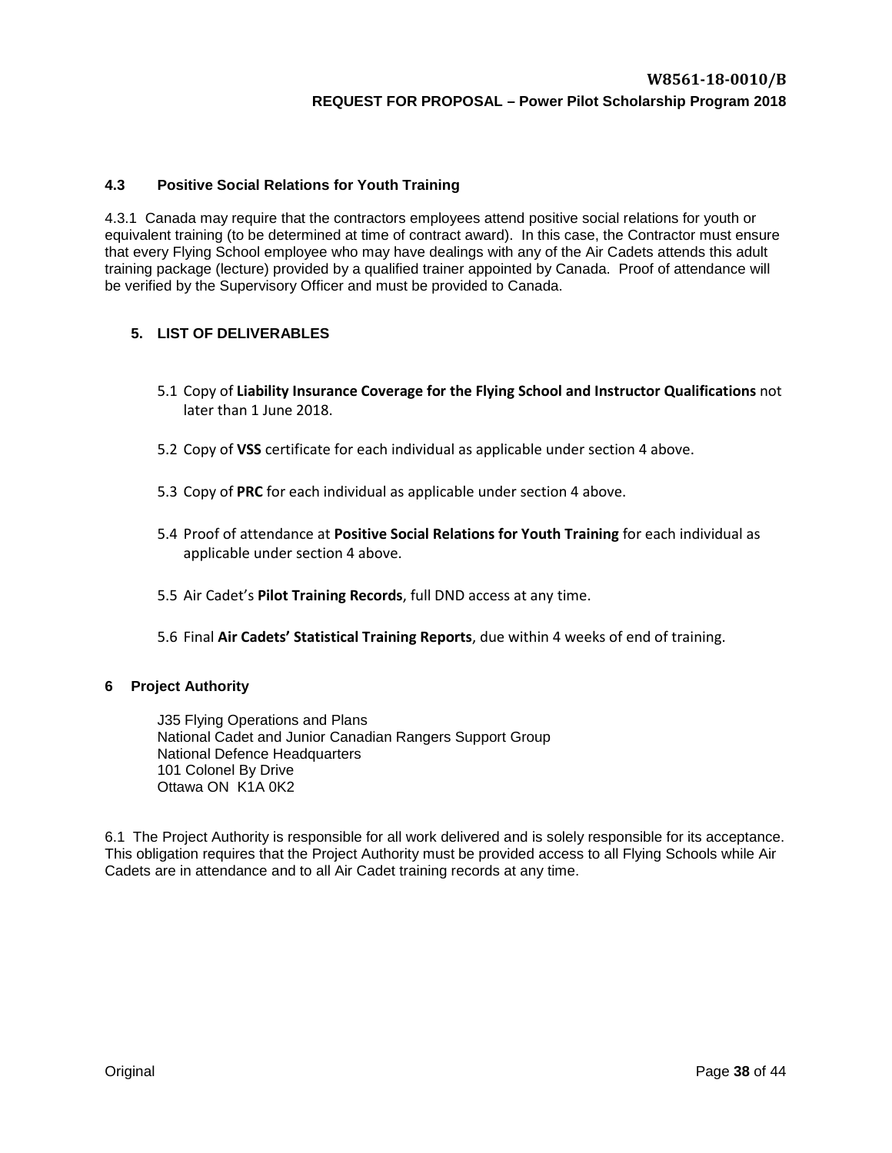## **4.3 Positive Social Relations for Youth Training**

4.3.1 Canada may require that the contractors employees attend positive social relations for youth or equivalent training (to be determined at time of contract award). In this case, the Contractor must ensure that every Flying School employee who may have dealings with any of the Air Cadets attends this adult training package (lecture) provided by a qualified trainer appointed by Canada. Proof of attendance will be verified by the Supervisory Officer and must be provided to Canada.

## <span id="page-36-0"></span>**5. LIST OF DELIVERABLES**

- 5.1 Copy of **Liability Insurance Coverage for the Flying School and Instructor Qualifications** not later than 1 June 2018.
- 5.2 Copy of **VSS** certificate for each individual as applicable under section 4 above.
- 5.3 Copy of **PRC** for each individual as applicable under section 4 above.
- 5.4 Proof of attendance at **Positive Social Relations for Youth Training** for each individual as applicable under section 4 above.
- 5.5 Air Cadet's **Pilot Training Records**, full DND access at any time.
- 5.6 Final **Air Cadets' Statistical Training Reports**, due within 4 weeks of end of training.

#### <span id="page-36-1"></span>**6 Project Authority**

J35 Flying Operations and Plans National Cadet and Junior Canadian Rangers Support Group National Defence Headquarters 101 Colonel By Drive Ottawa ON K1A 0K2

6.1 The Project Authority is responsible for all work delivered and is solely responsible for its acceptance. This obligation requires that the Project Authority must be provided access to all Flying Schools while Air Cadets are in attendance and to all Air Cadet training records at any time.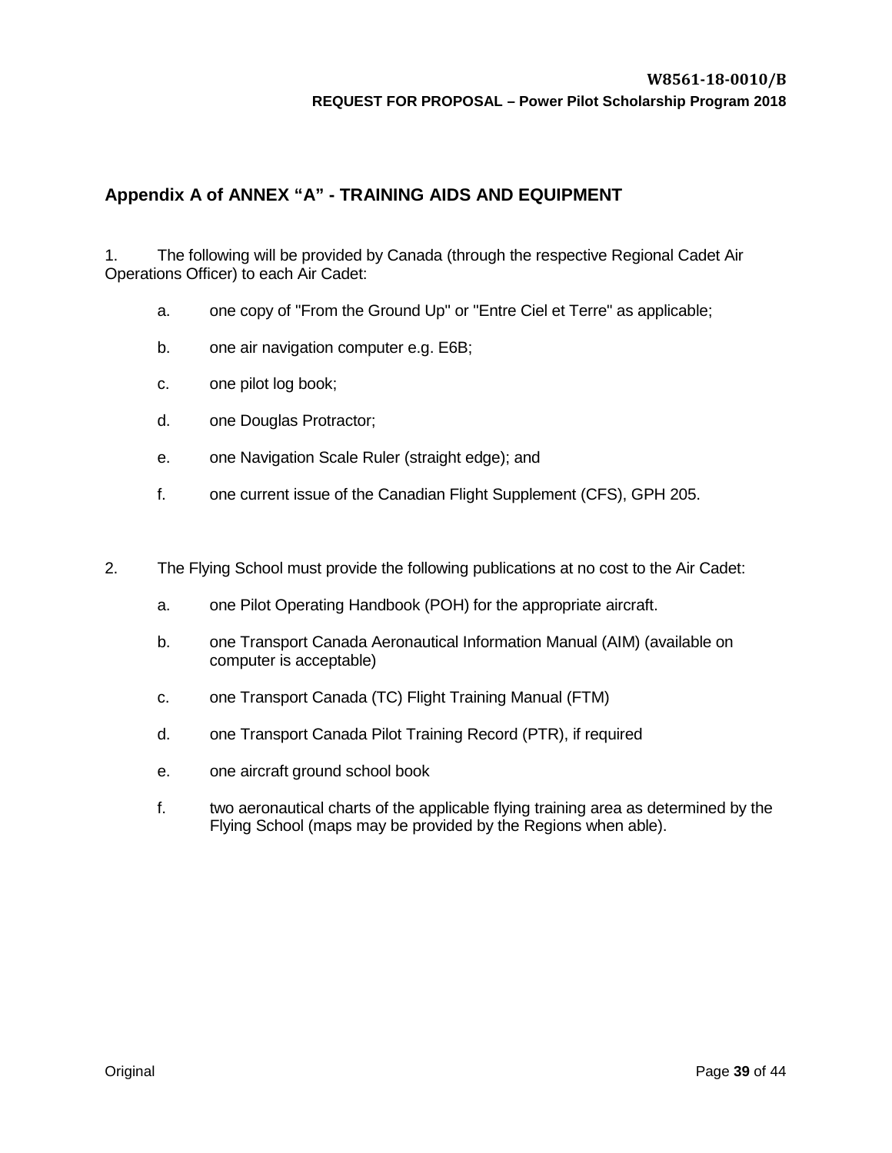# <span id="page-37-0"></span>**Appendix A of ANNEX "A" - TRAINING AIDS AND EQUIPMENT**

1. The following will be provided by Canada (through the respective Regional Cadet Air Operations Officer) to each Air Cadet:

- a. one copy of "From the Ground Up" or "Entre Ciel et Terre" as applicable;
- b. one air navigation computer e.g. E6B;
- c. one pilot log book;
- d. one Douglas Protractor;
- e. one Navigation Scale Ruler (straight edge); and
- f. one current issue of the Canadian Flight Supplement (CFS), GPH 205.
- 2. The Flying School must provide the following publications at no cost to the Air Cadet:
	- a. one Pilot Operating Handbook (POH) for the appropriate aircraft.
	- b. one Transport Canada Aeronautical Information Manual (AIM) (available on computer is acceptable)
	- c. one Transport Canada (TC) Flight Training Manual (FTM)
	- d. one Transport Canada Pilot Training Record (PTR), if required
	- e. one aircraft ground school book
	- f. two aeronautical charts of the applicable flying training area as determined by the Flying School (maps may be provided by the Regions when able).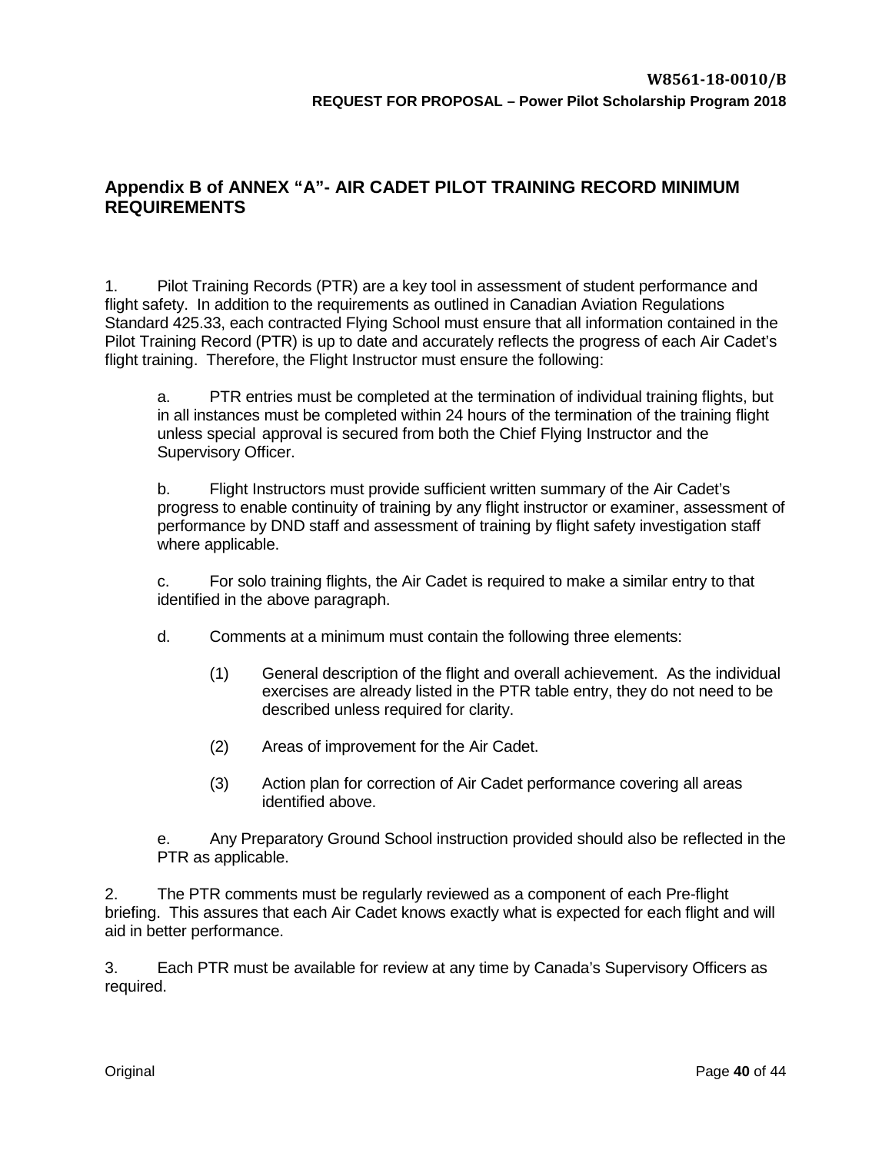# <span id="page-38-0"></span>**Appendix B of ANNEX "A"- AIR CADET PILOT TRAINING RECORD MINIMUM REQUIREMENTS**

1. Pilot Training Records (PTR) are a key tool in assessment of student performance and flight safety. In addition to the requirements as outlined in Canadian Aviation Regulations Standard 425.33, each contracted Flying School must ensure that all information contained in the Pilot Training Record (PTR) is up to date and accurately reflects the progress of each Air Cadet's flight training. Therefore, the Flight Instructor must ensure the following:

a. PTR entries must be completed at the termination of individual training flights, but in all instances must be completed within 24 hours of the termination of the training flight unless special approval is secured from both the Chief Flying Instructor and the Supervisory Officer.

b. Flight Instructors must provide sufficient written summary of the Air Cadet's progress to enable continuity of training by any flight instructor or examiner, assessment of performance by DND staff and assessment of training by flight safety investigation staff where applicable.

c. For solo training flights, the Air Cadet is required to make a similar entry to that identified in the above paragraph.

d. Comments at a minimum must contain the following three elements:

- (1) General description of the flight and overall achievement. As the individual exercises are already listed in the PTR table entry, they do not need to be described unless required for clarity.
- (2) Areas of improvement for the Air Cadet.
- (3) Action plan for correction of Air Cadet performance covering all areas identified above.

e. Any Preparatory Ground School instruction provided should also be reflected in the PTR as applicable.

2. The PTR comments must be regularly reviewed as a component of each Pre-flight briefing. This assures that each Air Cadet knows exactly what is expected for each flight and will aid in better performance.

3. Each PTR must be available for review at any time by Canada's Supervisory Officers as required.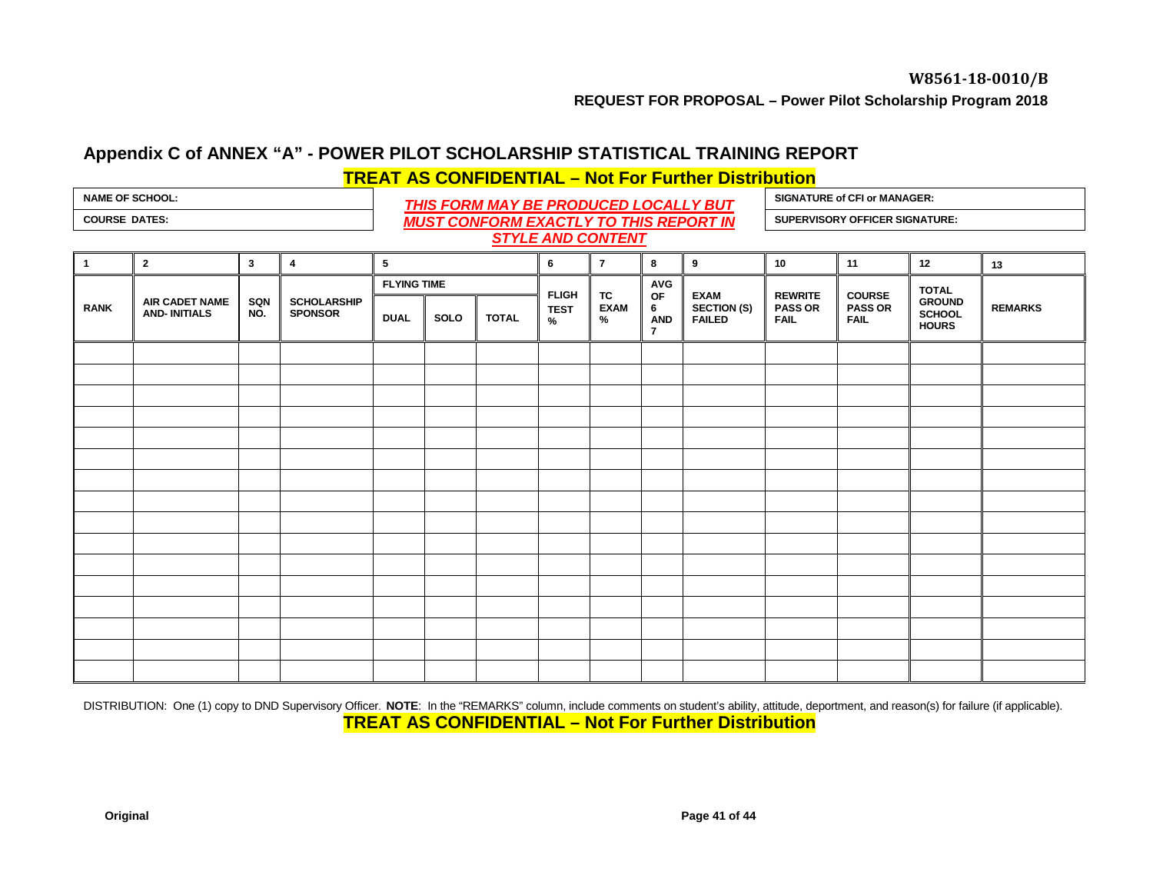# **Appendix C of ANNEX "A" - POWER PILOT SCHOLARSHIP STATISTICAL TRAINING REPORT TREAT AS CONFIDENTIAL – Not For Further Distribution**

## NAME OF SCHOOL:<br>
COURSE DATES:<br>
MUIST CONFORM EXACTLY TO THIS PEROPORT IN *MUST CONFORM EXACTLY TO THIS REPORT IN*  **COURSE DATES: SUPERVISORY OFFICER SIGNATURE:** *STYLE AND CONTENT*

**SIGNATURE of CFI or MANAGER:**

<span id="page-39-0"></span>

| $\overline{\phantom{a}}$ |                                       |              |                                      |                    |      |              |                  |                        |                                         |                                             |                                                 |                                                |                                                |                |
|--------------------------|---------------------------------------|--------------|--------------------------------------|--------------------|------|--------------|------------------|------------------------|-----------------------------------------|---------------------------------------------|-------------------------------------------------|------------------------------------------------|------------------------------------------------|----------------|
| $\overline{1}$           | $\overline{2}$                        | $\mathbf{3}$ | 4                                    | $5\phantom{.0}$    |      |              | 6                | $\overline{7}$         | 8                                       | 9                                           | 10                                              | 11                                             | 12                                             | 13             |
| <b>RANK</b>              | AIR CADET NAME<br><b>AND-INITIALS</b> |              |                                      | <b>FLYING TIME</b> |      | <b>FLIGH</b> |                  | <b>AVG</b>             |                                         |                                             |                                                 | <b>TOTAL</b>                                   |                                                |                |
|                          |                                       | SQN<br>NO.   | <b>SCHOLARSHIP</b><br><b>SPONSOR</b> | <b>DUAL</b>        | SOLO | <b>TOTAL</b> | <b>TEST</b><br>% | TC<br><b>EXAM</b><br>% | OF<br>6<br><b>AND</b><br>$\overline{7}$ | <b>EXAM</b><br><b>SECTION (S)</b><br>FAILED | <b>REWRITE</b><br><b>PASS OR</b><br><b>FAIL</b> | <b>COURSE</b><br><b>PASS OR</b><br><b>FAIL</b> | <b>GROUND</b><br><b>SCHOOL</b><br><b>HOURS</b> | <b>REMARKS</b> |
|                          |                                       |              |                                      |                    |      |              |                  |                        |                                         |                                             |                                                 |                                                |                                                |                |
|                          |                                       |              |                                      |                    |      |              |                  |                        |                                         |                                             |                                                 |                                                |                                                |                |
|                          |                                       |              |                                      |                    |      |              |                  |                        |                                         |                                             |                                                 |                                                |                                                |                |
|                          |                                       |              |                                      |                    |      |              |                  |                        |                                         |                                             |                                                 |                                                |                                                |                |
|                          |                                       |              |                                      |                    |      |              |                  |                        |                                         |                                             |                                                 |                                                |                                                |                |
|                          |                                       |              |                                      |                    |      |              |                  |                        |                                         |                                             |                                                 |                                                |                                                |                |
|                          |                                       |              |                                      |                    |      |              |                  |                        |                                         |                                             |                                                 |                                                |                                                |                |
|                          |                                       |              |                                      |                    |      |              |                  |                        |                                         |                                             |                                                 |                                                |                                                |                |
|                          |                                       |              |                                      |                    |      |              |                  |                        |                                         |                                             |                                                 |                                                |                                                |                |
|                          |                                       |              |                                      |                    |      |              |                  |                        |                                         |                                             |                                                 |                                                |                                                |                |
|                          |                                       |              |                                      |                    |      |              |                  |                        |                                         |                                             |                                                 |                                                |                                                |                |
|                          |                                       |              |                                      |                    |      |              |                  |                        |                                         |                                             |                                                 |                                                |                                                |                |
|                          |                                       |              |                                      |                    |      |              |                  |                        |                                         |                                             |                                                 |                                                |                                                |                |
|                          |                                       |              |                                      |                    |      |              |                  |                        |                                         |                                             |                                                 |                                                |                                                |                |
|                          |                                       |              |                                      |                    |      |              |                  |                        |                                         |                                             |                                                 |                                                |                                                |                |
|                          |                                       |              |                                      |                    |      |              |                  |                        |                                         |                                             |                                                 |                                                |                                                |                |

DISTRIBUTION: One (1) copy to DND Supervisory Officer. NOTE: In the "REMARKS" column, include comments on student's ability, attitude, deportment, and reason(s) for failure (if applicable). **TREAT AS CONFIDENTIAL – Not For Further Distribution**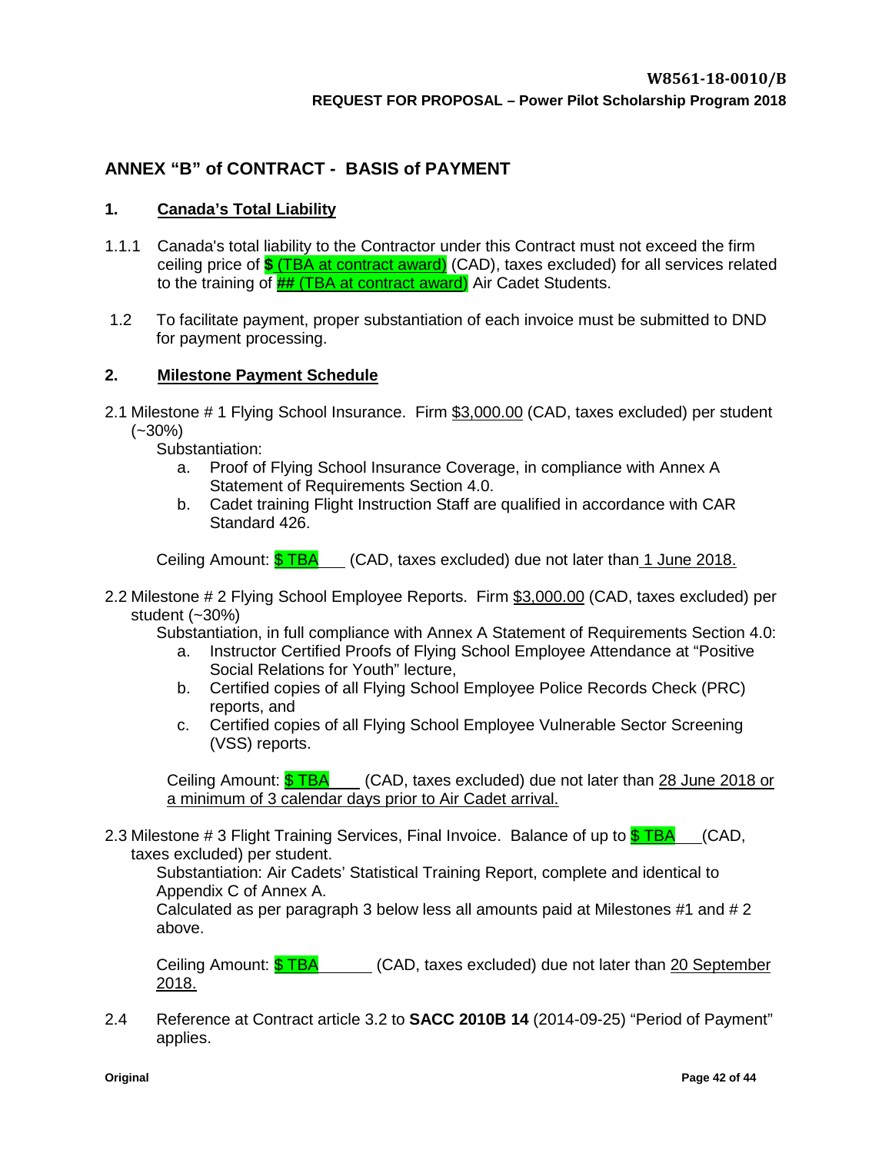# <span id="page-40-0"></span>**ANNEX "B" of CONTRACT - BASIS of PAYMENT**

## **1. Canada's Total Liability**

- 1.1.1 Canada's total liability to the Contractor under this Contract must not exceed the firm ceiling price of **\$** (TBA at contract award) (CAD), taxes excluded) for all services related to the training of **##** (TBA at contract award) Air Cadet Students.
- 1.2 To facilitate payment, proper substantiation of each invoice must be submitted to DND for payment processing.

## **2. Milestone Payment Schedule**

2.1 Milestone # 1 Flying School Insurance. Firm \$3,000.00 (CAD, taxes excluded) per student (~30%)

Substantiation:

- a. Proof of Flying School Insurance Coverage, in compliance with Annex A Statement of Requirements Section 4.0.
- b. Cadet training Flight Instruction Staff are qualified in accordance with CAR Standard 426.

Ceiling Amount:  $$TBA$  (CAD, taxes excluded) due not later than 1 June 2018.

2.2 Milestone # 2 Flying School Employee Reports. Firm \$3,000.00 (CAD, taxes excluded) per student (~30%)

Substantiation, in full compliance with Annex A Statement of Requirements Section 4.0:

- a. Instructor Certified Proofs of Flying School Employee Attendance at "Positive Social Relations for Youth" lecture,
- b. Certified copies of all Flying School Employee Police Records Check (PRC) reports, and
- c. Certified copies of all Flying School Employee Vulnerable Sector Screening (VSS) reports.

Ceiling Amount: \$ TBA (CAD, taxes excluded) due not later than 28 June 2018 or a minimum of 3 calendar days prior to Air Cadet arrival.

2.3 Milestone # 3 Flight Training Services, Final Invoice. Balance of up to  $\frac{1}{2}$  TBA (CAD, taxes excluded) per student.

Substantiation: Air Cadets' Statistical Training Report, complete and identical to Appendix C of Annex A.

Calculated as per paragraph 3 below less all amounts paid at Milestones #1 and # 2 above.

Ceiling Amount:  $$$  TBA (CAD, taxes excluded) due not later than 20 September 2018.

2.4 Reference at Contract article 3.2 to **SACC 2010B 14** (2014-09-25) "Period of Payment" applies.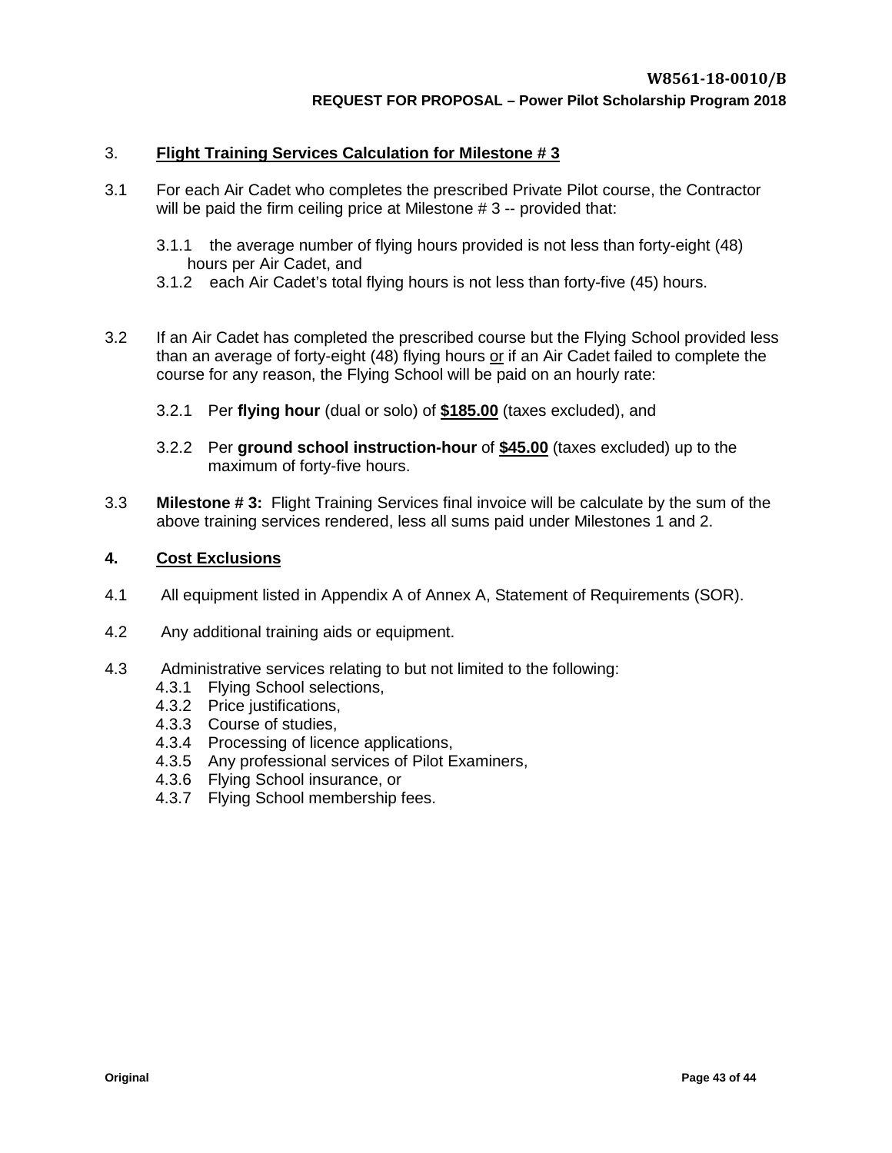## 3. **Flight Training Services Calculation for Milestone # 3**

- 3.1 For each Air Cadet who completes the prescribed Private Pilot course, the Contractor will be paid the firm ceiling price at Milestone # 3 -- provided that:
	- 3.1.1 the average number of flying hours provided is not less than forty-eight (48) hours per Air Cadet, and
	- 3.1.2 each Air Cadet's total flying hours is not less than forty-five (45) hours.
- 3.2 If an Air Cadet has completed the prescribed course but the Flying School provided less than an average of forty-eight (48) flying hours or if an Air Cadet failed to complete the course for any reason, the Flying School will be paid on an hourly rate:
	- 3.2.1 Per **flying hour** (dual or solo) of **\$185.00** (taxes excluded), and
	- 3.2.2 Per **ground school instruction-hour** of **\$45.00** (taxes excluded) up to the maximum of forty-five hours.
- 3.3 **Milestone # 3:** Flight Training Services final invoice will be calculate by the sum of the above training services rendered, less all sums paid under Milestones 1 and 2.

## **4. Cost Exclusions**

- 4.1 All equipment listed in Appendix A of Annex A, Statement of Requirements (SOR).
- 4.2 Any additional training aids or equipment.
- <span id="page-41-0"></span>4.3 Administrative services relating to but not limited to the following:
	- 4.3.1 Flying School selections,
	- 4.3.2 Price justifications,
	- 4.3.3 Course of studies,
	- 4.3.4 Processing of licence applications,
	- 4.3.5 Any professional services of Pilot Examiners,
	- 4.3.6 Flying School insurance, or
	- 4.3.7 Flying School membership fees.